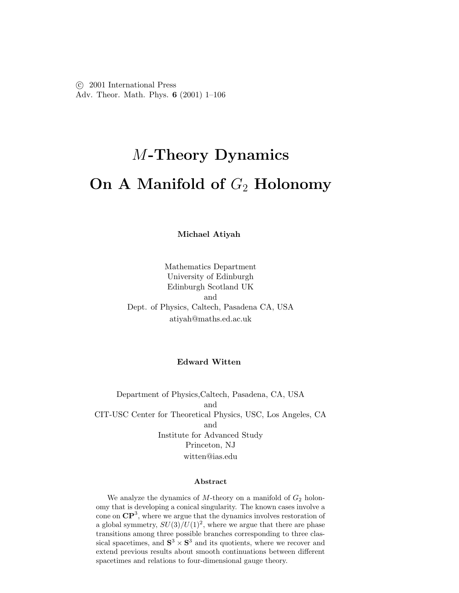c 2001 International Press Adv. Theor. Math. Phys. **6** (2001) 1–106

# M**-Theory Dynamics On A Manifold of**  $G_2$  **Holonomy**

**Michael Atiyah**

Mathematics Department University of Edinburgh Edinburgh Scotland UK and Dept. of Physics, Caltech, Pasadena CA, USA atiyah@maths.ed.ac.uk

#### **Edward Witten**

Department of Physics, Caltech, Pasadena, CA, USA and CIT-USC Center for Theoretical Physics, USC, Los Angeles, CA and Institute for Advanced Study Princeton, NJ witten@ias.edu

#### **Abstract**

We analyze the dynamics of  $M$ -theory on a manifold of  $G_2$  holonomy that is developing a conical singularity. The known cases involve a cone on **CP**<sup>3</sup>, where we argue that the dynamics involves restoration of a global symmetry,  $SU(3)/U(1)^2$ , where we argue that there are phase transitions among three possible branches corresponding to three classical spacetimes, and  $S^3 \times S^3$  and its quotients, where we recover and extend previous results about smooth continuations between different spacetimes and relations to four-dimensional gauge theory.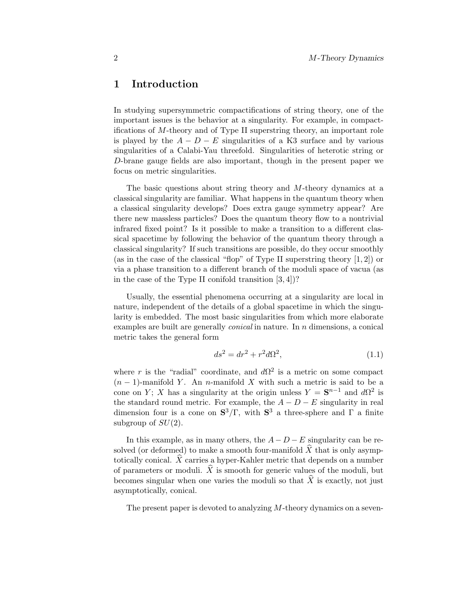# **1 Introduction**

In studying supersymmetric compactifications of string theory, one of the important issues is the behavior at a singularity. For example, in compactifications of  $M$ -theory and of Type II superstring theory, an important role is played by the  $A - D - E$  singularities of a K3 surface and by various singularities of a Calabi-Yau threefold. Singularities of heterotic string or D-brane gauge fields are also important, though in the present paper we focus on metric singularities.

The basic questions about string theory and M-theory dynamics at a classical singularity are familiar. What happens in the quantum theory when a classical singularity develops? Does extra gauge symmetry appear? Are there new massless particles? Does the quantum theory flow to a nontrivial infrared fixed point? Is it possible to make a transition to a different classical spacetime by following the behavior of the quantum theory through a classical singularity? If such transitions are possible, do they occur smoothly (as in the case of the classical "flop" of Type II superstring theory  $[1, 2]$ ) or via a phase transition to a different branch ofthe moduli space ofvacua (as in the case of the Type II conifold transition  $[3, 4]$ ?

Usually, the essential phenomena occurring at a singularity are local in nature, independent of the details of a global spacetime in which the singularity is embedded. The most basic singularities from which more elaborate examples are built are generally conical in nature. In n dimensions, a conical metric takes the general form

$$
ds^2 = dr^2 + r^2 d\Omega^2,\tag{1.1}
$$

where r is the "radial" coordinate, and  $d\Omega^2$  is a metric on some compact  $(n-1)$ -manifold Y. An n-manifold X with such a metric is said to be a cone on Y; X has a singularity at the origin unless  $Y = S^{n-1}$  and  $d\Omega^2$  is the standard round metric. For example, the  $A - D - E$  singularity in real dimension four is a cone on  $S^3/\Gamma$ , with  $S^3$  a three-sphere and  $\Gamma$  a finite subgroup of  $SU(2)$ .

In this example, as in many others, the  $A - D - E$  singularity can be resolved (or deformed) to make a smooth four-manifold  $\hat{X}$  that is only asymptotically conical.  $\hat{X}$  carries a hyper-Kahler metric that depends on a number of parameters or moduli.  $\hat{X}$  is smooth for generic values of the moduli, but becomes singular when one varies the moduli so that  $\hat{X}$  is exactly, not just asymptotically, conical.

The present paper is devoted to analyzing M-theory dynamics on a seven-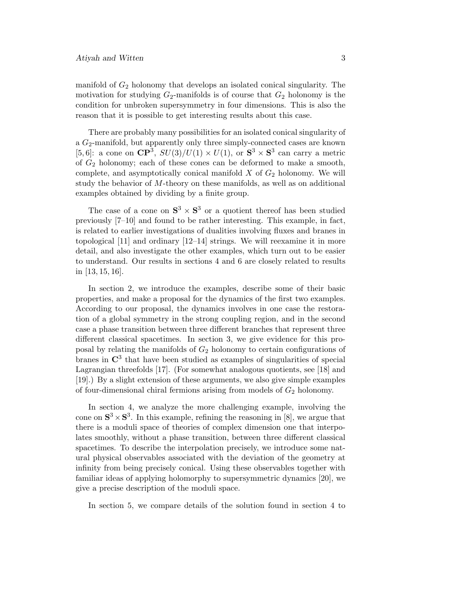manifold of  $G_2$  holonomy that develops an isolated conical singularity. The motivation for studying  $G_2$ -manifolds is of course that  $G_2$  holonomy is the condition for unbroken supersymmetry in four dimensions. This is also the reason that it is possible to get interesting results about this case.

There are probably many possibilities for an isolated conical singularity of a  $G_2$ -manifold, but apparently only three simply-connected cases are known [5,6]: a cone on  $\mathbb{CP}^3$ ,  $SU(3)/U(1) \times U(1)$ , or  $\mathbb{S}^3 \times \mathbb{S}^3$  can carry a metric of  $G_2$  holonomy; each of these cones can be deformed to make a smooth, complete, and asymptotically conical manifold  $X$  of  $G_2$  holonomy. We will study the behavior of M-theory on these manifolds, as well as on additional examples obtained by dividing by a finite group.

The case of a cone on  $S^3 \times S^3$  or a quotient thereof has been studied previously [7–10] and found to be rather interesting. This example, in fact, is related to earlier investigations of dualities involving fluxes and branes in topological [11] and ordinary [12–14] strings. We will reexamine it in more detail, and also investigate the other examples, which turn out to be easier to understand. Our results in sections 4 and 6 are closely related to results in [13, 15, 16].

In section 2, we introduce the examples, describe some of their basic properties, and make a proposal for the dynamics of the first two examples. According to our proposal, the dynamics involves in one case the restoration ofa global symmetry in the strong coupling region, and in the second case a phase transition between three different branches that represent three different classical spacetimes. In section 3, we give evidence for this proposal by relating the manifolds of  $G_2$  holonomy to certain configurations of branes in  $\mathbb{C}^3$  that have been studied as examples of singularities of special Lagrangian threefolds [17]. (For somewhat analogous quotients, see [18] and [19].) By a slight extension ofthese arguments, we also give simple examples of four-dimensional chiral fermions arising from models of  $G_2$  holonomy.

In section 4, we analyze the more challenging example, involving the cone on  $S^3 \times S^3$ . In this example, refining the reasoning in [8], we argue that there is a moduli space of theories of complex dimension one that interpolates smoothly, without a phase transition, between three different classical spacetimes. To describe the interpolation precisely, we introduce some natural physical observables associated with the deviation ofthe geometry at infinity from being precisely conical. Using these observables together with familiar ideas of applying holomorphy to supersymmetric dynamics [20], we give a precise description of the moduli space.

In section 5, we compare details of the solution found in section 4 to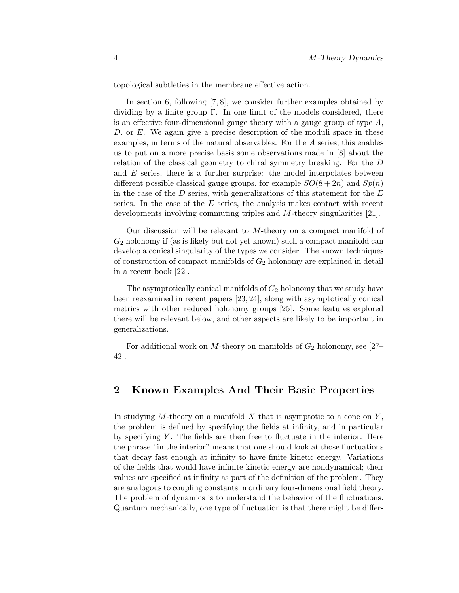topological subtleties in the membrane effective action.

In section 6, following [7, 8], we consider further examples obtained by dividing by a finite group  $\Gamma$ . In one limit of the models considered, there is an effective four-dimensional gauge theory with a gauge group of type  $A$ ,  $D$ , or  $E$ . We again give a precise description of the moduli space in these examples, in terms of the natural observables. For the  $A$  series, this enables us to put on a more precise basis some observations made in [8] about the relation of the classical geometry to chiral symmetry breaking. For the D and  $E$  series, there is a further surprise: the model interpolates between different possible classical gauge groups, for example  $SO(8+2n)$  and  $Sp(n)$ in the case of the  $D$  series, with generalizations of this statement for the  $E$ series. In the case of the  $E$  series, the analysis makes contact with recent developments involving commuting triples and M-theory singularities [21].

Our discussion will be relevant to  $M$ -theory on a compact manifold of  $G_2$  holonomy if (as is likely but not yet known) such a compact manifold can develop a conical singularity of the types we consider. The known techniques of construction of compact manifolds of  $G_2$  holonomy are explained in detail in a recent book [22].

The asymptotically conical manifolds of  $G_2$  holonomy that we study have been reexamined in recent papers [23, 24], along with asymptotically conical metrics with other reduced holonomy groups [25]. Some features explored there will be relevant below, and other aspects are likely to be important in generalizations.

For additional work on M-theory on manifolds of  $G_2$  holonomy, see [27– 42].

## **2 Known Examples And Their Basic Properties**

In studying M-theory on a manifold X that is asymptotic to a cone on  $Y$ , the problem is defined by specifying the fields at infinity, and in particular by specifying  $Y$ . The fields are then free to fluctuate in the interior. Here the phrase "in the interior" means that one should look at those fluctuations that decay fast enough at infinity to have finite kinetic energy. Variations ofthe fields that would have infinite kinetic energy are nondynamical; their values are specified at infinity as part of the definition of the problem. They are analogous to coupling constants in ordinary four-dimensional field theory. The problem of dynamics is to understand the behavior of the fluctuations. Quantum mechanically, one type of fluctuation is that there might be differ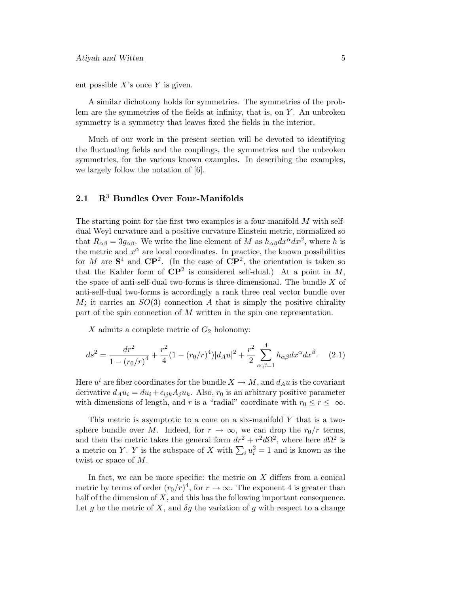ent possible  $X$ 's once  $Y$  is given.

A similar dichotomy holds for symmetries. The symmetries of the problem are the symmetries of the fields at infinity, that is, on  $Y$ . An unbroken symmetry is a symmetry that leaves fixed the fields in the interior.

Much of our work in the present section will be devoted to identifying the fluctuating fields and the couplings, the symmetries and the unbroken symmetries, for the various known examples. In describing the examples, we largely follow the notation of [6].

### **2.1 R**<sup>3</sup> **Bundles Over Four-Manifolds**

The starting point for the first two examples is a four-manifold  $M$  with selfdual Weyl curvature and a positive curvature Einstein metric, normalized so that  $R_{\alpha\beta} = 3g_{\alpha\beta}$ . We write the line element of M as  $h_{\alpha\beta}dx^{\alpha}dx^{\beta}$ , where h is the metric and  $x^{\alpha}$  are local coordinates. In practice, the known possibilities for M are  $S^4$  and  $\mathbb{CP}^2$ . (In the case of  $\mathbb{CP}^2$ , the orientation is taken so that the Kahler form of  $\mathbf{CP}^2$  is considered self-dual.) At a point in M, the space of anti-self-dual two-forms is three-dimensional. The bundle  $X$  of anti-self-dual two-forms is accordingly a rank three real vector bundle over M; it carries an  $SO(3)$  connection A that is simply the positive chirality part of the spin connection of  $M$  written in the spin one representation.

X admits a complete metric of  $G_2$  holonomy:

$$
ds^{2} = \frac{dr^{2}}{1 - (r_{0}/r)^{4}} + \frac{r^{2}}{4}(1 - (r_{0}/r)^{4})|d_{A}u|^{2} + \frac{r^{2}}{2} \sum_{\alpha,\beta=1}^{4} h_{\alpha\beta}dx^{\alpha}dx^{\beta}.
$$
 (2.1)

Here  $u^i$  are fiber coordinates for the bundle  $X \to M$ , and  $d_A u$  is the covariant derivative  $d_A u_i = du_i + \epsilon_{ijk} A_i u_k$ . Also,  $r_0$  is an arbitrary positive parameter with dimensions of length, and r is a "radial" coordinate with  $r_0 \leq r \leq \infty$ .

This metric is asymptotic to a cone on a six-manifold  $Y$  that is a twosphere bundle over M. Indeed, for  $r \to \infty$ , we can drop the  $r_0/r$  terms, and then the metric takes the general form  $dr^2 + r^2 d\Omega^2$ , where here  $d\Omega^2$  is a metric on Y. Y is the subspace of X with  $\sum_i u_i^2 = 1$  and is known as the twist or space of M.

In fact, we can be more specific: the metric on  $X$  differs from a conical metric by terms of order  $(r_0/r)^4$ , for  $r \to \infty$ . The exponent 4 is greater than half of the dimension of  $X$ , and this has the following important consequence. Let q be the metric of X, and  $\delta q$  the variation of q with respect to a change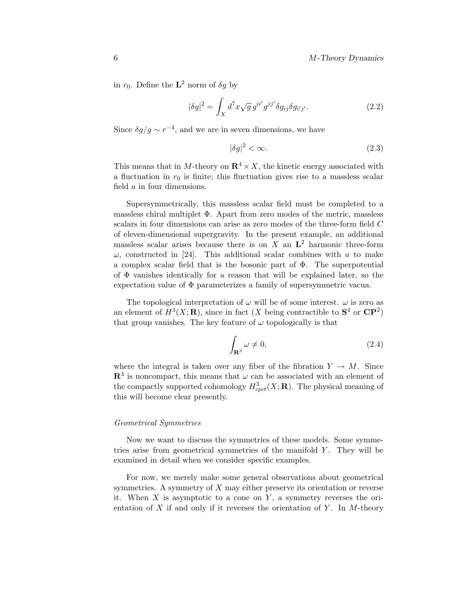in  $r_0$ . Define the **L**<sup>2</sup> norm of  $\delta q$  by

$$
|\delta g|^2 = \int_X d^7x \sqrt{g} g^{ii'} g^{jj'} \delta g_{ij} \delta g_{i'j'}.
$$
 (2.2)

Since  $\delta g/g \sim r^{-4}$ , and we are in seven dimensions, we have

$$
|\delta g|^2 < \infty. \tag{2.3}
$$

This means that in M-theory on  $\mathbb{R}^4 \times X$ , the kinetic energy associated with a fluctuation in  $r_0$  is finite; this fluctuation gives rise to a massless scalar field a in four dimensions.

Supersymmetrically, this massless scalar field must be completed to a massless chiral multiplet Φ. Apart from zero modes of the metric, massless scalars in four dimensions can arise as zero modes of the three-form field C of eleven-dimensional supergravity. In the present example, an additional massless scalar arises because there is on  $X$  an  $L^2$  harmonic three-form  $\omega$ , constructed in [24]. This additional scalar combines with a to make a complex scalar field that is the bosonic part of  $\Phi$ . The superpotential of  $\Phi$  vanishes identically for a reason that will be explained later, so the expectation value of  $\Phi$  parameterizes a family of supersymmetric vacua.

The topological interpretation of  $\omega$  will be of some interest.  $\omega$  is zero as an element of  $H^3(X; \mathbf{R})$ , since in fact (X being contractible to  $S^4$  or  $\mathbf{CP}^2$ ) that group vanishes. The key feature of  $\omega$  topologically is that

$$
\int_{\mathbf{R}^3} \omega \neq 0,\tag{2.4}
$$

where the integral is taken over any fiber of the fibration  $Y \to M$ . Since  $\mathbb{R}^3$  is noncompact, this means that  $\omega$  can be associated with an element of the compactly supported cohomology  $H^3_{cpct}(X; \mathbf{R})$ . The physical meaning of this will become clear presently.

#### Geometrical Symmetries

Now we want to discuss the symmetries of these models. Some symmetries arise from geometrical symmetries of the manifold  $Y$ . They will be examined in detail when we consider specific examples.

For now, we merely make some general observations about geometrical symmetries. A symmetry of  $X$  may either preserve its orientation or reverse it. When  $X$  is asymptotic to a cone on  $Y$ , a symmetry reverses the orientation of X if and only if it reverses the orientation of Y. In M-theory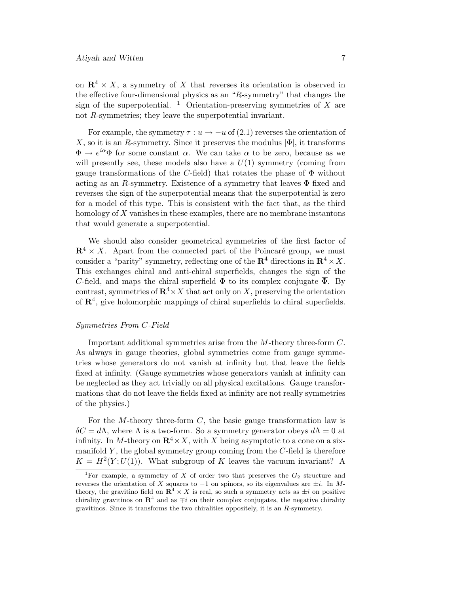on  $\mathbb{R}^4 \times X$ , a symmetry of X that reverses its orientation is observed in the effective four-dimensional physics as an "R-symmetry" that changes the sign of the superpotential. <sup>1</sup> Orientation-preserving symmetries of X are not R-symmetries; they leave the superpotential invariant.

For example, the symmetry  $\tau : u \to -u$  of (2.1) reverses the orientation of X, so it is an R-symmetry. Since it preserves the modulus  $|\Phi|$ , it transforms  $\Phi \to e^{i\alpha} \Phi$  for some constant  $\alpha$ . We can take  $\alpha$  to be zero, because as we will presently see, these models also have a  $U(1)$  symmetry (coming from gauge transformations of the C-field) that rotates the phase of  $\Phi$  without acting as an R-symmetry. Existence of a symmetry that leaves  $\Phi$  fixed and reverses the sign of the superpotential means that the superpotential is zero for a model of this type. This is consistent with the fact that, as the third homology of  $X$  vanishes in these examples, there are no membrane instantons that would generate a superpotential.

We should also consider geometrical symmetries of the first factor of  $\mathbb{R}^4 \times X$ . Apart from the connected part of the Poincaré group, we must consider a "parity" symmetry, reflecting one of the  $\mathbb{R}^4$  directions in  $\mathbb{R}^4 \times X$ . This exchanges chiral and anti-chiral superfields, changes the sign of the C-field, and maps the chiral superfield  $\Phi$  to its complex conjugate  $\overline{\Phi}$ . By contrast, symmetries of  $\mathbb{R}^4 \times X$  that act only on X, preserving the orientation of  $\mathbb{R}^4$ , give holomorphic mappings of chiral superfields to chiral superfields.

#### Symmetries From C-Field

Important additional symmetries arise from the M-theory three-form C. As always in gauge theories, global symmetries come from gauge symmetries whose generators do not vanish at infinity but that leave the fields fixed at infinity. (Gauge symmetries whose generators vanish at infinity can be neglected as they act trivially on all physical excitations. Gauge transformations that do not leave the fields fixed at infinity are not really symmetries of the physics.)

For the M-theory three-form  $C$ , the basic gauge transformation law is  $\delta C = d\Lambda$ , where  $\Lambda$  is a two-form. So a symmetry generator obeys  $d\Lambda = 0$  at infinity. In M-theory on  $\mathbb{R}^4 \times X$ , with X being asymptotic to a cone on a sixmanifold  $Y$ , the global symmetry group coming from the  $C$ -field is therefore  $K = H<sup>2</sup>(Y; U(1))$ . What subgroup of K leaves the vacuum invariant? A

<sup>&</sup>lt;sup>1</sup>For example, a symmetry of X of order two that preserves the  $G_2$  structure and reverses the orientation of X squares to  $-1$  on spinors, so its eigenvalues are  $\pm i$ . In Mtheory, the gravitino field on  $\mathbb{R}^4 \times X$  is real, so such a symmetry acts as  $\pm i$  on positive chirality gravitinos on  $\mathbb{R}^4$  and as  $\mp i$  on their complex conjugates, the negative chirality gravitinos. Since it transforms the two chiralities oppositely, it is an R-symmetry.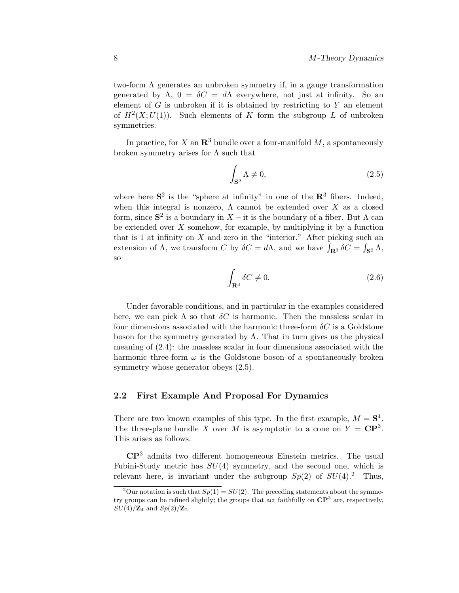two-form  $\Lambda$  generates an unbroken symmetry if, in a gauge transformation generated by  $\Lambda$ ,  $0 = \delta C = d\Lambda$  everywhere, not just at infinity. So an element of  $G$  is unbroken if it is obtained by restricting to  $Y$  an element of  $H^2(X;U(1))$ . Such elements of K form the subgroup L of unbroken symmetries.

In practice, for X an  $\mathbb{R}^3$  bundle over a four-manifold M, a spontaneously broken symmetry arises for  $\Lambda$  such that

$$
\int_{\mathbf{S}^2} \Lambda \neq 0,\tag{2.5}
$$

where here  $S^2$  is the "sphere at infinity" in one of the  $\mathbb{R}^3$  fibers. Indeed, when this integral is nonzero,  $\Lambda$  cannot be extended over X as a closed form, since  $S^2$  is a boundary in  $X$  – it is the boundary of a fiber. But  $\Lambda$  can be extended over  $X$  somehow, for example, by multiplying it by a function that is 1 at infinity on  $X$  and zero in the "interior." After picking such an extension of  $\Lambda$ , we transform C by  $\delta C = d\Lambda$ , and we have  $\int_{\mathbf{R}^3} \delta C = \int_{\mathbf{S}^2} \Lambda$ , so

$$
\int_{\mathbf{R}^3} \delta C \neq 0. \tag{2.6}
$$

Under favorable conditions, and in particular in the examples considered here, we can pick  $\Lambda$  so that  $\delta C$  is harmonic. Then the massless scalar in four dimensions associated with the harmonic three-form  $\delta C$  is a Goldstone boson for the symmetry generated by  $\Lambda$ . That in turn gives us the physical meaning of  $(2.4)$ : the massless scalar in four dimensions associated with the harmonic three-form  $\omega$  is the Goldstone boson of a spontaneously broken symmetry whose generator obeys (2.5).

#### **2.2 First Example And Proposal For Dynamics**

There are two known examples of this type. In the first example,  $M = S^4$ . The three-plane bundle X over M is asymptotic to a cone on  $Y = \mathbb{C}P^3$ . This arises as follows.

**CP**<sup>3</sup> admits two different homogeneous Einstein metrics. The usual Fubini-Study metric has  $SU(4)$  symmetry, and the second one, which is relevant here, is invariant under the subgroup  $Sp(2)$  of  $SU(4)$ .<sup>2</sup> Thus,

<sup>&</sup>lt;sup>2</sup>Our notation is such that  $Sp(1) = SU(2)$ . The preceding statements about the symmetry groups can be refined slightly; the groups that act faithfully on **CP**<sup>3</sup> are, respectively,  $SU(4)/{\bf Z}_4$  and  $Sp(2)/{\bf Z}_2$ .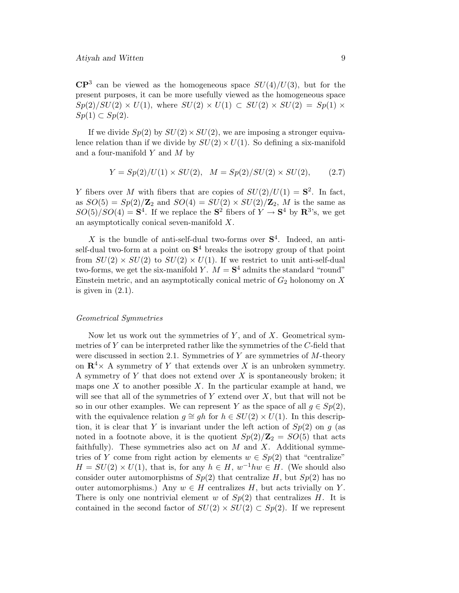$\mathbb{CP}^3$  can be viewed as the homogeneous space  $SU(4)/U(3)$ , but for the present purposes, it can be more usefully viewed as the homogeneous space  $Sp(2)/SU(2) \times U(1)$ , where  $SU(2) \times U(1) \subset SU(2) \times SU(2) = Sp(1) \times$  $Sp(1) \subset Sp(2)$ .

If we divide  $Sp(2)$  by  $SU(2) \times SU(2)$ , we are imposing a stronger equivalence relation than if we divide by  $SU(2) \times U(1)$ . So defining a six-manifold and a four-manifold  $Y$  and  $M$  by

$$
Y = Sp(2)/U(1) \times SU(2), \quad M = Sp(2)/SU(2) \times SU(2), \tag{2.7}
$$

Y fibers over M with fibers that are copies of  $SU(2)/U(1) = S^2$ . In fact, as  $SO(5) = Sp(2)/\mathbb{Z}_2$  and  $SO(4) = SU(2) \times SU(2)/\mathbb{Z}_2$ , M is the same as  $SO(5)/SO(4) = S<sup>4</sup>$ . If we replace the  $S<sup>2</sup>$  fibers of  $Y \to S<sup>4</sup>$  by  $\mathbb{R}^{3}$ 's, we get an asymptotically conical seven-manifold X.

X is the bundle of anti-self-dual two-forms over  $S<sup>4</sup>$ . Indeed, an antiself-dual two-form at a point on  $S<sup>4</sup>$  breaks the isotropy group of that point from  $SU(2) \times SU(2)$  to  $SU(2) \times U(1)$ . If we restrict to unit anti-self-dual two-forms, we get the six-manifold Y.  $M = S<sup>4</sup>$  admits the standard "round" Einstein metric, and an asymptotically conical metric of  $G_2$  holonomy on X is given in  $(2.1)$ .

#### Geometrical Symmetries

Now let us work out the symmetries of  $Y$ , and of  $X$ . Geometrical symmetries of  $Y$  can be interpreted rather like the symmetries of the  $C$ -field that were discussed in section 2.1. Symmetries of Y are symmetries of  $M$ -theory on  $\mathbb{R}^4$  × A symmetry of Y that extends over X is an unbroken symmetry. A symmetry of  $Y$  that does not extend over  $X$  is spontaneously broken; it maps one  $X$  to another possible  $X$ . In the particular example at hand, we will see that all of the symmetries of  $Y$  extend over  $X$ , but that will not be so in our other examples. We can represent Y as the space of all  $q \in Sp(2)$ , with the equivalence relation  $q \cong gh$  for  $h \in SU(2) \times U(1)$ . In this description, it is clear that Y is invariant under the left action of  $Sp(2)$  on g (as noted in a footnote above, it is the quotient  $Sp(2)/\mathbb{Z}_2 = SO(5)$  that acts faithfully). These symmetries also act on  $M$  and  $X$ . Additional symmetries of Y come from right action by elements  $w \in Sp(2)$  that "centralize"  $H = SU(2) \times U(1)$ , that is, for any  $h \in H$ ,  $w^{-1}hw \in H$ . (We should also consider outer automorphisms of  $Sp(2)$  that centralize H, but  $Sp(2)$  has no outer automorphisms.) Any  $w \in H$  centralizes H, but acts trivially on Y. There is only one nontrivial element w of  $Sp(2)$  that centralizes H. It is contained in the second factor of  $SU(2) \times SU(2) \subset Sp(2)$ . If we represent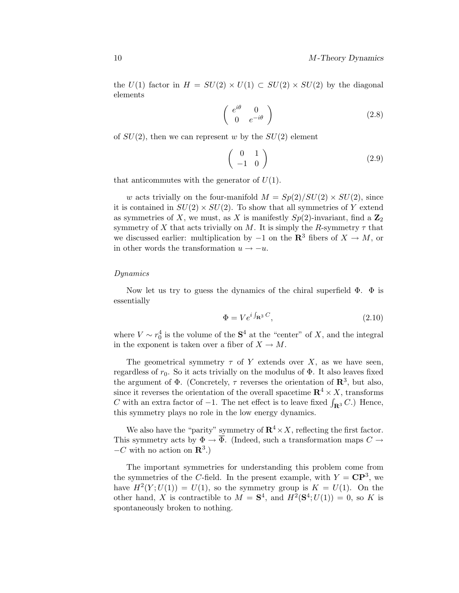the  $U(1)$  factor in  $H = SU(2) \times U(1) \subset SU(2) \times SU(2)$  by the diagonal elements

$$
\left(\begin{array}{cc} e^{i\theta} & 0\\ 0 & e^{-i\theta} \end{array}\right) \tag{2.8}
$$

of  $SU(2)$ , then we can represent w by the  $SU(2)$  element

$$
\left(\begin{array}{cc} 0 & 1 \\ -1 & 0 \end{array}\right) \tag{2.9}
$$

that anticommutes with the generator of  $U(1)$ .

w acts trivially on the four-manifold  $M = Sp(2)/SU(2) \times SU(2)$ , since it is contained in  $SU(2) \times SU(2)$ . To show that all symmetries of Y extend as symmetries of X, we must, as X is manifestly  $Sp(2)$ -invariant, find a  $\mathbb{Z}_2$ symmetry of X that acts trivially on M. It is simply the R-symmetry  $\tau$  that we discussed earlier: multiplication by  $-1$  on the **R**<sup>3</sup> fibers of  $X \to M$ , or in other words the transformation  $u \rightarrow -u$ .

#### Dynamics

Now let us try to guess the dynamics of the chiral superfield  $\Phi$ .  $\Phi$  is essentially

$$
\Phi = V e^{i \int_{\mathbf{R}^3} C},\tag{2.10}
$$

where  $V \sim r_0^4$  is the volume of the  $S^4$  at the "center" of X, and the integral in the exponent is taken over a fiber of  $X \to M$ .

The geometrical symmetry  $\tau$  of Y extends over X, as we have seen, regardless of  $r_0$ . So it acts trivially on the modulus of  $\Phi$ . It also leaves fixed the argument of  $\Phi$ . (Concretely,  $\tau$  reverses the orientation of  $\mathbb{R}^3$ , but also, since it reverses the orientation of the overall spacetime  $\mathbb{R}^4 \times X$ , transforms C with an extra factor of  $-1$ . The net effect is to leave fixed  $\int_{\mathbf{R}^3} C$ .) Hence, this symmetry plays no role in the low energy dynamics.

We also have the "parity" symmetry of  $\mathbb{R}^4 \times X$ , reflecting the first factor. This symmetry acts by  $\Phi \to \overline{\Phi}$ . (Indeed, such a transformation maps  $C \to$  $-C$  with no action on  $\mathbb{R}^3$ .)

The important symmetries for understanding this problem come from the symmetries of the C-field. In the present example, with  $Y = \mathbb{C}P^3$ , we have  $H^2(Y;U(1)) = U(1)$ , so the symmetry group is  $K = U(1)$ . On the other hand, X is contractible to  $M = S^4$ , and  $H^2(S^4; U(1)) = 0$ , so K is spontaneously broken to nothing.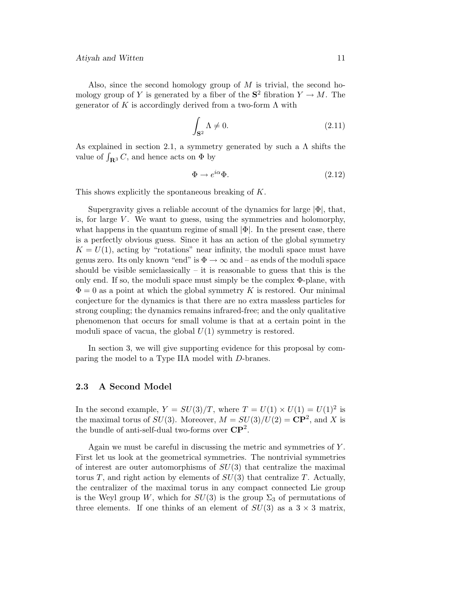Also, since the second homology group of  $M$  is trivial, the second homology group of Y is generated by a fiber of the  $S^2$  fibration  $Y \to M$ . The generator of K is accordingly derived from a two-form  $\Lambda$  with

$$
\int_{\mathbf{S}^2} \Lambda \neq 0. \tag{2.11}
$$

As explained in section 2.1, a symmetry generated by such a  $\Lambda$  shifts the value of  $\int_{\mathbf{R}^3} C$ , and hence acts on  $\Phi$  by

$$
\Phi \to e^{i\alpha}\Phi. \tag{2.12}
$$

This shows explicitly the spontaneous breaking of K.

Supergravity gives a reliable account of the dynamics for large  $|\Phi|$ , that, is, for large  $V$ . We want to guess, using the symmetries and holomorphy, what happens in the quantum regime of small  $|\Phi|$ . In the present case, there is a perfectly obvious guess. Since it has an action of the global symmetry  $K = U(1)$ , acting by "rotations" near infinity, the moduli space must have genus zero. Its only known "end" is  $\Phi \to \infty$  and – as ends of the moduli space should be visible semiclassically – it is reasonable to guess that this is the only end. If so, the moduli space must simply be the complex  $\Phi$ -plane, with  $\Phi = 0$  as a point at which the global symmetry K is restored. Our minimal conjecture for the dynamics is that there are no extra massless particles for strong coupling; the dynamics remains infrared-free; and the only qualitative phenomenon that occurs for small volume is that at a certain point in the moduli space of vacua, the global  $U(1)$  symmetry is restored.

In section 3, we will give supporting evidence for this proposal by comparing the model to a Type IIA model with D-branes.

#### **2.3 A Second Model**

In the second example,  $Y = SU(3)/T$ , where  $T = U(1) \times U(1) = U(1)^2$  is the maximal torus of  $SU(3)$ . Moreover,  $M = SU(3)/U(2) = \mathbb{CP}^2$ , and X is the bundle of anti-self-dual two-forms over **CP**2.

Again we must be careful in discussing the metric and symmetries of Y . First let us look at the geometrical symmetries. The nontrivial symmetries of interest are outer automorphisms of  $SU(3)$  that centralize the maximal torus T, and right action by elements of  $SU(3)$  that centralize T. Actually, the centralizer of the maximal torus in any compact connected Lie group is the Weyl group W, which for  $SU(3)$  is the group  $\Sigma_3$  of permutations of three elements. If one thinks of an element of  $SU(3)$  as a  $3 \times 3$  matrix,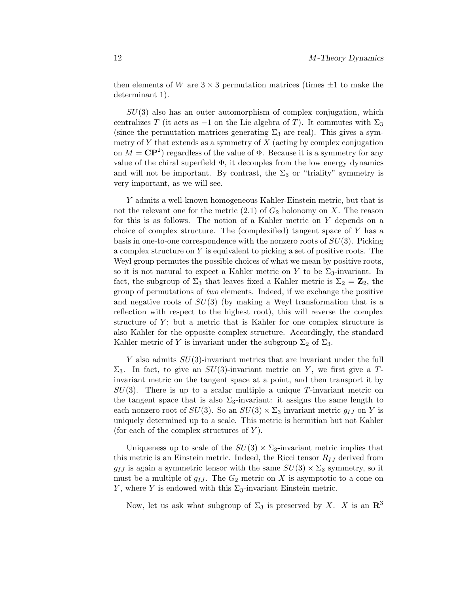then elements of W are  $3 \times 3$  permutation matrices (times  $\pm 1$  to make the determinant 1).

 $SU(3)$  also has an outer automorphism of complex conjugation, which centralizes T (it acts as -1 on the Lie algebra of T). It commutes with  $\Sigma_3$ (since the permutation matrices generating  $\Sigma_3$  are real). This gives a symmetry of  $Y$  that extends as a symmetry of  $X$  (acting by complex conjugation on  $M = \mathbb{C}P^2$  regardless of the value of  $\Phi$ . Because it is a symmetry for any value of the chiral superfield  $\Phi$ , it decouples from the low energy dynamics and will not be important. By contrast, the  $\Sigma_3$  or "triality" symmetry is very important, as we will see.

Y admits a well-known homogeneous Kahler-Einstein metric, but that is not the relevant one for the metric  $(2.1)$  of  $G_2$  holonomy on X. The reason for this is as follows. The notion of a Kahler metric on Y depends on a choice of complex structure. The (complexified) tangent space of  $Y$  has a basis in one-to-one correspondence with the nonzero roots of  $SU(3)$ . Picking a complex structure on  $Y$  is equivalent to picking a set of positive roots. The Weyl group permutes the possible choices of what we mean by positive roots, so it is not natural to expect a Kahler metric on Y to be  $\Sigma_3$ -invariant. In fact, the subgroup of  $\Sigma_3$  that leaves fixed a Kahler metric is  $\Sigma_2 = \mathbb{Z}_2$ , the group of permutations of *two* elements. Indeed, if we exchange the positive and negative roots of  $SU(3)$  (by making a Weyl transformation that is a reflection with respect to the highest root), this will reverse the complex structure of  $Y$ ; but a metric that is Kahler for one complex structure is also Kahler for the opposite complex structure. Accordingly, the standard Kahler metric of Y is invariant under the subgroup  $\Sigma_2$  of  $\Sigma_3$ .

Y also admits  $SU(3)$ -invariant metrics that are invariant under the full  $\Sigma_3$ . In fact, to give an  $SU(3)$ -invariant metric on Y, we first give a Tinvariant metric on the tangent space at a point, and then transport it by  $SU(3)$ . There is up to a scalar multiple a unique T-invariant metric on the tangent space that is also  $\Sigma_3$ -invariant: it assigns the same length to each nonzero root of  $SU(3)$ . So an  $SU(3) \times \Sigma_3$ -invariant metric  $g_{IJ}$  on Y is uniquely determined up to a scale. This metric is hermitian but not Kahler (for each of the complex structures of  $Y$ ).

Uniqueness up to scale of the  $SU(3) \times \Sigma_3$ -invariant metric implies that this metric is an Einstein metric. Indeed, the Ricci tensor  $R_{IJ}$  derived from  $g_{IJ}$  is again a symmetric tensor with the same  $SU(3) \times \Sigma_3$  symmetry, so it must be a multiple of  $g_{IJ}$ . The  $G_2$  metric on X is asymptotic to a cone on Y, where Y is endowed with this  $\Sigma_3$ -invariant Einstein metric.

Now, let us ask what subgroup of  $\Sigma_3$  is preserved by X. X is an  $\mathbb{R}^3$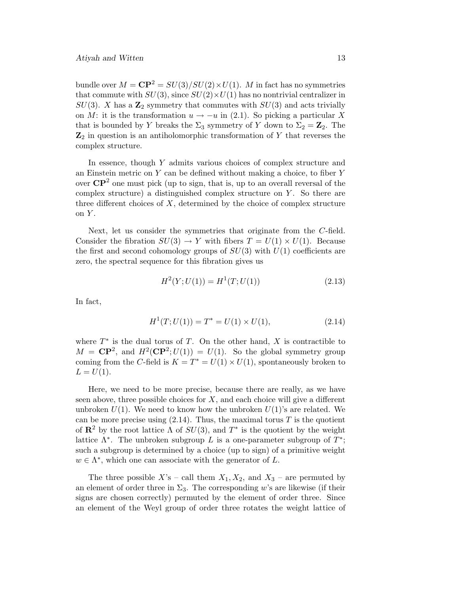bundle over  $M = \mathbb{CP}^2 = SU(3)/SU(2) \times U(1)$ . M in fact has no symmetries that commute with  $SU(3)$ , since  $SU(2) \times U(1)$  has no nontrivial centralizer in  $SU(3)$ . X has a  $\mathbb{Z}_2$  symmetry that commutes with  $SU(3)$  and acts trivially on M: it is the transformation  $u \to -u$  in (2.1). So picking a particular X that is bounded by Y breaks the  $\Sigma_3$  symmetry of Y down to  $\Sigma_2 = \mathbb{Z}_2$ . The  $\mathbf{Z}_2$  in question is an antiholomorphic transformation of Y that reverses the complex structure.

In essence, though  $Y$  admits various choices of complex structure and an Einstein metric on Y can be defined without making a choice, to fiber Y over  $\mathbb{CP}^2$  one must pick (up to sign, that is, up to an overall reversal of the complex structure) a distinguished complex structure on  $Y$ . So there are three different choices of  $X$ , determined by the choice of complex structure on  $Y$ .

Next, let us consider the symmetries that originate from the C-field. Consider the fibration  $SU(3) \rightarrow Y$  with fibers  $T = U(1) \times U(1)$ . Because the first and second cohomology groups of  $SU(3)$  with  $U(1)$  coefficients are zero, the spectral sequence for this fibration gives us

$$
H2(Y;U(1)) = H1(T;U(1))
$$
\n(2.13)

In fact,

$$
H^{1}(T;U(1)) = T^{*} = U(1) \times U(1), \qquad (2.14)
$$

where  $T^*$  is the dual torus of T. On the other hand, X is contractible to  $M = \mathbb{C}\mathbb{P}^2$ , and  $H^2(\mathbb{C}\mathbb{P}^2; U(1)) = U(1)$ . So the global symmetry group coming from the C-field is  $K = T^* = U(1) \times U(1)$ , spontaneously broken to  $L = U(1)$ .

Here, we need to be more precise, because there are really, as we have seen above, three possible choices for  $X$ , and each choice will give a different unbroken  $U(1)$ . We need to know how the unbroken  $U(1)$ 's are related. We can be more precise using  $(2.14)$ . Thus, the maximal torus T is the quotient of  $\mathbb{R}^2$  by the root lattice  $\Lambda$  of  $SU(3)$ , and  $T^*$  is the quotient by the weight lattice  $\Lambda^*$ . The unbroken subgroup L is a one-parameter subgroup of  $T^*$ ; such a subgroup is determined by a choice (up to sign) of a primitive weight  $w \in \Lambda^*$ , which one can associate with the generator of L.

The three possible  $X$ 's – call them  $X_1, X_2$ , and  $X_3$  – are permuted by an element of order three in  $\Sigma_3$ . The corresponding w's are likewise (if their signs are chosen correctly) permuted by the element of order three. Since an element of the Weyl group of order three rotates the weight lattice of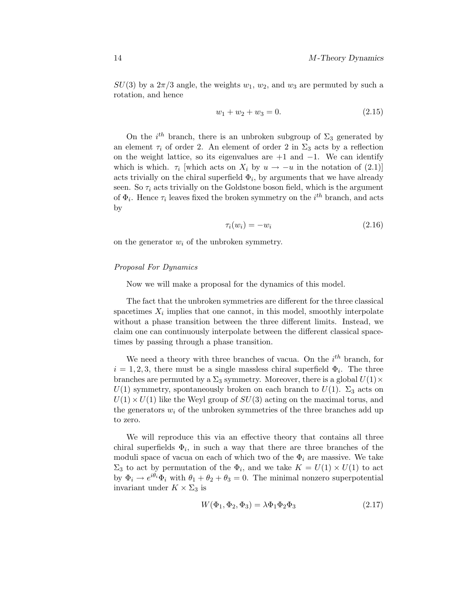$SU(3)$  by a  $2\pi/3$  angle, the weights  $w_1, w_2$ , and  $w_3$  are permuted by such a rotation, and hence

$$
w_1 + w_2 + w_3 = 0.\t\t(2.15)
$$

On the  $i^{th}$  branch, there is an unbroken subgroup of  $\Sigma_3$  generated by an element  $\tau_i$  of order 2. An element of order 2 in  $\Sigma_3$  acts by a reflection on the weight lattice, so its eigenvalues are  $+1$  and  $-1$ . We can identify which is which.  $\tau_i$  [which acts on  $X_i$  by  $u \to -u$  in the notation of (2.1)] acts trivially on the chiral superfield  $\Phi_i$ , by arguments that we have already seen. So  $\tau_i$  acts trivially on the Goldstone boson field, which is the argument of  $\Phi_i$ . Hence  $\tau_i$  leaves fixed the broken symmetry on the  $i^{th}$  branch, and acts by

$$
\tau_i(w_i) = -w_i \tag{2.16}
$$

on the generator  $w_i$  of the unbroken symmetry.

#### Proposal For Dynamics

Now we will make a proposal for the dynamics of this model.

The fact that the unbroken symmetries are different for the three classical spacetimes  $X_i$  implies that one cannot, in this model, smoothly interpolate without a phase transition between the three different limits. Instead, we claim one can continuously interpolate between the different classical spacetimes by passing through a phase transition.

We need a theory with three branches of vacua. On the  $i<sup>th</sup>$  branch, for  $i = 1, 2, 3$ , there must be a single massless chiral superfield  $\Phi_i$ . The three branches are permuted by a  $\Sigma_3$  symmetry. Moreover, there is a global  $U(1) \times$  $U(1)$  symmetry, spontaneously broken on each branch to  $U(1)$ .  $\Sigma_3$  acts on  $U(1) \times U(1)$  like the Weyl group of  $SU(3)$  acting on the maximal torus, and the generators  $w_i$  of the unbroken symmetries of the three branches add up to zero.

We will reproduce this via an effective theory that contains all three chiral superfields  $\Phi_i$ , in such a way that there are three branches of the moduli space of vacua on each of which two of the  $\Phi_i$  are massive. We take  $\Sigma_3$  to act by permutation of the  $\Phi_i$ , and we take  $K = U(1) \times U(1)$  to act by  $\Phi_i \to e^{i\theta_i} \Phi_i$  with  $\theta_1 + \theta_2 + \theta_3 = 0$ . The minimal nonzero superpotential invariant under  $K \times \Sigma_3$  is

$$
W(\Phi_1, \Phi_2, \Phi_3) = \lambda \Phi_1 \Phi_2 \Phi_3 \tag{2.17}
$$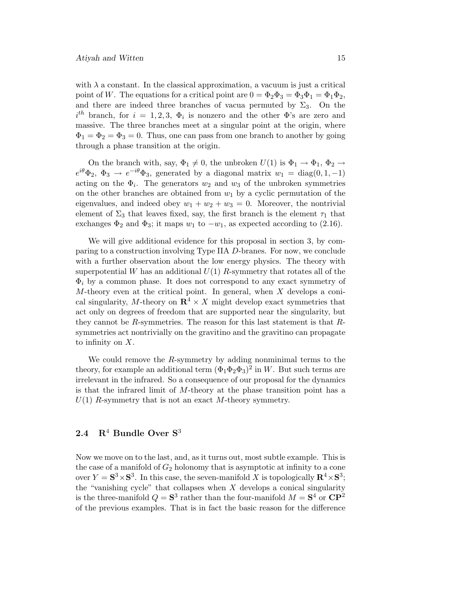with  $\lambda$  a constant. In the classical approximation, a vacuum is just a critical point of W. The equations for a critical point are  $0 = \Phi_2 \Phi_3 = \Phi_3 \Phi_1 = \Phi_1 \Phi_2$ , and there are indeed three branches of vacua permuted by  $\Sigma_3$ . On the  $i<sup>th</sup>$  branch, for  $i = 1, 2, 3, \Phi_i$  is nonzero and the other  $\Phi$ 's are zero and massive. The three branches meet at a singular point at the origin, where  $\Phi_1 = \Phi_2 = \Phi_3 = 0$ . Thus, one can pass from one branch to another by going through a phase transition at the origin.

On the branch with, say,  $\Phi_1 \neq 0$ , the unbroken  $U(1)$  is  $\Phi_1 \rightarrow \Phi_1$ ,  $\Phi_2 \rightarrow$  $e^{i\theta}\Phi_2$ ,  $\Phi_3 \to e^{-i\theta}\Phi_3$ , generated by a diagonal matrix  $w_1 = \text{diag}(0, 1, -1)$ acting on the  $\Phi_i$ . The generators  $w_2$  and  $w_3$  of the unbroken symmetries on the other branches are obtained from  $w_1$  by a cyclic permutation of the eigenvalues, and indeed obey  $w_1 + w_2 + w_3 = 0$ . Moreover, the nontrivial element of  $\Sigma_3$  that leaves fixed, say, the first branch is the element  $\tau_1$  that exchanges  $\Phi_2$  and  $\Phi_3$ ; it maps  $w_1$  to  $-w_1$ , as expected according to (2.16).

We will give additional evidence for this proposal in section 3, by comparing to a construction involving Type IIA D-branes. For now, we conclude with a further observation about the low energy physics. The theory with superpotential W has an additional  $U(1)$  R-symmetry that rotates all of the  $\Phi_i$  by a common phase. It does not correspond to any exact symmetry of  $M$ -theory even at the critical point. In general, when  $X$  develops a conical singularity, M-theory on  $\mathbb{R}^4 \times X$  might develop exact symmetries that act only on degrees of freedom that are supported near the singularity, but they cannot be R-symmetries. The reason for this last statement is that  $R$ symmetries act nontrivially on the gravitino and the gravitino can propagate to infinity on  $X$ .

We could remove the  $R$ -symmetry by adding nonminimal terms to the theory, for example an additional term  $(\Phi_1 \Phi_2 \Phi_3)^2$  in W. But such terms are irrelevant in the infrared. So a consequence of our proposal for the dynamics is that the infrared limit of M-theory at the phase transition point has a  $U(1)$  R-symmetry that is not an exact M-theory symmetry.

# **2.4 R**<sup>4</sup> **Bundle Over S**<sup>3</sup>

Now we move on to the last, and, as it turns out, most subtle example. This is the case of a manifold of  $G_2$  holonomy that is asymptotic at infinity to a cone over  $Y = S^3 \times S^3$ . In this case, the seven-manifold X is topologically  $\mathbb{R}^4 \times S^3$ ; the "vanishing cycle" that collapses when  $X$  develops a conical singularity is the three-manifold  $Q = S^3$  rather than the four-manifold  $M = S^4$  or  $\mathbb{CP}^2$ of the previous examples. That is in fact the basic reason for the difference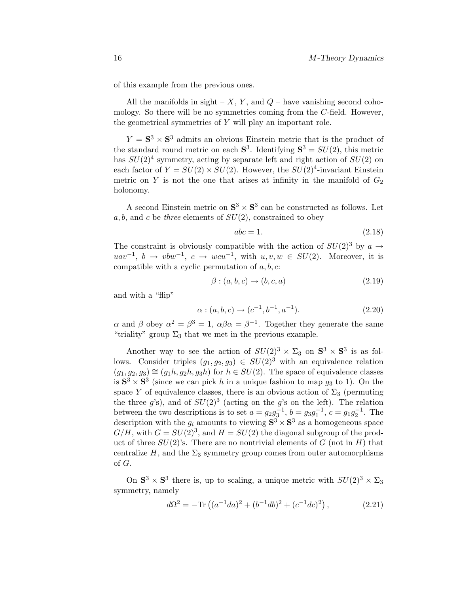of this example from the previous ones.

All the manifolds in sight –  $X, Y$ , and  $Q$  – have vanishing second cohomology. So there will be no symmetries coming from the C-field. However, the geometrical symmetries of Y will play an important role.

 $Y = S<sup>3</sup> \times S<sup>3</sup>$  admits an obvious Einstein metric that is the product of the standard round metric on each  $S^3$ . Identifying  $S^3 = SU(2)$ , this metric has  $SU(2)^4$  symmetry, acting by separate left and right action of  $SU(2)$  on each factor of  $Y = SU(2) \times SU(2)$ . However, the  $SU(2)^4$ -invariant Einstein metric on Y is not the one that arises at infinity in the manifold of  $G_2$ holonomy.

A second Einstein metric on  $S^3 \times S^3$  can be constructed as follows. Let  $a, b$ , and c be three elements of  $SU(2)$ , constrained to obey

$$
abc = 1.\t(2.18)
$$

The constraint is obviously compatible with the action of  $SU(2)^3$  by  $a \rightarrow$  $uav^{-1}$ ,  $b \rightarrow vbw^{-1}$ ,  $c \rightarrow wcu^{-1}$ , with  $u, v, w \in SU(2)$ . Moreover, it is compatible with a cyclic permutation of  $a, b, c$ :

$$
\beta : (a, b, c) \rightarrow (b, c, a) \tag{2.19}
$$

and with a "flip"

$$
\alpha : (a, b, c) \to (c^{-1}, b^{-1}, a^{-1}). \tag{2.20}
$$

 $\alpha$  and  $\beta$  obey  $\alpha^2 = \beta^3 = 1$ ,  $\alpha\beta\alpha = \beta^{-1}$ . Together they generate the same "triality" group  $\Sigma_3$  that we met in the previous example.

Another way to see the action of  $SU(2)^3 \times \Sigma_3$  on  $S^3 \times S^3$  is as follows. Consider triples  $(g_1, g_2, g_3) \in SU(2)^3$  with an equivalence relation  $(g_1, g_2, g_3) \cong (g_1h, g_2h, g_3h)$  for  $h \in SU(2)$ . The space of equivalence classes is  $S^3 \times S^3$  (since we can pick h in a unique fashion to map  $g_3$  to 1). On the space Y of equivalence classes, there is an obvious action of  $\Sigma_3$  (permuting the three g's), and of  $SU(2)^3$  (acting on the g's on the left). The relation between the two descriptions is to set  $a = g_2 g_3^{-1}$ ,  $b = g_3 g_1^{-1}$ ,  $c = g_1 g_2^{-1}$ . The description with the  $g_i$  amounts to viewing  $S^3 \times S^3$  as a homogeneous space  $G/H$ , with  $G = SU(2)^3$ , and  $H = SU(2)$  the diagonal subgroup of the product of three  $SU(2)$ 's. There are no nontrivial elements of G (not in H) that centralize H, and the  $\Sigma_3$  symmetry group comes from outer automorphisms of G.

On  $S^3 \times S^3$  there is, up to scaling, a unique metric with  $SU(2)^3 \times \Sigma_3$ symmetry, namely

$$
d\Omega^{2} = -\text{Tr}\left( (a^{-1}da)^{2} + (b^{-1}db)^{2} + (c^{-1}dc)^{2} \right), \qquad (2.21)
$$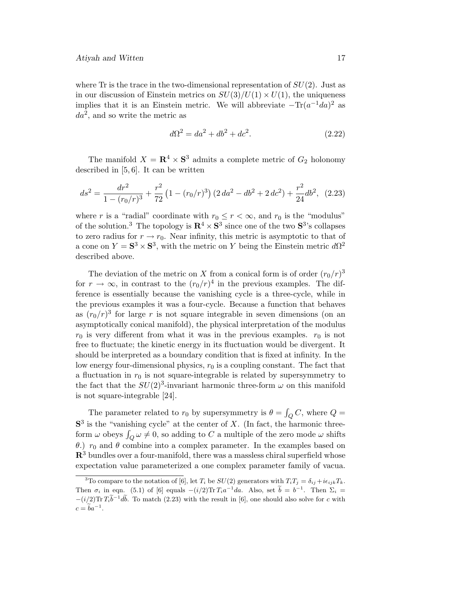where Tr is the trace in the two-dimensional representation of  $SU(2)$ . Just as in our discussion of Einstein metrics on  $SU(3)/U(1) \times U(1)$ , the uniqueness implies that it is an Einstein metric. We will abbreviate  $-\text{Tr}(a^{-1}da)^2$  as  $da<sup>2</sup>$ , and so write the metric as

$$
d\Omega^2 = da^2 + db^2 + dc^2.
$$
 (2.22)

The manifold  $X = \mathbb{R}^4 \times \mathbb{S}^3$  admits a complete metric of  $G_2$  holonomy described in [5, 6]. It can be written

$$
ds^{2} = \frac{dr^{2}}{1 - (r_{0}/r)^{3}} + \frac{r^{2}}{72} (1 - (r_{0}/r)^{3}) (2 da^{2} - db^{2} + 2 dc^{2}) + \frac{r^{2}}{24} db^{2}, (2.23)
$$

where r is a "radial" coordinate with  $r_0 \le r < \infty$ , and  $r_0$  is the "modulus" of the solution.<sup>3</sup> The topology is  $\mathbb{R}^4 \times \mathbb{S}^3$  since one of the two  $\mathbb{S}^3$ 's collapses to zero radius for  $r \to r_0$ . Near infinity, this metric is asymptotic to that of a cone on  $Y = S^3 \times S^3$ , with the metric on Y being the Einstein metric  $d\Omega^2$ described above.

The deviation of the metric on X from a conical form is of order  $(r_0/r)^3$ for  $r \to \infty$ , in contrast to the  $(r_0/r)^4$  in the previous examples. The difference is essentially because the vanishing cycle is a three-cycle, while in the previous examples it was a four-cycle. Because a function that behaves as  $(r_0/r)^3$  for large r is not square integrable in seven dimensions (on an asymptotically conical manifold), the physical interpretation of the modulus  $r_0$  is very different from what it was in the previous examples.  $r_0$  is not free to fluctuate; the kinetic energy in its fluctuation would be divergent. It should be interpreted as a boundary condition that is fixed at infinity. In the low energy four-dimensional physics,  $r_0$  is a coupling constant. The fact that a fluctuation in  $r_0$  is not square-integrable is related by supersymmetry to the fact that the  $SU(2)^3$ -invariant harmonic three-form  $\omega$  on this manifold is not square-integrable [24].

The parameter related to  $r_0$  by supersymmetry is  $\theta = \int_Q C$ , where  $Q =$  $S<sup>3</sup>$  is the "vanishing cycle" at the center of X. (In fact, the harmonic threeform  $\omega$  obeys  $\int_Q \omega \neq 0$ , so adding to  $C$  a multiple of the zero mode  $\omega$  shifts θ.)  $r_0$  and θ combine into a complex parameter. In the examples based on **R**<sup>3</sup> bundles over a four-manifold, there was a massless chiral superfield whose expectation value parameterized a one complex parameter family of vacua.

<sup>&</sup>lt;sup>3</sup>To compare to the notation of [6], let  $T_i$  be  $SU(2)$  generators with  $T_iT_j = \delta_{ij} + i\epsilon_{ijk}T_k$ . Then  $\sigma_i$  in eqn. (5.1) of [6] equals  $-(i/2) \text{Tr} T_i a^{-1} da$ . Also, set  $\tilde{b} = b^{-1}$ . Then  $\Sigma_i =$  $-(i/2) \text{Tr} T_i \tilde{b}^{-1} d\tilde{b}$ . To match (2.23) with the result in [6], one should also solve for c with  $c = \tilde{b}a^{-1}.$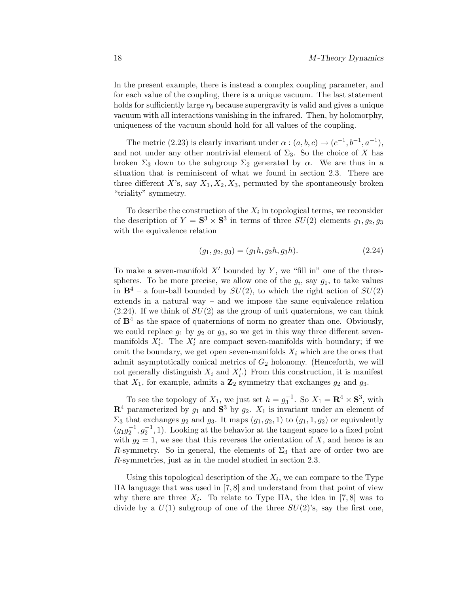In the present example, there is instead a complex coupling parameter, and for each value of the coupling, there is a unique vacuum. The last statement holds for sufficiently large  $r_0$  because supergravity is valid and gives a unique vacuum with all interactions vanishing in the infrared. Then, by holomorphy, uniqueness of the vacuum should hold for all values of the coupling.

The metric (2.23) is clearly invariant under  $\alpha$  :  $(a, b, c) \rightarrow (c^{-1}, b^{-1}, a^{-1})$ , and not under any other nontrivial element of  $\Sigma_3$ . So the choice of X has broken  $\Sigma_3$  down to the subgroup  $\Sigma_2$  generated by  $\alpha$ . We are thus in a situation that is reminiscent of what we found in section 2.3. There are three different X's, say  $X_1, X_2, X_3$ , permuted by the spontaneously broken "triality" symmetry.

To describe the construction of the  $X_i$  in topological terms, we reconsider the description of  $Y = \mathbf{S}^3 \times \mathbf{S}^3$  in terms of three  $SU(2)$  elements  $g_1, g_2, g_3$ with the equivalence relation

$$
(g_1, g_2, g_3) = (g_1h, g_2h, g_3h). \tag{2.24}
$$

To make a seven-manifold  $X'$  bounded by  $Y$ , we "fill in" one of the threespheres. To be more precise, we allow one of the  $g_i$ , say  $g_1$ , to take values in  $\mathbf{B}^4$  – a four-ball bounded by  $SU(2)$ , to which the right action of  $SU(2)$ extends in a natural way – and we impose the same equivalence relation  $(2.24)$ . If we think of  $SU(2)$  as the group of unit quaternions, we can think of  $\mathbf{B}^4$  as the space of quaternions of norm no greater than one. Obviously, we could replace  $g_1$  by  $g_2$  or  $g_3$ , so we get in this way three different sevenmanifolds  $X_i'$ . The  $X_i'$  are compact seven-manifolds with boundary; if we omit the boundary, we get open seven-manifolds  $X_i$  which are the ones that admit asymptotically conical metrics of  $G_2$  holonomy. (Henceforth, we will not generally distinguish  $X_i$  and  $X'_i$ .) From this construction, it is manifest that  $X_1$ , for example, admits a  $\mathbb{Z}_2$  symmetry that exchanges  $g_2$  and  $g_3$ .

To see the topology of  $X_1$ , we just set  $h = g_3^{-1}$ . So  $X_1 = \mathbb{R}^4 \times \mathbb{S}^3$ , with  $\mathbb{R}^4$  parameterized by  $g_1$  and  $\mathbb{S}^3$  by  $g_2$ .  $X_1$  is invariant under an element of  $\Sigma_3$  that exchanges  $g_2$  and  $g_3$ . It maps  $(g_1, g_2, 1)$  to  $(g_1, 1, g_2)$  or equivalently  $(g_1g_2^{-1}, g_2^{-1}, 1)$ . Looking at the behavior at the tangent space to a fixed point with  $g_2 = 1$ , we see that this reverses the orientation of X, and hence is an R-symmetry. So in general, the elements of  $\Sigma_3$  that are of order two are R-symmetries, just as in the model studied in section 2.3.

Using this topological description of the  $X_i$ , we can compare to the Type IIA language that was used in [7, 8] and understand from that point of view why there are three  $X_i$ . To relate to Type IIA, the idea in [7,8] was to divide by a  $U(1)$  subgroup of one of the three  $SU(2)$ 's, say the first one,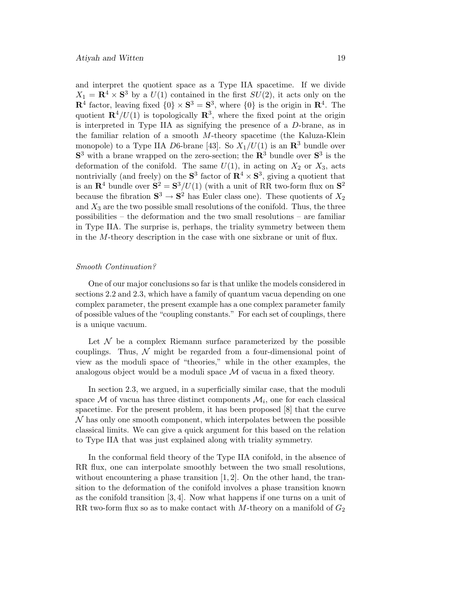and interpret the quotient space as a Type IIA spacetime. If we divide  $X_1 = \mathbf{R}^4 \times \mathbf{S}^3$  by a  $U(1)$  contained in the first  $SU(2)$ , it acts only on the **R**<sup>4</sup> factor, leaving fixed  $\{0\} \times S^3 = S^3$ , where  $\{0\}$  is the origin in **R**<sup>4</sup>. The quotient  $\mathbb{R}^4/U(1)$  is topologically  $\mathbb{R}^3$ , where the fixed point at the origin is interpreted in Type IIA as signifying the presence of a D-brane, as in the familiar relation of a smooth M-theory spacetime (the Kaluza-Klein monopole) to a Type IIA D6-brane [43]. So  $X_1/U(1)$  is an  $\mathbb{R}^3$  bundle over **S**<sup>3</sup> with a brane wrapped on the zero-section; the **R**<sup>3</sup> bundle over **S**<sup>3</sup> is the deformation of the conifold. The same  $U(1)$ , in acting on  $X_2$  or  $X_3$ , acts nontrivially (and freely) on the  $S^3$  factor of  $\mathbb{R}^4 \times S^3$ , giving a quotient that is an  $\mathbb{R}^4$  bundle over  $\mathbb{S}^2 = \mathbb{S}^3/U(1)$  (with a unit of RR two-form flux on  $\mathbb{S}^2$ ) because the fibration  $S^3 \to S^2$  has Euler class one). These quotients of  $X_2$ and  $X_3$  are the two possible small resolutions of the conifold. Thus, the three possibilities – the deformation and the two small resolutions – are familiar in Type IIA. The surprise is, perhaps, the triality symmetry between them in the  $M$ -theory description in the case with one sixbrane or unit of flux.

#### Smooth Continuation?

One of our major conclusions so far is that unlike the models considered in sections 2.2 and 2.3, which have a family of quantum vacua depending on one complex parameter, the present example has a one complex parameter family of possible values of the "coupling constants." For each set of couplings, there is a unique vacuum.

Let  $\mathcal N$  be a complex Riemann surface parameterized by the possible couplings. Thus,  $\mathcal N$  might be regarded from a four-dimensional point of view as the moduli space of"theories," while in the other examples, the analogous object would be a moduli space  $\mathcal M$  of vacua in a fixed theory.

In section 2.3, we argued, in a superficially similar case, that the moduli space  $\mathcal M$  of vacua has three distinct components  $\mathcal M_i$ , one for each classical spacetime. For the present problem, it has been proposed [8] that the curve  $\mathcal N$  has only one smooth component, which interpolates between the possible classical limits. We can give a quick argument for this based on the relation to Type IIA that was just explained along with triality symmetry.

In the conformal field theory of the Type IIA conifold, in the absence of RR flux, one can interpolate smoothly between the two small resolutions, without encountering a phase transition  $[1, 2]$ . On the other hand, the transition to the deformation of the conifold involves a phase transition known as the conifold transition  $[3, 4]$ . Now what happens if one turns on a unit of RR two-form flux so as to make contact with  $M$ -theory on a manifold of  $G_2$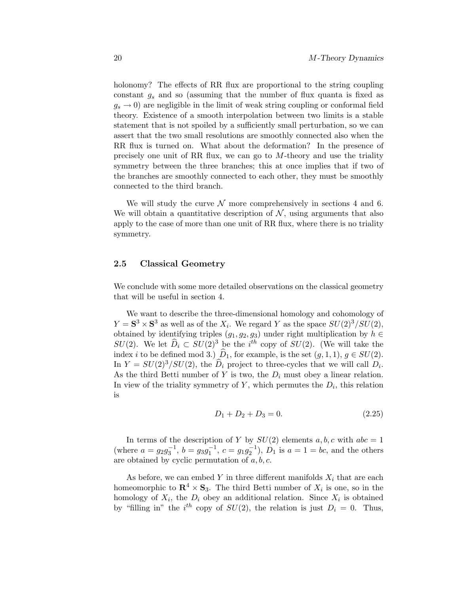holonomy? The effects of RR flux are proportional to the string coupling constant  $g_s$  and so (assuming that the number of flux quanta is fixed as  $g_s \to 0$ ) are negligible in the limit of weak string coupling or conformal field theory. Existence of a smooth interpolation between two limits is a stable statement that is not spoiled by a sufficiently small perturbation, so we can assert that the two small resolutions are smoothly connected also when the RR flux is turned on. What about the deformation? In the presence of precisely one unit of RR flux, we can go to  $M$ -theory and use the triality symmetry between the three branches; this at once implies that if two of the branches are smoothly connected to each other, they must be smoothly connected to the third branch.

We will study the curve  $\mathcal N$  more comprehensively in sections 4 and 6. We will obtain a quantitative description of  $N$ , using arguments that also apply to the case of more than one unit of RR flux, where there is no triality symmetry.

#### **2.5 Classical Geometry**

We conclude with some more detailed observations on the classical geometry that will be useful in section 4.

We want to describe the three-dimensional homology and cohomology of  $Y = S^3 \times S^3$  as well as of the  $X_i$ . We regard Y as the space  $SU(2)^3/SU(2)$ , obtained by identifying triples  $(g_1, g_2, g_3)$  under right multiplication by  $h \in$  $SU(2)$ . We let  $\widehat{D}_i \subset SU(2)^3$  be the  $i^{th}$  copy of  $SU(2)$ . (We will take the index i to be defined mod 3.)  $\widehat{D}_1$ , for example, is the set  $(g, 1, 1), g \in SU(2)$ . In  $Y = SU(2)^3/SU(2)$ , the  $D_i$  project to three-cycles that we will call  $D_i$ . As the third Betti number of Y is two, the  $D_i$  must obey a linear relation. In view of the triality symmetry of Y, which permutes the  $D_i$ , this relation is

$$
D_1 + D_2 + D_3 = 0.\t\t(2.25)
$$

In terms of the description of Y by  $SU(2)$  elements  $a, b, c$  with  $abc = 1$ (where  $a = g_2 g_3^{-1}$ ,  $b = g_3 g_1^{-1}$ ,  $c = g_1 g_2^{-1}$ ),  $D_1$  is  $a = 1 = bc$ , and the others are obtained by cyclic permutation of  $a, b, c$ .

As before, we can embed Y in three different manifolds  $X_i$  that are each homeomorphic to  $\mathbb{R}^4 \times \mathbb{S}_3$ . The third Betti number of  $X_i$  is one, so in the homology of  $X_i$ , the  $D_i$  obey an additional relation. Since  $X_i$  is obtained by "filling in" the  $i^{th}$  copy of  $SU(2)$ , the relation is just  $D_i = 0$ . Thus,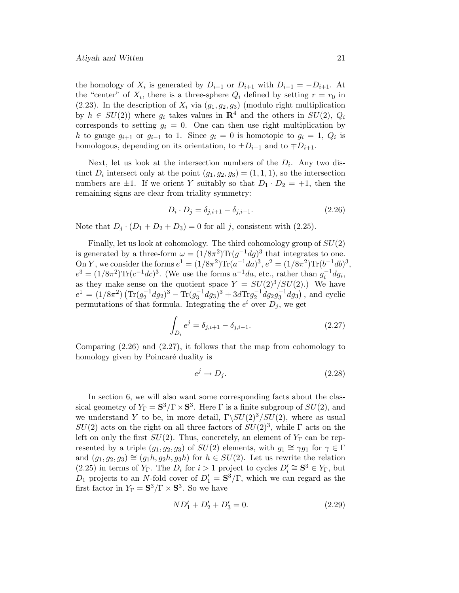the homology of  $X_i$  is generated by  $D_{i-1}$  or  $D_{i+1}$  with  $D_{i-1} = -D_{i+1}$ . At the "center" of  $X_i$ , there is a three-sphere  $Q_i$  defined by setting  $r = r_0$  in  $(2.23)$ . In the description of  $X_i$  via  $(g_1, g_2, g_3)$  (modulo right multiplication by  $h \in SU(2)$ ) where  $g_i$  takes values in  $\mathbb{R}^4$  and the others in  $SU(2)$ ,  $Q_i$ corresponds to setting  $g_i = 0$ . One can then use right multiplication by h to gauge  $g_{i+1}$  or  $g_{i-1}$  to 1. Since  $g_i = 0$  is homotopic to  $g_i = 1, Q_i$  is homologous, depending on its orientation, to  $\pm D_{i-1}$  and to  $\mp D_{i+1}$ .

Next, let us look at the intersection numbers of the  $D_i$ . Any two distinct  $D_i$  intersect only at the point  $(q_1, q_2, q_3) = (1, 1, 1)$ , so the intersection numbers are  $\pm 1$ . If we orient Y suitably so that  $D_1 \cdot D_2 = +1$ , then the remaining signs are clear from triality symmetry:

$$
D_i \cdot D_j = \delta_{j,i+1} - \delta_{j,i-1}.
$$
\n(2.26)

Note that  $D_i \cdot (D_1 + D_2 + D_3) = 0$  for all j, consistent with (2.25).

Finally, let us look at cohomology. The third cohomology group of  $SU(2)$ is generated by a three-form  $\omega = (1/8\pi^2) \text{Tr}(g^{-1}dg)^3$  that integrates to one. On Y, we consider the forms  $e^1 = (1/8\pi^2)\text{Tr}(\ddot{a}^{-1}da)^3, e^2 = (1/8\pi^2)\text{Tr}(b^{-1}db)^3,$  $e^3 = (1/8\pi^2)\text{Tr}(c^{-1}dc)^3$ . (We use the forms  $a^{-1}da$ , etc., rather than  $g_i^{-1}dg_i$ , as they make sense on the quotient space  $Y = SU(2)^3/SU(2)$ .) We have  $e^1 = (1/8\pi^2) \left( \text{Tr}(g_2^{-1}dg_2)^3 - \text{Tr}(g_3^{-1}dg_3)^3 + 3d\text{Tr}g_2^{-1}dg_2g_3^{-1}dg_3 \right)$ , and cyclic permutations of that formula. Integrating the  $e^i$  over  $D_i$ , we get

$$
\int_{D_i} e^j = \delta_{j,i+1} - \delta_{j,i-1}.
$$
\n(2.27)

Comparing (2.26) and (2.27), it follows that the map from cohomology to homology given by Poincaré duality is

$$
e^j \to D_j. \tag{2.28}
$$

In section 6, we will also want some corresponding facts about the classical geometry of  $Y_{\Gamma} = \mathbf{S}^3 / \Gamma \times \mathbf{S}^3$ . Here  $\Gamma$  is a finite subgroup of  $SU(2)$ , and we understand Y to be, in more detail,  $\Gamma \backslash SU(2)^3/SU(2)$ , where as usual  $SU(2)$  acts on the right on all three factors of  $SU(2)^3$ , while  $\Gamma$  acts on the left on only the first  $SU(2)$ . Thus, concretely, an element of  $Y_{\Gamma}$  can be represented by a triple  $(g_1, g_2, g_3)$  of  $SU(2)$  elements, with  $g_1 \cong \gamma g_1$  for  $\gamma \in \Gamma$ and  $(g_1, g_2, g_3) \cong (g_1h, g_2h, g_3h)$  for  $h \in SU(2)$ . Let us rewrite the relation (2.25) in terms of  $Y_{\Gamma}$ . The  $D_i$  for  $i > 1$  project to cycles  $D_i' \cong \mathbf{S}^3 \in Y_{\Gamma}$ , but  $D_1$  projects to an N-fold cover of  $D_1' = \mathbf{S}^3/\Gamma$ , which we can regard as the first factor in  $Y_{\Gamma} = \mathbf{S}^3 / \Gamma \times \mathbf{S}^3$ . So we have

$$
ND_1' + D_2' + D_3' = 0.\t\t(2.29)
$$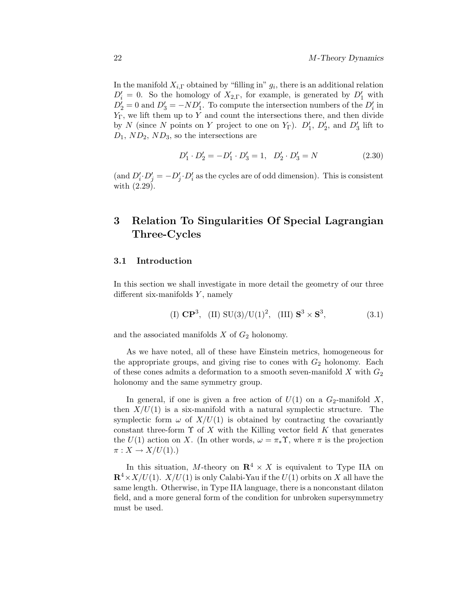In the manifold  $X_{i,\Gamma}$  obtained by "filling in"  $g_i$ , there is an additional relation  $D_i' = 0$ . So the homology of  $X_{2,\Gamma}$ , for example, is generated by  $D_1'$  with  $D'_2 = 0$  and  $D'_3 = -ND'_1$ . To compute the intersection numbers of the  $D'_i$  in  $Y_{\Gamma}$ , we lift them up to Y and count the intersections there, and then divide by N (since N points on Y project to one on  $Y_{\Gamma}$ ).  $D'_{1}$ ,  $D'_{2}$ , and  $D'_{3}$  lift to  $D_1$ ,  $ND_2$ ,  $ND_3$ , so the intersections are

$$
D'_1 \cdot D'_2 = -D'_1 \cdot D'_3 = 1, \quad D'_2 \cdot D'_3 = N \tag{2.30}
$$

(and  $D_i' \cdot D_j' = -D_j' \cdot D_i'$  as the cycles are of odd dimension). This is consistent with (2.29).

# **3 Relation To Singularities Of Special Lagrangian Three-Cycles**

#### **3.1 Introduction**

In this section we shall investigate in more detail the geometry of our three different six-manifolds  $Y$ , namely

(I) 
$$
\mathbb{CP}^3
$$
, (II) SU(3)/U(1)<sup>2</sup>, (III)  $\mathbb{S}^3 \times \mathbb{S}^3$ , (3.1)

and the associated manifolds  $X$  of  $G_2$  holonomy.

As we have noted, all of these have Einstein metrics, homogeneous for the appropriate groups, and giving rise to cones with  $G_2$  holonomy. Each of these cones admits a deformation to a smooth seven-manifold X with  $G_2$ holonomy and the same symmetry group.

In general, if one is given a free action of  $U(1)$  on a  $G_2$ -manifold X, then  $X/U(1)$  is a six-manifold with a natural symplectic structure. The symplectic form  $\omega$  of  $X/U(1)$  is obtained by contracting the covariantly constant three-form  $\Upsilon$  of X with the Killing vector field K that generates the  $U(1)$  action on X. (In other words,  $\omega = \pi_* \Upsilon$ , where  $\pi$  is the projection  $\pi: X \to X/U(1)$ .)

In this situation, M-theory on  $\mathbb{R}^4 \times X$  is equivalent to Type IIA on  $\mathbb{R}^4 \times X/U(1)$ .  $X/U(1)$  is only Calabi-Yau if the  $U(1)$  orbits on X all have the same length. Otherwise, in Type IIA language, there is a nonconstant dilaton field, and a more general form of the condition for unbroken supersymmetry must be used.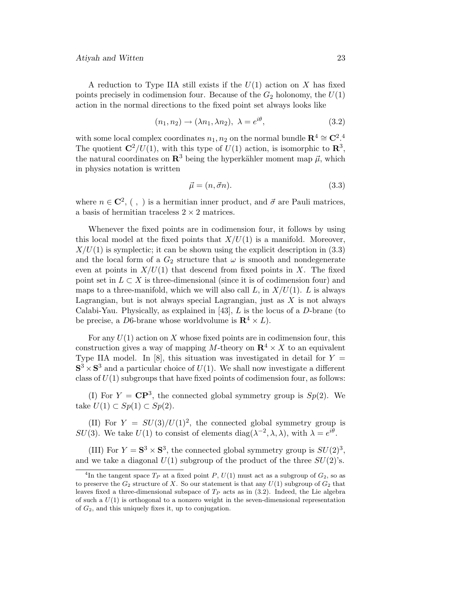A reduction to Type IIA still exists if the  $U(1)$  action on X has fixed points precisely in codimension four. Because of the  $G_2$  holonomy, the  $U(1)$ action in the normal directions to the fixed point set always looks like

$$
(n_1, n_2) \rightarrow (\lambda n_1, \lambda n_2), \ \lambda = e^{i\theta}, \tag{3.2}
$$

with some local complex coordinates  $n_1, n_2$  on the normal bundle  $\mathbb{R}^4 \cong \mathbb{C}^2$ .<sup>4</sup> The quotient  $\mathbb{C}^2/U(1)$ , with this type of  $U(1)$  action, is isomorphic to  $\mathbb{R}^3$ , the natural coordinates on  $\mathbb{R}^3$  being the hyperkähler moment map  $\vec{\mu}$ , which in physics notation is written

$$
\vec{\mu} = (n, \vec{\sigma}n). \tag{3.3}
$$

where  $n \in \mathbb{C}^2$ , (,) is a hermitian inner product, and  $\vec{\sigma}$  are Pauli matrices, a basis of hermitian traceless  $2\times 2$  matrices.

Whenever the fixed points are in codimension four, it follows by using this local model at the fixed points that  $X/U(1)$  is a manifold. Moreover,  $X/U(1)$  is symplectic; it can be shown using the explicit description in (3.3) and the local form of a  $G_2$  structure that  $\omega$  is smooth and nondegenerate even at points in  $X/U(1)$  that descend from fixed points in X. The fixed point set in  $L \subset X$  is three-dimensional (since it is of codimension four) and maps to a three-manifold, which we will also call  $L$ , in  $X/U(1)$ . L is always Lagrangian, but is not always special Lagrangian, just as  $X$  is not always Calabi-Yau. Physically, as explained in [43],  $L$  is the locus of a  $D$ -brane (to be precise, a D6-brane whose worldvolume is  $\mathbb{R}^4 \times L$ ).

For any  $U(1)$  action on X whose fixed points are in codimension four, this construction gives a way of mapping M-theory on  $\mathbb{R}^4 \times X$  to an equivalent Type IIA model. In [8], this situation was investigated in detail for  $Y =$  $S^3 \times S^3$  and a particular choice of  $U(1)$ . We shall now investigate a different class of  $U(1)$  subgroups that have fixed points of codimension four, as follows:

(I) For  $Y = \mathbb{C}P^3$ , the connected global symmetry group is  $Sp(2)$ . We take  $U(1) \subset Sp(1) \subset Sp(2)$ .

(II) For  $Y = SU(3)/U(1)^2$ , the connected global symmetry group is SU(3). We take U(1) to consist of elements diag( $\lambda^{-2}$ ,  $\lambda$ ,  $\lambda$ ), with  $\lambda = e^{i\theta}$ .

(III) For  $Y = S^3 \times S^3$ , the connected global symmetry group is  $SU(2)^3$ , and we take a diagonal  $U(1)$  subgroup of the product of the three  $SU(2)$ 's.

<sup>&</sup>lt;sup>4</sup>In the tangent space  $T_P$  at a fixed point P,  $U(1)$  must act as a subgroup of  $G_2$ , so as to preserve the  $G_2$  structure of X. So our statement is that any  $U(1)$  subgroup of  $G_2$  that leaves fixed a three-dimensional subspace of  $T_P$  acts as in (3.2). Indeed, the Lie algebra of such a  $U(1)$  is orthogonal to a nonzero weight in the seven-dimensional representation of  $G_2$ , and this uniquely fixes it, up to conjugation.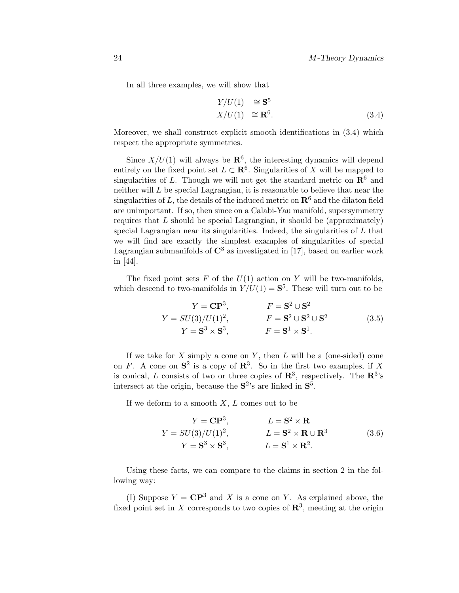In all three examples, we will show that

$$
Y/U(1) \cong S^5
$$
  

$$
X/U(1) \cong \mathbf{R}^6.
$$
 (3.4)

Moreover, we shall construct explicit smooth identifications in (3.4) which respect the appropriate symmetries.

Since  $X/U(1)$  will always be  $\mathbb{R}^6$ , the interesting dynamics will depend entirely on the fixed point set  $L \subset \mathbb{R}^6$ . Singularities of X will be mapped to singularities of L. Though we will not get the standard metric on  $\mathbb{R}^6$  and neither will L be special Lagrangian, it is reasonable to believe that near the singularities of L, the details of the induced metric on  $\mathbb{R}^6$  and the dilaton field are unimportant. If so, then since on a Calabi-Yau manifold, supersymmetry requires that  $L$  should be special Lagrangian, it should be (approximately) special Lagrangian near its singularities. Indeed, the singularities of  $L$  that we will find are exactly the simplest examples of singularities of special Lagrangian submanifolds of  $\mathbb{C}^3$  as investigated in [17], based on earlier work in [44].

The fixed point sets F of the  $U(1)$  action on Y will be two-manifolds, which descend to two-manifolds in  $Y/U(1) = S^5$ . These will turn out to be

$$
Y = \mathbf{CP}^{3}, \qquad F = \mathbf{S}^{2} \cup \mathbf{S}^{2}
$$
  
\n
$$
Y = SU(3)/U(1)^{2}, \qquad F = \mathbf{S}^{2} \cup \mathbf{S}^{2} \cup \mathbf{S}^{2}
$$
  
\n
$$
Y = \mathbf{S}^{3} \times \mathbf{S}^{3}, \qquad F = \mathbf{S}^{1} \times \mathbf{S}^{1}.
$$
\n(3.5)

If we take for X simply a cone on Y, then L will be a (one-sided) cone on F. A cone on  $S^2$  is a copy of  $\mathbb{R}^3$ . So in the first two examples, if X is conical, L consists of two or three copies of  $\mathbb{R}^3$ , respectively. The  $\mathbb{R}^3$ 's intersect at the origin, because the **S**2's are linked in **S**5.

If we deform to a smooth  $X, L$  comes out to be

$$
Y = \mathbf{CP}^{3}, \qquad L = \mathbf{S}^{2} \times \mathbf{R}
$$
  
\n
$$
Y = SU(3)/U(1)^{2}, \qquad L = \mathbf{S}^{2} \times \mathbf{R} \cup \mathbf{R}^{3}
$$
  
\n
$$
Y = \mathbf{S}^{3} \times \mathbf{S}^{3}, \qquad L = \mathbf{S}^{1} \times \mathbf{R}^{2}.
$$
\n(3.6)

Using these facts, we can compare to the claims in section 2 in the following way:

(I) Suppose  $Y = \mathbb{C}P^3$  and X is a cone on Y. As explained above, the fixed point set in X corresponds to two copies of  $\mathbb{R}^3$ , meeting at the origin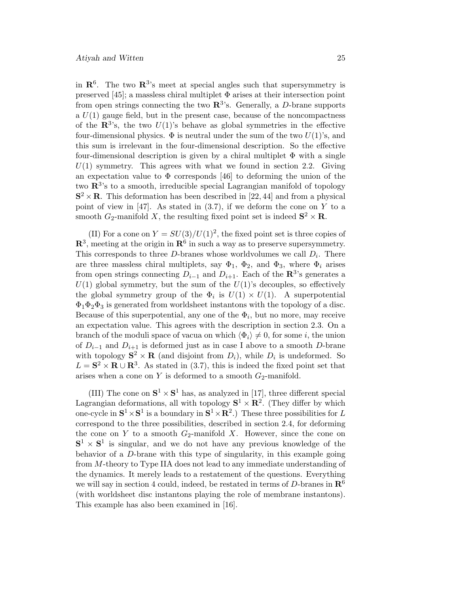in  $\mathbb{R}^6$ . The two  $\mathbb{R}^3$ 's meet at special angles such that supersymmetry is preserved [45]; a massless chiral multiplet  $\Phi$  arises at their intersection point from open strings connecting the two  $\mathbb{R}^{3}$ 's. Generally, a D-brane supports a  $U(1)$  gauge field, but in the present case, because of the noncompactness of the  $\mathbb{R}^{3}$ 's, the two  $U(1)$ 's behave as global symmetries in the effective four-dimensional physics.  $\Phi$  is neutral under the sum of the two  $U(1)$ 's, and this sum is irrelevant in the four-dimensional description. So the effective four-dimensional description is given by a chiral multiplet  $\Phi$  with a single  $U(1)$  symmetry. This agrees with what we found in section 2.2. Giving an expectation value to  $\Phi$  corresponds [46] to deforming the union of the two **R**3's to a smooth, irreducible special Lagrangian manifold of topology  $S^2 \times R$ . This deformation has been described in [22, 44] and from a physical point of view in [47]. As stated in  $(3.7)$ , if we deform the cone on Y to a smooth  $G_2$ -manifold X, the resulting fixed point set is indeed  $S^2 \times R$ .

(II) For a cone on  $Y = SU(3)/U(1)^2$ , the fixed point set is three copies of  $\mathbb{R}^3$ , meeting at the origin in  $\mathbb{R}^6$  in such a way as to preserve supersymmetry. This corresponds to three D-branes whose worldvolumes we call  $D_i$ . There are three massless chiral multiplets, say  $\Phi_1$ ,  $\Phi_2$ , and  $\Phi_3$ , where  $\Phi_i$  arises from open strings connecting  $D_{i-1}$  and  $D_{i+1}$ . Each of the **R**<sup>3</sup>'s generates a  $U(1)$  global symmetry, but the sum of the  $U(1)$ 's decouples, so effectively the global symmetry group of the  $\Phi_i$  is  $U(1) \times U(1)$ . A superpotential  $\Phi_1\Phi_2\Phi_3$  is generated from worldsheet instantons with the topology of a disc. Because of this superpotential, any one of the  $\Phi_i$ , but no more, may receive an expectation value. This agrees with the description in section 2.3. On a branch of the moduli space of vacua on which  $\langle \Phi_i \rangle \neq 0$ , for some *i*, the union of  $D_{i-1}$  and  $D_{i+1}$  is deformed just as in case I above to a smooth D-brane with topology  $S^2 \times \mathbf{R}$  (and disjoint from  $D_i$ ), while  $D_i$  is undeformed. So  $L = S^2 \times \mathbf{R} \cup \mathbf{R}^3$ . As stated in (3.7), this is indeed the fixed point set that arises when a cone on Y is deformed to a smooth  $G_2$ -manifold.

(III) The cone on  $S^1 \times S^1$  has, as analyzed in [17], three different special Lagrangian deformations, all with topology  $S^1 \times \mathbb{R}^2$ . (They differ by which one-cycle in  $S^1 \times S^1$  is a boundary in  $S^1 \times \mathbb{R}^2$ .) These three possibilities for L correspond to the three possibilities, described in section 2.4, for deforming the cone on Y to a smooth  $G_2$ -manifold X. However, since the cone on  $S^1 \times S^1$  is singular, and we do not have any previous knowledge of the behavior of a  $D$ -brane with this type of singularity, in this example going from M-theory to Type IIA does not lead to any immediate understanding of the dynamics. It merely leads to a restatement of the questions. Everything we will say in section 4 could, indeed, be restated in terms of D-branes in **R**<sup>6</sup> (with worldsheet disc instantons playing the role of membrane instantons). This example has also been examined in [16].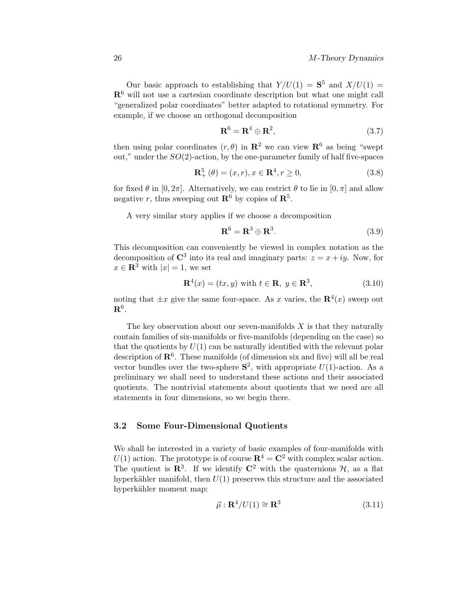Our basic approach to establishing that  $Y/U(1) = S^5$  and  $X/U(1) =$ **R**<sup>6</sup> will not use a cartesian coordinate description but what one might call "generalized polar coordinates" better adapted to rotational symmetry. For example, if we choose an orthogonal decomposition

$$
\mathbf{R}^6 = \mathbf{R}^4 \oplus \mathbf{R}^2,\tag{3.7}
$$

then using polar coordinates  $(r, \theta)$  in  $\mathbb{R}^2$  we can view  $\mathbb{R}^6$  as being "swept" out," under the  $SO(2)$ -action, by the one-parameter family of half five-spaces

$$
\mathbf{R}_{+}^{5}(\theta) = (x, r), x \in \mathbf{R}^{4}, r \ge 0,
$$
\n(3.8)

for fixed  $\theta$  in [0,  $2\pi$ ]. Alternatively, we can restrict  $\theta$  to lie in [0,  $\pi$ ] and allow negative r, thus sweeping out  $\mathbb{R}^6$  by copies of  $\mathbb{R}^5$ .

A very similar story applies if we choose a decomposition

$$
\mathbf{R}^6 = \mathbf{R}^3 \oplus \mathbf{R}^3. \tag{3.9}
$$

This decomposition can conveniently be viewed in complex notation as the decomposition of  $\mathbb{C}^3$  into its real and imaginary parts:  $z = x + iy$ . Now, for  $x \in \mathbb{R}^3$  with  $|x| = 1$ , we set

$$
\mathbf{R}^4(x) = (tx, y) \text{ with } t \in \mathbf{R}, y \in \mathbf{R}^3,
$$
\n(3.10)

noting that  $\pm x$  give the same four-space. As x varies, the  $\mathbb{R}^{4}(x)$  sweep out **R**6.

The key observation about our seven-manifolds  $X$  is that they naturally contain families of six-manifolds or five-manifolds (depending on the case) so that the quotients by  $U(1)$  can be naturally identified with the relevant polar description of  $\mathbb{R}^6$ . These manifolds (of dimension six and five) will all be real vector bundles over the two-sphere  $S^2$ , with appropriate  $U(1)$ -action. As a preliminary we shall need to understand these actions and their associated quotients. The nontrivial statements about quotients that we need are all statements in four dimensions, so we begin there.

#### **3.2 Some Four-Dimensional Quotients**

We shall be interested in a variety of basic examples of four-manifolds with  $U(1)$  action. The prototype is of course  $\mathbb{R}^4 = \mathbb{C}^2$  with complex scalar action. The quotient is  $\mathbb{R}^3$ . If we identify  $\mathbb{C}^2$  with the quaternions  $\mathcal{H}$ , as a flat hyperkähler manifold, then  $U(1)$  preserves this structure and the associated hyperkähler moment map:

$$
\vec{\mu} : \mathbf{R}^4 / U(1) \cong \mathbf{R}^3 \tag{3.11}
$$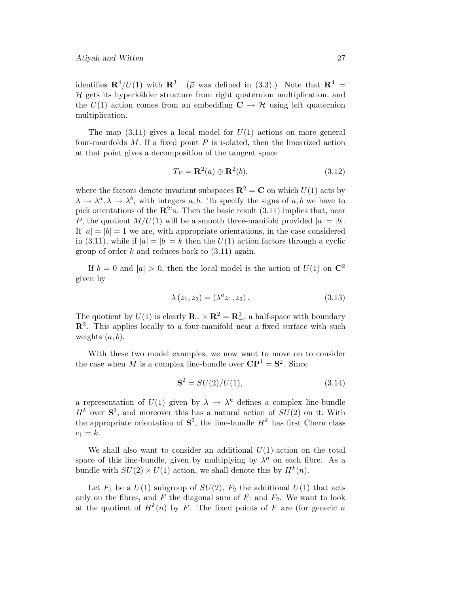identifies  $\mathbb{R}^4/U(1)$  with  $\mathbb{R}^3$ . ( $\vec{\mu}$  was defined in (3.3).) Note that  $\mathbb{R}^4$  =  $H$  gets its hyperkähler structure from right quaternion multiplication, and the  $U(1)$  action comes from an embedding  $C \rightarrow \mathcal{H}$  using left quaternion multiplication.

The map  $(3.11)$  gives a local model for  $U(1)$  actions on more general four-manifolds  $M$ . If a fixed point  $P$  is isolated, then the linearized action at that point gives a decomposition of the tangent space

$$
T_P = \mathbf{R}^2(a) \oplus \mathbf{R}^2(b). \tag{3.12}
$$

where the factors denote invariant subspaces  $\mathbb{R}^2 = \mathbb{C}$  on which  $U(1)$  acts by  $\lambda \to \lambda^a, \lambda \to \lambda^b$ , with integers a, b. To specify the signs of a, b we have to pick orientations of the  $\mathbb{R}^2$ 's. Then the basic result (3.11) implies that, near P, the quotient  $M/U(1)$  will be a smooth three-manifold provided  $|a| = |b|$ . If  $|a| = |b| = 1$  we are, with appropriate orientations, in the case considered in (3.11), while if  $|a| = |b| = k$  then the  $U(1)$  action factors through a cyclic group of order k and reduces back to  $(3.11)$  again.

If  $b = 0$  and  $|a| > 0$ , then the local model is the action of  $U(1)$  on  $\mathbb{C}^2$ given by

$$
\lambda(z_1, z_2) = (\lambda^a z_1, z_2). \tag{3.13}
$$

The quotient by  $U(1)$  is clearly  $\mathbb{R}_+ \times \mathbb{R}^2 = \mathbb{R}^3_+$ , a half-space with boundary **R**2. This applies locally to a four-manifold near a fixed surface with such weights  $(a, b)$ .

With these two model examples, we now want to move on to consider the case when M is a complex line-bundle over  $\mathbf{CP}^1 = \mathbf{S}^2$ . Since

$$
\mathbf{S}^2 = SU(2)/U(1),\tag{3.14}
$$

a representation of  $U(1)$  given by  $\lambda \to \lambda^k$  defines a complex line-bundle  $H<sup>k</sup>$  over  $S<sup>2</sup>$ , and moreover this has a natural action of  $SU(2)$  on it. With the appropriate orientation of  $S^2$ , the line-bundle  $H^k$  has first Chern class  $c_1 = k$ .

We shall also want to consider an additional  $U(1)$ -action on the total space of this line-bundle, given by multiplying by  $\lambda^n$  on each fibre. As a bundle with  $SU(2) \times U(1)$  action, we shall denote this by  $H^k(n)$ .

Let  $F_1$  be a  $U(1)$  subgroup of  $SU(2)$ ,  $F_2$  the additional  $U(1)$  that acts only on the fibres, and F the diagonal sum of  $F_1$  and  $F_2$ . We want to look at the quotient of  $H^k(n)$  by F. The fixed points of F are (for generic n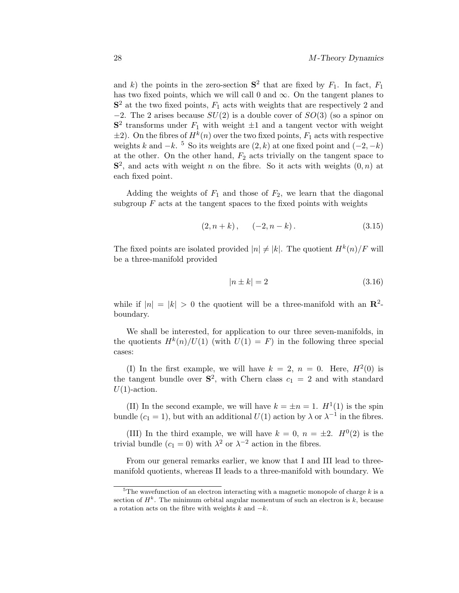and k) the points in the zero-section  $S^2$  that are fixed by  $F_1$ . In fact,  $F_1$ has two fixed points, which we will call 0 and  $\infty$ . On the tangent planes to  $S<sup>2</sup>$  at the two fixed points,  $F<sub>1</sub>$  acts with weights that are respectively 2 and  $-2$ . The 2 arises because  $SU(2)$  is a double cover of  $SO(3)$  (so a spinor on  $S<sup>2</sup>$  transforms under  $F<sub>1</sub>$  with weight  $\pm 1$  and a tangent vector with weight  $\pm 2$ ). On the fibres of  $H^k(n)$  over the two fixed points,  $F_1$  acts with respective weights k and  $-k$ . <sup>5</sup> So its weights are  $(2, k)$  at one fixed point and  $(-2, -k)$ at the other. On the other hand,  $F_2$  acts trivially on the tangent space to  $S<sup>2</sup>$ , and acts with weight n on the fibre. So it acts with weights  $(0, n)$  at each fixed point.

Adding the weights of  $F_1$  and those of  $F_2$ , we learn that the diagonal subgroup  $F$  acts at the tangent spaces to the fixed points with weights

$$
(2, n+k), \quad (-2, n-k). \tag{3.15}
$$

The fixed points are isolated provided  $|n| \neq |k|$ . The quotient  $H^k(n)/F$  will be a three-manifold provided

$$
|n \pm k| = 2 \tag{3.16}
$$

while if  $|n| = |k| > 0$  the quotient will be a three-manifold with an  $\mathbb{R}^2$ boundary.

We shall be interested, for application to our three seven-manifolds, in the quotients  $H^k(n)/U(1)$  (with  $U(1) = F$ ) in the following three special cases:

(I) In the first example, we will have  $k = 2, n = 0$ . Here,  $H^2(0)$  is the tangent bundle over  $S^2$ , with Chern class  $c_1 = 2$  and with standard  $U(1)$ -action.

(II) In the second example, we will have  $k = \pm n = 1$ .  $H^1(1)$  is the spin bundle (c<sub>1</sub> = 1), but with an additional  $U(1)$  action by  $\lambda$  or  $\lambda^{-1}$  in the fibres.

(III) In the third example, we will have  $k = 0$ ,  $n = \pm 2$ .  $H^0(2)$  is the trivial bundle ( $c_1 = 0$ ) with  $\lambda^2$  or  $\lambda^{-2}$  action in the fibres.

From our general remarks earlier, we know that I and III lead to threemanifold quotients, whereas II leads to a three-manifold with boundary. We

<sup>&</sup>lt;sup>5</sup>The wavefunction of an electron interacting with a magnetic monopole of charge  $k$  is a section of  $H^k$ . The minimum orbital angular momentum of such an electron is k, because a rotation acts on the fibre with weights  $k$  and  $-k$ .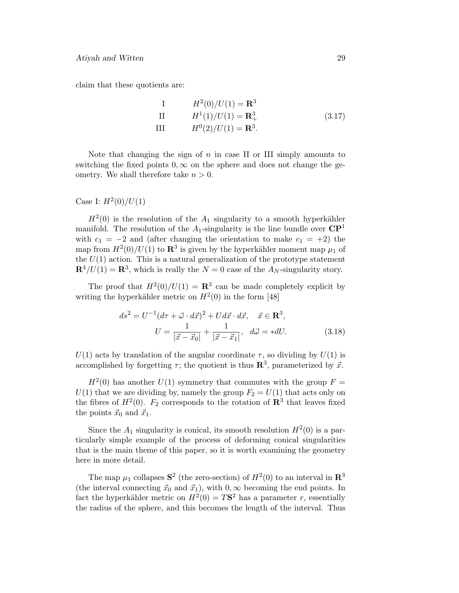claim that these quotients are:

I 
$$
H^2(0)/U(1) = \mathbf{R}^3
$$
  
\nII  $H^1(1)/U(1) = \mathbf{R}^3_+$  (3.17)  
\nIII  $H^0(2)/U(1) = \mathbf{R}^3$ .

Note that changing the sign of  $n$  in case II or III simply amounts to switching the fixed points  $0, \infty$  on the sphere and does not change the geometry. We shall therefore take  $n > 0$ .

#### Case I:  $H^2(0)/U(1)$

 $H^2(0)$  is the resolution of the  $A_1$  singularity to a smooth hyperkähler manifold. The resolution of the  $A_1$ -singularity is the line bundle over  $\mathbf{CP}^1$ with  $c_1 = -2$  and (after changing the orientation to make  $c_1 = +2$ ) the map from  $H^2(0)/U(1)$  to  $\mathbb{R}^3$  is given by the hyperkähler moment map  $\mu_1$  of the  $U(1)$  action. This is a natural generalization of the prototype statement  $\mathbf{R}^4/U(1) = \mathbf{R}^3$ , which is really the  $N = 0$  case of the  $A_N$ -singularity story.

The proof that  $H^2(0)/U(1) = \mathbb{R}^3$  can be made completely explicit by writing the hyperkähler metric on  $H^2(0)$  in the form [48]

$$
ds^{2} = U^{-1}(d\tau + \vec{\omega} \cdot d\vec{x})^{2} + Ud\vec{x} \cdot d\vec{x}, \quad \vec{x} \in \mathbf{R}^{3},
$$

$$
U = \frac{1}{|\vec{x} - \vec{x}_{0}|} + \frac{1}{|\vec{x} - \vec{x}_{1}|}, \quad d\vec{\omega} = *dU.
$$
(3.18)

 $U(1)$  acts by translation of the angular coordinate  $\tau$ , so dividing by  $U(1)$  is accomplished by forgetting  $\tau$ ; the quotient is thus  $\mathbb{R}^3$ , parameterized by  $\vec{x}$ .

 $H^2(0)$  has another  $U(1)$  symmetry that commutes with the group  $F =$  $U(1)$  that we are dividing by, namely the group  $F_2 = U(1)$  that acts only on the fibres of  $H^2(0)$ .  $F_2$  corresponds to the rotation of  $\mathbb{R}^3$  that leaves fixed the points  $\vec{x}_0$  and  $\vec{x}_1$ .

Since the  $A_1$  singularity is conical, its smooth resolution  $H^2(0)$  is a particularly simple example of the process of deforming conical singularities that is the main theme of this paper, so it is worth examining the geometry here in more detail.

The map  $\mu_1$  collapses  $S^2$  (the zero-section) of  $H^2(0)$  to an interval in  $\mathbb{R}^3$ (the interval connecting  $\vec{x}_0$  and  $\vec{x}_1$ ), with  $0, \infty$  becoming the end points. In fact the hyperkähler metric on  $H^2(0) = T\mathbf{S}^2$  has a parameter r, essentially the radius of the sphere, and this becomes the length of the interval. Thus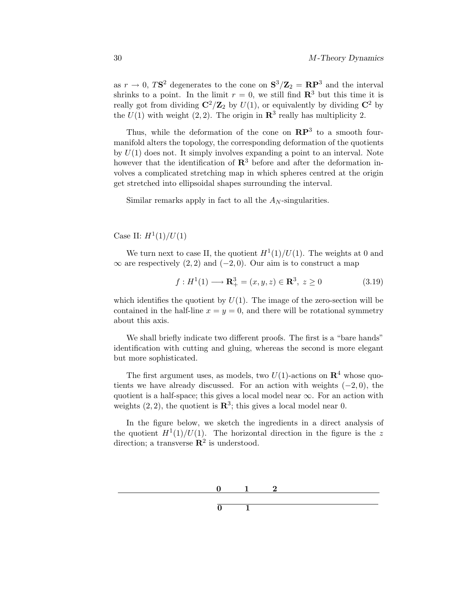as  $r \to 0$ , TS<sup>2</sup> degenerates to the cone on  $S^3/Z_2 = RP^3$  and the interval shrinks to a point. In the limit  $r = 0$ , we still find  $\mathbb{R}^3$  but this time it is really got from dividing  $\mathbb{C}^2/\mathbb{Z}_2$  by  $U(1)$ , or equivalently by dividing  $\mathbb{C}^2$  by the  $U(1)$  with weight  $(2, 2)$ . The origin in  $\mathbb{R}^3$  really has multiplicity 2.

Thus, while the deformation of the cone on **RP**<sup>3</sup> to a smooth fourmanifold alters the topology, the corresponding deformation of the quotients by  $U(1)$  does not. It simply involves expanding a point to an interval. Note however that the identification of  $\mathbb{R}^3$  before and after the deformation involves a complicated stretching map in which spheres centred at the origin get stretched into ellipsoidal shapes surrounding the interval.

Similar remarks apply in fact to all the  $A_N$ -singularities.

Case II:  $H^1(1)/U(1)$ 

We turn next to case II, the quotient  $H^1(1)/U(1)$ . The weights at 0 and  $\infty$  are respectively (2, 2) and (-2, 0). Our aim is to construct a map

$$
f: H^{1}(1) \longrightarrow \mathbf{R}_{+}^{3} = (x, y, z) \in \mathbf{R}^{3}, z \ge 0
$$
 (3.19)

which identifies the quotient by  $U(1)$ . The image of the zero-section will be contained in the half-line  $x = y = 0$ , and there will be rotational symmetry about this axis.

We shall briefly indicate two different proofs. The first is a "bare hands" identification with cutting and gluing, whereas the second is more elegant but more sophisticated.

The first argument uses, as models, two  $U(1)$ -actions on  $\mathbb{R}^4$  whose quotients we have already discussed. For an action with weights  $(-2, 0)$ , the quotient is a half-space; this gives a local model near  $\infty$ . For an action with weights  $(2, 2)$ , the quotient is  $\mathbb{R}^3$ ; this gives a local model near 0.

In the figure below, we sketch the ingredients in a direct analysis of the quotient  $H^1(1)/U(1)$ . The horizontal direction in the figure is the z direction; a transverse  $\mathbb{R}^2$  is understood.

 $\overline{0}$  1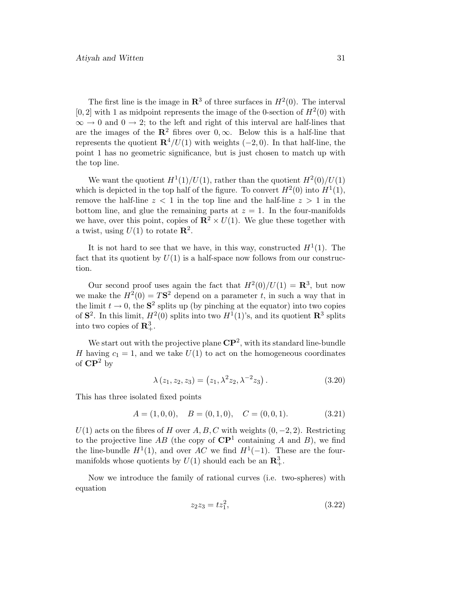The first line is the image in  $\mathbb{R}^3$  of three surfaces in  $H^2(0)$ . The interval [0, 2] with 1 as midpoint represents the image of the 0-section of  $H^2(0)$  with  $\infty \to 0$  and  $0 \to 2$ ; to the left and right of this interval are half-lines that are the images of the  $\mathbb{R}^2$  fibres over  $0, \infty$ . Below this is a half-line that represents the quotient  $\mathbb{R}^4/U(1)$  with weights (−2, 0). In that half-line, the point 1 has no geometric significance, but is just chosen to match up with the top line.

We want the quotient  $H^1(1)/U(1)$ , rather than the quotient  $H^2(0)/U(1)$ which is depicted in the top half of the figure. To convert  $H^2(0)$  into  $H^1(1)$ , remove the half-line  $z < 1$  in the top line and the half-line  $z > 1$  in the bottom line, and glue the remaining parts at  $z = 1$ . In the four-manifolds we have, over this point, copies of  $\mathbb{R}^2 \times U(1)$ . We glue these together with a twist, using  $U(1)$  to rotate  $\mathbb{R}^2$ .

It is not hard to see that we have, in this way, constructed  $H^1(1)$ . The fact that its quotient by  $U(1)$  is a half-space now follows from our construction.

Our second proof uses again the fact that  $H^2(0)/U(1) = \mathbb{R}^3$ , but now we make the  $H^2(0) = TS^2$  depend on a parameter t, in such a way that in the limit  $t \to 0$ , the  $S^2$  splits up (by pinching at the equator) into two copies of  $S^2$ . In this limit,  $H^2(0)$  splits into two  $H^1(1)$ 's, and its quotient  $\mathbb{R}^3$  splits into two copies of  $\mathbb{R}^3_+$ .

We start out with the projective plane  $\mathbb{CP}^2$ , with its standard line-bundle H having  $c_1 = 1$ , and we take  $U(1)$  to act on the homogeneous coordinates of **CP**<sup>2</sup> by

$$
\lambda(z_1, z_2, z_3) = (z_1, \lambda^2 z_2, \lambda^{-2} z_3).
$$
 (3.20)

This has three isolated fixed points

$$
A = (1, 0, 0), \quad B = (0, 1, 0), \quad C = (0, 0, 1). \tag{3.21}
$$

 $U(1)$  acts on the fibres of H over A, B, C with weights  $(0, -2, 2)$ . Restricting to the projective line AB (the copy of  $\mathbb{CP}^1$  containing A and B), we find the line-bundle  $H^1(1)$ , and over AC we find  $H^1(-1)$ . These are the fourmanifolds whose quotients by  $U(1)$  should each be an  $\mathbb{R}^3_+$ .

Now we introduce the family of rational curves (i.e. two-spheres) with equation

$$
z_2 z_3 = t z_1^2, \tag{3.22}
$$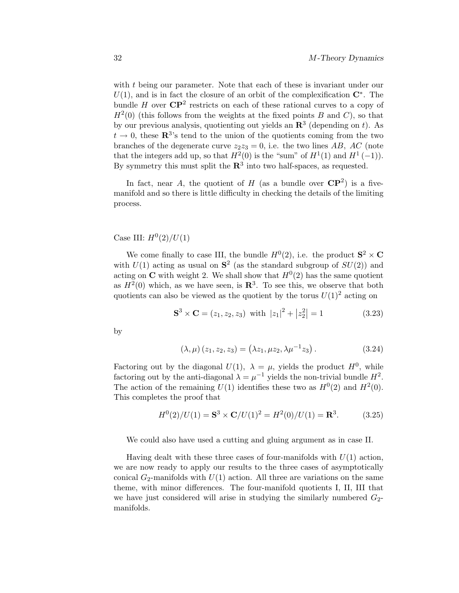with  $t$  being our parameter. Note that each of these is invariant under our  $U(1)$ , and is in fact the closure of an orbit of the complexification  $\mathbb{C}^*$ . The bundle H over  $\mathbb{CP}^2$  restricts on each of these rational curves to a copy of  $H^2(0)$  (this follows from the weights at the fixed points B and C), so that by our previous analysis, quotienting out yields an  $\mathbb{R}^3$  (depending on t). As  $t \to 0$ , these  $\mathbb{R}^{3}$ 's tend to the union of the quotients coming from the two branches of the degenerate curve  $z_2z_3 = 0$ , i.e. the two lines AB, AC (note that the integers add up, so that  $H^2(0)$  is the "sum" of  $H^1(1)$  and  $H^1(-1)$ ). By symmetry this must split the  $\mathbb{R}^3$  into two half-spaces, as requested.

In fact, near A, the quotient of H (as a bundle over  $\mathbb{CP}^2$ ) is a fivemanifold and so there is little difficulty in checking the details of the limiting process.

Case III:  $H^{0}(2)/U(1)$ 

We come finally to case III, the bundle  $H^0(2)$ , i.e. the product  $S^2 \times C$ with  $U(1)$  acting as usual on  $S^2$  (as the standard subgroup of  $SU(2)$ ) and acting on **C** with weight 2. We shall show that  $H^0(2)$  has the same quotient as  $H^2(0)$  which, as we have seen, is  $\mathbb{R}^3$ . To see this, we observe that both quotients can also be viewed as the quotient by the torus  $U(1)^2$  acting on

$$
\mathbf{S}^3 \times \mathbf{C} = (z_1, z_2, z_3) \text{ with } |z_1|^2 + |z_2^2| = 1 \tag{3.23}
$$

by

$$
(\lambda, \mu) (z_1, z_2, z_3) = (\lambda z_1, \mu z_2, \lambda \mu^{-1} z_3).
$$
 (3.24)

Factoring out by the diagonal  $U(1)$ ,  $\lambda = \mu$ , yields the product  $H^0$ , while factoring out by the anti-diagonal  $\lambda = \mu^{-1}$  yields the non-trivial bundle  $H^2$ . The action of the remaining  $U(1)$  identifies these two as  $H^0(2)$  and  $H^2(0)$ . This completes the proof that

$$
H^{0}(2)/U(1) = \mathbf{S}^{3} \times \mathbf{C}/U(1)^{2} = H^{2}(0)/U(1) = \mathbf{R}^{3}.
$$
 (3.25)

We could also have used a cutting and gluing argument as in case II.

Having dealt with these three cases of four-manifolds with  $U(1)$  action, we are now ready to apply our results to the three cases of asymptotically conical  $G_2$ -manifolds with  $U(1)$  action. All three are variations on the same theme, with minor differences. The four-manifold quotients I, II, III that we have just considered will arise in studying the similarly numbered  $G_2$ manifolds.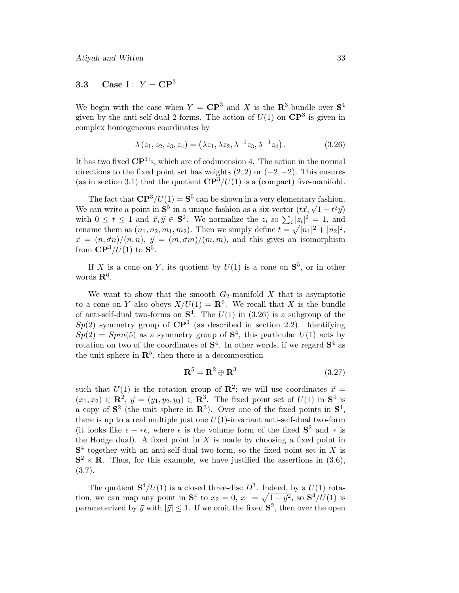# **3.3** Case I :  $Y = \mathbb{C}P^3$

We begin with the case when  $Y = \mathbb{C}\mathbb{P}^3$  and X is the  $\mathbb{R}^3$ -bundle over  $\mathbb{S}^4$ given by the anti-self-dual 2-forms. The action of  $U(1)$  on  $\mathbb{CP}^3$  is given in complex homogeneous coordinates by

$$
\lambda(z_1, z_2, z_3, z_4) = (\lambda z_1, \lambda z_2, \lambda^{-1} z_3, \lambda^{-1} z_4).
$$
 (3.26)

It has two fixed  $\mathbb{CP}^1$ 's, which are of codimension 4. The action in the normal directions to the fixed point set has weights  $(2, 2)$  or  $(-2, -2)$ . This ensures (as in section 3.1) that the quotient  $\mathbb{CP}^3/U(1)$  is a (compact) five-manifold.

The fact that  $\mathbb{CP}^3/U(1) = \mathbb{S}^5$  can be shown in a very elementary fashion. The fact that  $CF^{-}/U(1) = S^{-}$  can be shown in a very elementary fashion.<br>We can write a point in  $S^{5}$  in a unique fashion as a six-vector  $(t\vec{x}, \sqrt{1-t^2}\vec{y})$ with  $0 \leq t \leq 1$  and  $\vec{x}, \vec{y} \in \mathbf{S}^2$ . We normalize the  $z_i$  so  $\sum_i |z_i|^2 = 1$ , and rename them as  $(n_1, n_2, m_1, m_2)$ . Then we simply define  $t = \sqrt{|n_1|^2 + |n_2|^2}$ ,  $\vec{x} = (n, \vec{\sigma}n)/(n, n), \ \vec{y} = (m, \vec{\sigma}m)/(m, m)$ , and this gives an isomorphism from  $\mathbb{CP}^3/U(1)$  to  $\mathbb{S}^5$ .

If X is a cone on Y, its quotient by  $U(1)$  is a cone on  $S^5$ , or in other words **R**6.

We want to show that the smooth  $G_2$ -manifold X that is asymptotic to a cone on Y also obeys  $X/U(1) = \mathbb{R}^6$ . We recall that X is the bundle of anti-self-dual two-forms on  $S^4$ . The  $U(1)$  in (3.26) is a subgroup of the  $Sp(2)$  symmetry group of  $\mathbb{CP}^3$  (as described in section 2.2). Identifying  $Sp(2) = Spin(5)$  as a symmetry group of  $S<sup>4</sup>$ , this particular  $U(1)$  acts by rotation on two of the coordinates of  $S<sup>4</sup>$ . In other words, if we regard  $S<sup>4</sup>$  as the unit sphere in  $\mathbb{R}^5$ , then there is a decomposition

$$
\mathbf{R}^5 = \mathbf{R}^2 \oplus \mathbf{R}^3 \tag{3.27}
$$

such that  $U(1)$  is the rotation group of  $\mathbb{R}^2$ ; we will use coordinates  $\vec{x} =$  $(x_1, x_2) \in \mathbb{R}^2$ ,  $\vec{y} = (y_1, y_2, y_3) \in \mathbb{R}^3$ . The fixed point set of  $U(1)$  in  $\mathbb{S}^4$  is a copy of  $S^2$  (the unit sphere in  $\mathbb{R}^3$ ). Over one of the fixed points in  $S^4$ , there is up to a real multiple just one  $U(1)$ -invariant anti-self-dual two-form (it looks like  $\epsilon - * \epsilon$ , where  $\epsilon$  is the volume form of the fixed  $S^2$  and  $*$  is the Hodge dual). A fixed point in  $X$  is made by choosing a fixed point in  $S<sup>4</sup>$  together with an anti-self-dual two-form, so the fixed point set in X is  $S^2 \times R$ . Thus, for this example, we have justified the assertions in (3.6), (3.7).

The quotient  $S^4/U(1)$  is a closed three-disc  $D^3$ . Indeed, by a  $U(1)$  rotation, we can map any point in  $S^4$  to  $x_2 = 0$ ,  $x_1 = \sqrt{1 - \vec{y}^2}$ , so  $S^4/U(1)$  is parameterized by  $\vec{y}$  with  $|\vec{y}| \leq 1$ . If we omit the fixed  $S^2$ , then over the open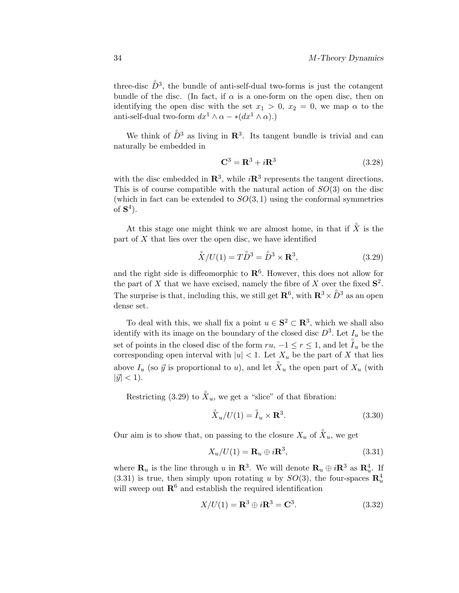three-disc  $\mathring{D}^3$ , the bundle of anti-self-dual two-forms is just the cotangent bundle of the disc. (In fact, if  $\alpha$  is a one-form on the open disc, then on identifying the open disc with the set  $x_1 > 0$ ,  $x_2 = 0$ , we map  $\alpha$  to the anti-self-dual two-form  $dx^1 \wedge \alpha - *(dx^1 \wedge \alpha)$ .)

We think of  $\mathring{D}^3$  as living in  $\mathbb{R}^3$ . Its tangent bundle is trivial and can naturally be embedded in

$$
\mathbf{C}^3 = \mathbf{R}^3 + i\mathbf{R}^3 \tag{3.28}
$$

with the disc embedded in  $\mathbb{R}^3$ , while  $i\mathbb{R}^3$  represents the tangent directions. This is of course compatible with the natural action of  $SO(3)$  on the disc (which in fact can be extended to  $SO(3,1)$  using the conformal symmetries of  $S^4$ ).

At this stage one might think we are almost home, in that if  $\overset{\circ}{X}$  is the part of  $X$  that lies over the open disc, we have identified

$$
\mathring{X}/U(1) = T\mathring{D}^3 = \mathring{D}^3 \times \mathbf{R}^3,\tag{3.29}
$$

and the right side is diffeomorphic to  $\mathbb{R}^6$ . However, this does not allow for the part of X that we have excised, namely the fibre of X over the fixed  $S^2$ . The surprise is that, including this, we still get  $\mathbb{R}^6$ , with  $\mathbb{R}^3 \times \overset{\circ}{D}{}^3$  as an open dense set.

To deal with this, we shall fix a point  $u \in \mathbf{S}^2 \subset \mathbf{R}^3$ , which we shall also identify with its image on the boundary of the closed disc  $D^3$ . Let  $I_u$  be the set of points in the closed disc of the form  $ru$ ,  $-1 \le r \le 1$ , and let  $\overset{\circ}{I}_u$  be the corresponding open interval with  $|u| < 1$ . Let  $X_u$  be the part of X that lies above  $I_u$  (so  $\vec{y}$  is proportional to u), and let  $\overset{\circ}{X}_u$  the open part of  $X_u$  (with  $|\vec{y}| < 1$ .

Restricting (3.29) to  $\overset{\circ}{X}_u$ , we get a "slice" of that fibration:

$$
\overset{\circ}{X}_u/U(1) = \overset{\circ}{I}_u \times \mathbf{R}^3. \tag{3.30}
$$

Our aim is to show that, on passing to the closure  $X_u$  of  $\overset{\circ}{X}_u$ , we get

$$
X_u/U(1) = \mathbf{R}_u \oplus i\mathbf{R}^3,\tag{3.31}
$$

where  $\mathbf{R}_u$  is the line through u in  $\mathbf{R}^3$ . We will denote  $\mathbf{R}_u \oplus i\mathbf{R}^3$  as  $\mathbf{R}_u^4$ . If  $(3.31)$  is true, then simply upon rotating u by  $SO(3)$ , the four-spaces  $\mathbb{R}_u^4$ will sweep out  $\mathbb{R}^6$  and establish the required identification

$$
X/U(1) = \mathbf{R}^3 \oplus i\mathbf{R}^3 = \mathbf{C}^3. \tag{3.32}
$$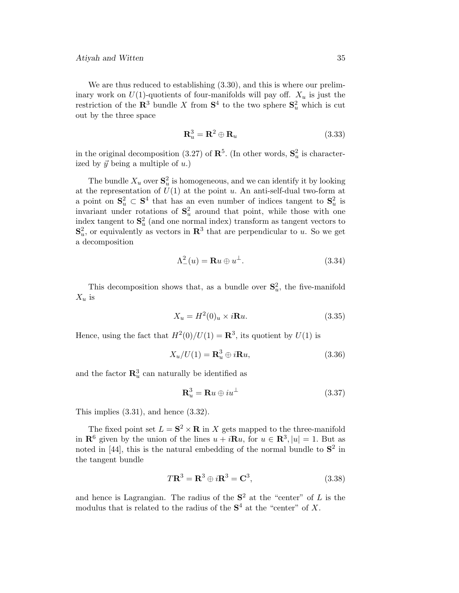We are thus reduced to establishing  $(3.30)$ , and this is where our preliminary work on  $U(1)$ -quotients of four-manifolds will pay off.  $X_u$  is just the restriction of the  $\mathbb{R}^3$  bundle X from  $\mathbb{S}^4$  to the two sphere  $\mathbb{S}^2_u$  which is cut out by the three space

$$
\mathbf{R}_u^3 = \mathbf{R}^2 \oplus \mathbf{R}_u \tag{3.33}
$$

in the original decomposition (3.27) of  $\mathbb{R}^5$ . (In other words,  $\mathbb{S}_u^2$  is characterized by  $\vec{y}$  being a multiple of  $u$ .)

The bundle  $X_u$  over  $\mathbf{S}_u^2$  is homogeneous, and we can identify it by looking at the representation of  $U(1)$  at the point u. An anti-self-dual two-form at a point on  $S_u^2 \subset S^4$  that has an even number of indices tangent to  $S_u^2$  is invariant under rotations of  $S_u^2$  around that point, while those with one index tangent to  $S_u^2$  (and one normal index) transform as tangent vectors to  $\mathbf{S}_u^2$ , or equivalently as vectors in  $\mathbf{R}^3$  that are perpendicular to u. So we get a decomposition

$$
\Lambda^2_-(u) = \mathbf{R}u \oplus u^\perp. \tag{3.34}
$$

This decomposition shows that, as a bundle over  $S_u^2$ , the five-manifold  $X_u$  is

$$
X_u = H^2(0)_u \times i\mathbf{R}u. \tag{3.35}
$$

Hence, using the fact that  $H^2(0)/U(1) = \mathbb{R}^3$ , its quotient by  $U(1)$  is

$$
X_u/U(1) = \mathbf{R}_u^3 \oplus i\mathbf{R}u,
$$
\n(3.36)

and the factor  $\mathbb{R}^3_u$  can naturally be identified as

$$
\mathbf{R}_u^3 = \mathbf{R}u \oplus iu^\perp \tag{3.37}
$$

This implies  $(3.31)$ , and hence  $(3.32)$ .

The fixed point set  $L = S^2 \times R$  in X gets mapped to the three-manifold in **R**<sup>6</sup> given by the union of the lines  $u + i\mathbf{R}u$ , for  $u \in \mathbf{R}^3$ ,  $|u| = 1$ . But as noted in [44], this is the natural embedding of the normal bundle to  $S^2$  in the tangent bundle

$$
T\mathbf{R}^3 = \mathbf{R}^3 \oplus i\mathbf{R}^3 = \mathbf{C}^3, \tag{3.38}
$$

and hence is Lagrangian. The radius of the  $S^2$  at the "center" of L is the modulus that is related to the radius of the  $S<sup>4</sup>$  at the "center" of X.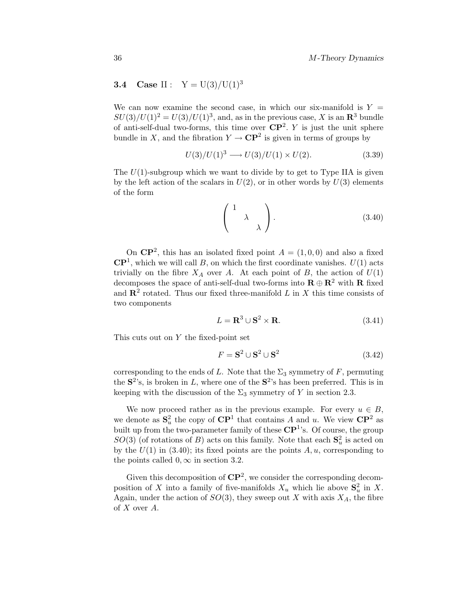# **3.4** Case II :  $Y = U(3)/U(1)^3$

We can now examine the second case, in which our six-manifold is  $Y =$  $SU(3)/U(1)^2 = U(3)/U(1)^3$ , and, as in the previous case, X is an  $\mathbb{R}^3$  bundle of anti-self-dual two-forms, this time over  $\mathbb{CP}^2$ . Y is just the unit sphere bundle in X, and the fibration  $Y \to \mathbb{C}P^2$  is given in terms of groups by

$$
U(3)/U(1)^3 \longrightarrow U(3)/U(1) \times U(2). \tag{3.39}
$$

The  $U(1)$ -subgroup which we want to divide by to get to Type IIA is given by the left action of the scalars in  $U(2)$ , or in other words by  $U(3)$  elements of the form

$$
\left(\begin{array}{cc} 1 & \\ & \lambda \\ & & \lambda \end{array}\right). \tag{3.40}
$$

On  $\mathbb{CP}^2$ , this has an isolated fixed point  $A = (1, 0, 0)$  and also a fixed  $\mathbb{C}\mathbb{P}^1$ , which we will call B, on which the first coordinate vanishes.  $U(1)$  acts trivially on the fibre  $X_A$  over A. At each point of B, the action of  $U(1)$ decomposes the space of anti-self-dual two-forms into  $\mathbf{R} \oplus \mathbf{R}^2$  with  $\mathbf{R}$  fixed and  $\mathbb{R}^2$  rotated. Thus our fixed three-manifold L in X this time consists of two components

$$
L = \mathbf{R}^3 \cup \mathbf{S}^2 \times \mathbf{R}.\tag{3.41}
$$

This cuts out on Y the fixed-point set

$$
F = \mathbf{S}^2 \cup \mathbf{S}^2 \cup \mathbf{S}^2 \tag{3.42}
$$

corresponding to the ends of L. Note that the  $\Sigma_3$  symmetry of F, permuting the  $S^2$ 's, is broken in L, where one of the  $S^2$ 's has been preferred. This is in keeping with the discussion of the  $\Sigma_3$  symmetry of Y in section 2.3.

We now proceed rather as in the previous example. For every  $u \in B$ , we denote as  $S_u^2$  the copy of  $\mathbb{C}P^1$  that contains A and u. We view  $\mathbb{C}P^2$  as built up from the two-parameter family of these  $\mathbb{CP}^1$ 's. Of course, the group  $SO(3)$  (of rotations of B) acts on this family. Note that each  $S_u^2$  is acted on by the  $U(1)$  in (3.40); its fixed points are the points A, u, corresponding to the points called  $0, \infty$  in section 3.2.

Given this decomposition of  $\mathbb{CP}^2$ , we consider the corresponding decomposition of X into a family of five-manifolds  $X_u$  which lie above  $S_u^2$  in X. Again, under the action of  $SO(3)$ , they sweep out X with axis  $X_A$ , the fibre of X over A.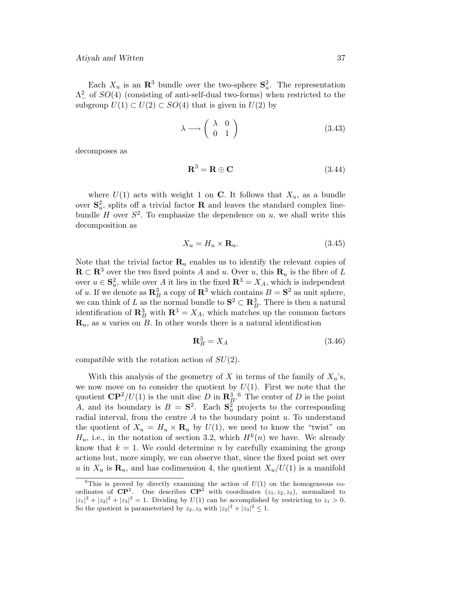#### Atiyah and Witten 37

Each  $X_u$  is an  $\mathbb{R}^3$  bundle over the two-sphere  $\mathbb{S}_u^2$ . The representation  $\Lambda^2$  of  $SO(4)$  (consisting of anti-self-dual two-forms) when restricted to the subgroup  $U(1) \subset U(2) \subset SO(4)$  that is given in  $U(2)$  by

$$
\lambda \longrightarrow \left( \begin{array}{cc} \lambda & 0 \\ 0 & 1 \end{array} \right) \tag{3.43}
$$

decomposes as

$$
\mathbf{R}^3 = \mathbf{R} \oplus \mathbf{C} \tag{3.44}
$$

where  $U(1)$  acts with weight 1 on **C**. It follows that  $X_u$ , as a bundle over  $S_u^2$ , splits off a trivial factor **R** and leaves the standard complex linebundle H over  $S^2$ . To emphasize the dependence on u, we shall write this decomposition as

$$
X_u = H_u \times \mathbf{R}_u. \tag{3.45}
$$

Note that the trivial factor  $\mathbf{R}_u$  enables us to identify the relevant copies of **R** ⊂ **R**<sup>3</sup> over the two fixed points A and u. Over u, this **R**<sub>u</sub> is the fibre of L over  $u \in \mathbf{S}_u^2$ , while over A it lies in the fixed  $\mathbf{R}^3 = X_A$ , which is independent of u. If we denote as  $\mathbb{R}^3_B$  a copy of  $\mathbb{R}^3$  which contains  $B = \mathbb{S}^2$  as unit sphere, we can think of L as the normal bundle to  $S^2 \subset \mathbb{R}^3$ . There is then a natural identification of  $\mathbb{R}^3_B$  with  $\mathbb{R}^3 = X_A$ , which matches up the common factors  $\mathbf{R}_u$ , as u varies on B. In other words there is a natural identification

$$
\mathbf{R}_B^3 = X_A \tag{3.46}
$$

compatible with the rotation action of  $SU(2)$ .

With this analysis of the geometry of X in terms of the family of  $X_u$ 's, we now move on to consider the quotient by  $U(1)$ . First we note that the quotient  $\mathbb{CP}^2/U(1)$  is the unit disc D in  $\mathbb{R}^3_{\mathcal{B}}$ .<sup>6</sup> The center of D is the point A, and its boundary is  $B = S^2$ . Each  $S^2$  projects to the corresponding radial interval, from the centre  $A$  to the boundary point  $u$ . To understand the quotient of  $X_u = H_u \times \mathbf{R}_u$  by  $U(1)$ , we need to know the "twist" on  $H_u$ , i.e., in the notation of section 3.2, which  $H^k(n)$  we have. We already know that  $k = 1$ . We could determine n by carefully examining the group actions but, more simply, we can observe that, since the fixed point set over u in  $X_u$  is  $\mathbf{R}_u$ , and has codimension 4, the quotient  $X_u/U(1)$  is a manifold

<sup>&</sup>lt;sup>6</sup>This is proved by directly examining the action of  $U(1)$  on the homogeneous coordinates of  $\mathbb{CP}^2$ . One describes  $\mathbb{CP}^2$  with coordinates  $(z_1, z_2, z_3)$ , normalized to  $|z_1|^2 + |z_2|^2 + |z_3|^2 = 1$ . Dividing by  $U(1)$  can be accomplished by restricting to  $z_1 > 0$ . So the quotient is parameterized by  $z_2, z_3$  with  $|z_2|^2 + |z_3|^2 \leq 1$ .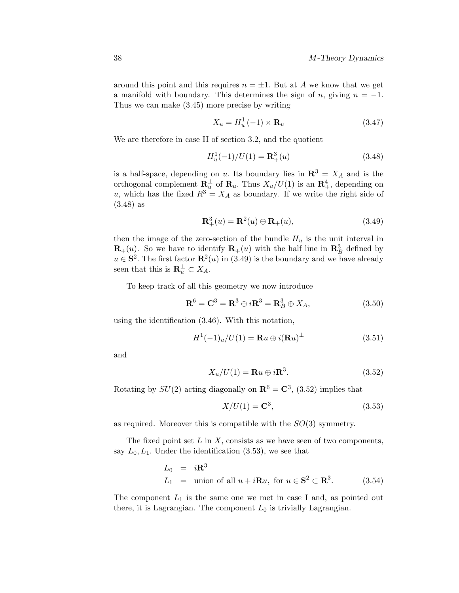around this point and this requires  $n = \pm 1$ . But at A we know that we get a manifold with boundary. This determines the sign of n, giving  $n = -1$ . Thus we can make (3.45) more precise by writing

$$
X_u = H_u^1(-1) \times \mathbf{R}_u \tag{3.47}
$$

We are therefore in case II of section 3.2, and the quotient

$$
H_u^1(-1)/U(1) = \mathbf{R}_+^3(u)
$$
\n(3.48)

is a half-space, depending on u. Its boundary lies in  $\mathbb{R}^3 = X_A$  and is the orthogonal complement  $\mathbf{R}_u^{\perp}$  of  $\mathbf{R}_u$ . Thus  $X_u/U(1)$  is an  $\mathbf{R}_+^4$ , depending on u, which has the fixed  $R^3 = X_A$  as boundary. If we write the right side of (3.48) as

$$
\mathbf{R}_+^3(u) = \mathbf{R}^2(u) \oplus \mathbf{R}_+(u),\tag{3.49}
$$

then the image of the zero-section of the bundle  $H_u$  is the unit interval in  $\mathbf{R}_{+}(u)$ . So we have to identify  $\mathbf{R}_{+}(u)$  with the half line in  $\mathbf{R}_{B}^{3}$  defined by  $u \in \mathbf{S}^2$ . The first factor  $\mathbf{R}^2(u)$  in (3.49) is the boundary and we have already seen that this is  $\mathbf{R}_u^{\perp} \subset X_A$ .

To keep track of all this geometry we now introduce

$$
\mathbf{R}^{6} = \mathbf{C}^{3} = \mathbf{R}^{3} \oplus i\mathbf{R}^{3} = \mathbf{R}_{B}^{3} \oplus X_{A}, \qquad (3.50)
$$

using the identification (3.46). With this notation,

$$
H^{1}(-1)_{u}/U(1) = \mathbf{R}u \oplus i(\mathbf{R}u)^{\perp}
$$
\n(3.51)

and

$$
X_u/U(1) = \mathbf{R}u \oplus i\mathbf{R}^3. \tag{3.52}
$$

Rotating by  $SU(2)$  acting diagonally on  $\mathbb{R}^6 = \mathbb{C}^3$ , (3.52) implies that

$$
X/U(1) = \mathbf{C}^3,\tag{3.53}
$$

as required. Moreover this is compatible with the  $SO(3)$  symmetry.

The fixed point set  $L$  in  $X$ , consists as we have seen of two components, say  $L_0, L_1$ . Under the identification (3.53), we see that

$$
L_0 = i\mathbf{R}^3
$$
  
\n
$$
L_1 = \text{union of all } u + i\mathbf{R}u, \text{ for } u \in \mathbf{S}^2 \subset \mathbf{R}^3. \tag{3.54}
$$

The component  $L_1$  is the same one we met in case I and, as pointed out there, it is Lagrangian. The component  $L_0$  is trivially Lagrangian.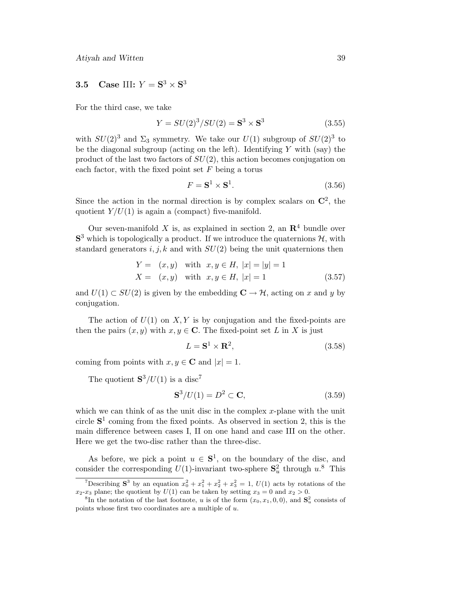# **3.5** Case III:  $Y = S^3 \times S^3$

For the third case, we take

$$
Y = SU(2)^3 / SU(2) = S^3 \times S^3 \tag{3.55}
$$

with  $SU(2)^3$  and  $\Sigma_3$  symmetry. We take our  $U(1)$  subgroup of  $SU(2)^3$  to be the diagonal subgroup (acting on the left). Identifying  $Y$  with (say) the product of the last two factors of  $SU(2)$ , this action becomes conjugation on each factor, with the fixed point set  $F$  being a torus

$$
F = \mathbf{S}^1 \times \mathbf{S}^1. \tag{3.56}
$$

Since the action in the normal direction is by complex scalars on  $\mathbb{C}^2$ , the quotient  $Y/U(1)$  is again a (compact) five-manifold.

Our seven-manifold X is, as explained in section 2, an  $\mathbb{R}^4$  bundle over  $S<sup>3</sup>$  which is topologically a product. If we introduce the quaternions  $H$ , with standard generators  $i, j, k$  and with  $SU(2)$  being the unit quaternions then

$$
Y = (x, y) \text{ with } x, y \in H, |x| = |y| = 1
$$
  
\n
$$
X = (x, y) \text{ with } x, y \in H, |x| = 1
$$
\n(3.57)

and  $U(1) \subset SU(2)$  is given by the embedding  $\mathbb{C} \to \mathcal{H}$ , acting on x and y by conjugation.

The action of  $U(1)$  on  $X, Y$  is by conjugation and the fixed-points are then the pairs  $(x, y)$  with  $x, y \in \mathbb{C}$ . The fixed-point set L in X is just

$$
L = \mathbf{S}^1 \times \mathbf{R}^2,\tag{3.58}
$$

coming from points with  $x, y \in \mathbb{C}$  and  $|x| = 1$ .

The quotient  $S^3/U(1)$  is a disc<sup>7</sup>

$$
\mathbf{S}^3/U(1) = D^2 \subset \mathbf{C},\tag{3.59}
$$

which we can think of as the unit disc in the complex  $x$ -plane with the unit circle  $S<sup>1</sup>$  coming from the fixed points. As observed in section 2, this is the main difference between cases I, II on one hand and case III on the other. Here we get the two-disc rather than the three-disc.

As before, we pick a point  $u \in S^1$ , on the boundary of the disc, and consider the corresponding  $U(1)$ -invariant two-sphere  $S_u^2$  through  $u$ <sup>8</sup>. This

<sup>&</sup>lt;sup>7</sup>Describing **S**<sup>3</sup> by an equation  $x_0^2 + x_1^2 + x_2^2 + x_3^2 = 1$ ,  $U(1)$  acts by rotations of the  $x_2-x_3$  plane; the quotient by  $U(1)$  can be taken by setting  $x_3 = 0$  and  $x_2 > 0$ .

<sup>&</sup>lt;sup>8</sup>In the notation of the last footnote, u is of the form  $(x_0, x_1, 0, 0)$ , and  $S_u^2$  consists of points whose first two coordinates are a multiple of u.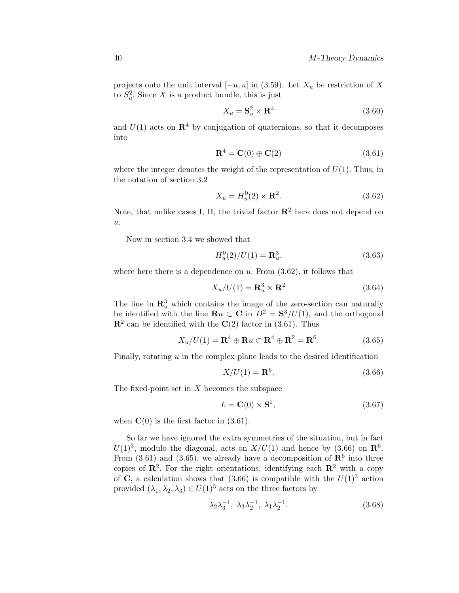projects onto the unit interval  $[-u, u]$  in (3.59). Let  $X_u$  be restriction of X to  $S_u^2$ . Since X is a product bundle, this is just

$$
X_u = \mathbf{S}_u^2 \times \mathbf{R}^4 \tag{3.60}
$$

and  $U(1)$  acts on  $\mathbb{R}^4$  by conjugation of quaternions, so that it decomposes into

$$
\mathbf{R}^4 = \mathbf{C}(0) \oplus \mathbf{C}(2) \tag{3.61}
$$

where the integer denotes the weight of the representation of  $U(1)$ . Thus, in the notation of section 3.2

$$
X_u = H_u^0(2) \times \mathbf{R}^2. \tag{3.62}
$$

Note, that unlike cases I, II, the trivial factor  $\mathbb{R}^2$  here does not depend on  $u$ .

Now in section 3.4 we showed that

$$
H_u^0(2)/U(1) = \mathbf{R}_u^3.
$$
 (3.63)

where here there is a dependence on  $u$ . From  $(3.62)$ , it follows that

$$
X_u/U(1) = \mathbf{R}_u^3 \times \mathbf{R}^2 \tag{3.64}
$$

The line in  $\mathbb{R}^3_u$  which contains the image of the zero-section can naturally be identified with the line  $\mathbf{R}u \subset \mathbf{C}$  in  $D^2 = \mathbf{S}^3/U(1)$ , and the orthogonal  $\mathbb{R}^2$  can be identified with the  $\mathbb{C}(2)$  factor in (3.61). Thus

$$
X_u/U(1) = \mathbf{R}^4 \oplus \mathbf{R}u \subset \mathbf{R}^4 \oplus \mathbf{R}^2 = \mathbf{R}^6. \tag{3.65}
$$

Finally, rotating  $u$  in the complex plane leads to the desired identification

$$
X/U(1) = \mathbf{R}^6. \tag{3.66}
$$

The fixed-point set in  $X$  becomes the subspace

$$
L = \mathbf{C}(0) \times \mathbf{S}^1,\tag{3.67}
$$

when  $\mathbf{C}(0)$  is the first factor in  $(3.61)$ .

So far we have ignored the extra symmetries of the situation, but in fact  $U(1)^3$ , modulo the diagonal, acts on  $X/U(1)$  and hence by (3.66) on  $\mathbb{R}^6$ . From  $(3.61)$  and  $(3.65)$ , we already have a decomposition of  $\mathbb{R}^6$  into three copies of  $\mathbb{R}^2$ . For the right orientations, identifying each  $\mathbb{R}^2$  with a copy of **C**, a calculation shows that (3.66) is compatible with the  $U(1)^3$  action provided  $(\lambda_1, \lambda_2, \lambda_3) \in U(1)^3$  acts on the three factors by

$$
\lambda_2 \lambda_3^{-1}, \lambda_3 \lambda_2^{-1}, \lambda_1 \lambda_2^{-1}.
$$
\n
$$
(3.68)
$$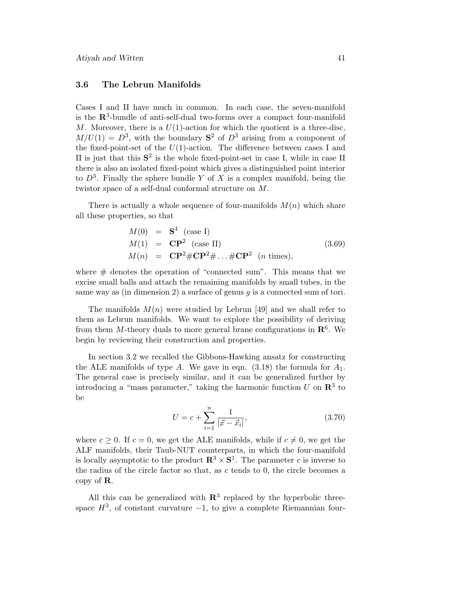#### **3.6 The Lebrun Manifolds**

Cases I and II have much in common. In each case, the seven-manifold is the **R**3-bundle of anti-self-dual two-forms over a compact four-manifold M. Moreover, there is a  $U(1)$ -action for which the quotient is a three-disc,  $M/U(1) = D<sup>3</sup>$ , with the boundary  $S<sup>2</sup>$  of  $D<sup>3</sup>$  arising from a component of the fixed-point-set of the  $U(1)$ -action. The difference between cases I and II is just that this **S**<sup>2</sup> is the whole fixed-point-set in case I, while in case II there is also an isolated fixed-point which gives a distinguished point interior to  $D^3$ . Finally the sphere bundle Y of X is a complex manifold, being the twistor space of a self-dual conformal structure on M.

There is actually a whole sequence of four-manifolds  $M(n)$  which share all these properties, so that

$$
M(0) = \mathbf{S}^4 \text{ (case I)}
$$
  
\n
$$
M(1) = \mathbf{CP}^2 \text{ (case II)}
$$
  
\n
$$
M(n) = \mathbf{CP}^2 \# \mathbf{CP}^2 \# \dots \# \mathbf{CP}^2 \text{ (n times)},
$$
\n(3.69)

where  $#$  denotes the operation of "connected sum". This means that we excise small balls and attach the remaining manifolds by small tubes, in the same way as (in dimension 2) a surface of genus  $g$  is a connected sum of tori.

The manifolds  $M(n)$  were studied by Lebrun [49] and we shall refer to them as Lebrun manifolds. We want to explore the possibility of deriving from them M-theory duals to more general brane configurations in  $\mathbb{R}^6$ . We begin by reviewing their construction and properties.

In section 3.2 we recalled the Gibbons-Hawking ansatz for constructing the ALE manifolds of type A. We gave in eqn.  $(3.18)$  the formula for  $A_1$ . The general case is precisely similar, and it can be generalized further by introducing a "mass parameter," taking the harmonic function  $U$  on  $\mathbb{R}^3$  to be

$$
U = c + \sum_{i=1}^{n} \frac{1}{|\vec{x} - \vec{x}_i|},
$$
\n(3.70)

where  $c \geq 0$ . If  $c = 0$ , we get the ALE manifolds, while if  $c \neq 0$ , we get the ALF manifolds, their Taub-NUT counterparts, in which the four-manifold is locally asymptotic to the product  $\mathbb{R}^3 \times \mathbb{S}^1$ . The parameter c is inverse to the radius of the circle factor so that, as  $c$  tends to 0, the circle becomes a copy of **R**.

All this can be generalized with  $\mathbb{R}^3$  replaced by the hyperbolic threespace  $H^3$ , of constant curvature −1, to give a complete Riemannian four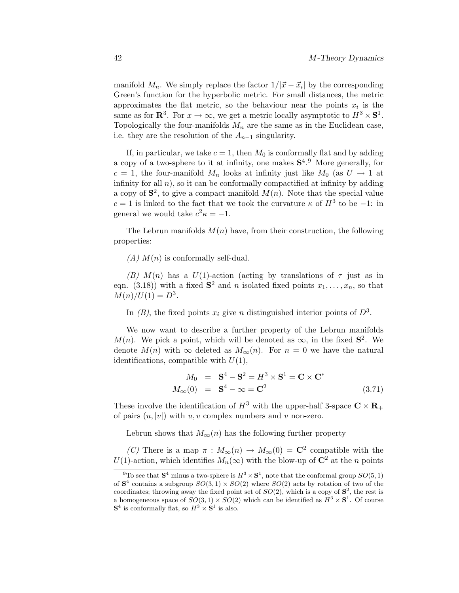manifold  $M_n$ . We simply replace the factor  $1/|\vec{x}-\vec{x}_i|$  by the corresponding Green's function for the hyperbolic metric. For small distances, the metric approximates the flat metric, so the behaviour near the points  $x_i$  is the same as for  $\mathbb{R}^3$ . For  $x \to \infty$ , we get a metric locally asymptotic to  $H^3 \times S^1$ . Topologically the four-manifolds  $M_n$  are the same as in the Euclidean case, i.e. they are the resolution of the  $A_{n-1}$  singularity.

If, in particular, we take  $c = 1$ , then  $M_0$  is conformally flat and by adding a copy of a two-sphere to it at infinity, one makes  $S<sup>4.9</sup>$  More generally, for  $c = 1$ , the four-manifold  $M_n$  looks at infinity just like  $M_0$  (as  $U \rightarrow 1$  at infinity for all  $n$ ), so it can be conformally compactified at infinity by adding a copy of  $S^2$ , to give a compact manifold  $M(n)$ . Note that the special value c = 1 is linked to the fact that we took the curvature  $\kappa$  of  $H^3$  to be −1: in general we would take  $c^2 \kappa = -1$ .

The Lebrun manifolds  $M(n)$  have, from their construction, the following properties:

 $(A)$   $M(n)$  is conformally self-dual.

(B)  $M(n)$  has a  $U(1)$ -action (acting by translations of  $\tau$  just as in eqn. (3.18)) with a fixed  $S^2$  and n isolated fixed points  $x_1, \ldots, x_n$ , so that  $M(n)/U(1) = D^3$ .

In  $(B)$ , the fixed points  $x_i$  give n distinguished interior points of  $D^3$ .

We now want to describe a further property of the Lebrun manifolds  $M(n)$ . We pick a point, which will be denoted as  $\infty$ , in the fixed  $S^2$ . We denote  $M(n)$  with  $\infty$  deleted as  $M_{\infty}(n)$ . For  $n = 0$  we have the natural identifications, compatible with  $U(1)$ ,

$$
M_0 = \mathbf{S}^4 - \mathbf{S}^2 = H^3 \times \mathbf{S}^1 = \mathbf{C} \times \mathbf{C}^*
$$
  

$$
M_{\infty}(0) = \mathbf{S}^4 - \infty = \mathbf{C}^2
$$
 (3.71)

These involve the identification of  $H^3$  with the upper-half 3-space  $\mathbf{C} \times \mathbf{R}_+$ of pairs  $(u, |v|)$  with u, v complex numbers and v non-zero.

Lebrun shows that  $M_{\infty}(n)$  has the following further property

(C) There is a map  $\pi : M_{\infty}(n) \to M_{\infty}(0) = \mathbb{C}^2$  compatible with the U(1)-action, which identifies  $M_n(\infty)$  with the blow-up of  $\mathbb{C}^2$  at the *n* points

<sup>&</sup>lt;sup>9</sup>To see that  $S^4$  minus a two-sphere is  $H^3 \times S^1$ , note that the conformal group  $SO(5,1)$ of  $S^4$  contains a subgroup  $SO(3,1) \times SO(2)$  where  $SO(2)$  acts by rotation of two of the coordinates; throwing away the fixed point set of  $SO(2)$ , which is a copy of  $\mathbf{S}^2$ , the rest is a homogeneous space of  $SO(3,1) \times SO(2)$  which can be identified as  $H^3 \times S^1$ . Of course  $S^4$  is conformally flat, so  $H^3 \times S^1$  is also.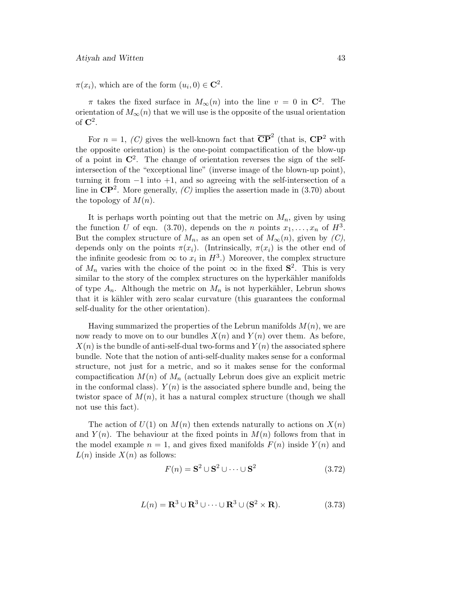$\pi(x_i)$ , which are of the form  $(u_i, 0) \in \mathbb{C}^2$ .

 $\pi$  takes the fixed surface in  $M_{\infty}(n)$  into the line  $v = 0$  in  $\mathbb{C}^2$ . The orientation of  $M_{\infty}(n)$  that we will use is the opposite of the usual orientation of **C**2.

For  $n = 1$ , (C) gives the well-known fact that  $\overline{CP}^2$  (that is,  $\overline{CP}^2$  with the opposite orientation) is the one-point compactification of the blow-up of a point in  $\mathbb{C}^2$ . The change of orientation reverses the sign of the selfintersection of the "exceptional line" (inverse image of the blown-up point), turning it from  $-1$  into  $+1$ , and so agreeing with the self-intersection of a line in  $\mathbb{CP}^2$ . More generally, (C) implies the assertion made in (3.70) about the topology of  $M(n)$ .

It is perhaps worth pointing out that the metric on  $M_n$ , given by using the function U of eqn. (3.70), depends on the n points  $x_1, \ldots, x_n$  of  $H^3$ . But the complex structure of  $M_n$ , as an open set of  $M_\infty(n)$ , given by  $(C)$ , depends only on the points  $\pi(x_i)$ . (Intrinsically,  $\pi(x_i)$  is the other end of the infinite geodesic from  $\infty$  to  $x_i$  in  $H^3$ .) Moreover, the complex structure of  $M_n$  varies with the choice of the point  $\infty$  in the fixed  $S^2$ . This is very similar to the story of the complex structures on the hyperkähler manifolds of type  $A_n$ . Although the metric on  $M_n$  is not hyperkähler, Lebrun shows that it is kähler with zero scalar curvature (this guarantees the conformal self-duality for the other orientation).

Having summarized the properties of the Lebrun manifolds  $M(n)$ , we are now ready to move on to our bundles  $X(n)$  and  $Y(n)$  over them. As before,  $X(n)$  is the bundle of anti-self-dual two-forms and  $Y(n)$  the associated sphere bundle. Note that the notion of anti-self-duality makes sense for a conformal structure, not just for a metric, and so it makes sense for the conformal compactification  $M(n)$  of  $M_n$  (actually Lebrun does give an explicit metric in the conformal class).  $Y(n)$  is the associated sphere bundle and, being the twistor space of  $M(n)$ , it has a natural complex structure (though we shall not use this fact).

The action of  $U(1)$  on  $M(n)$  then extends naturally to actions on  $X(n)$ and  $Y(n)$ . The behaviour at the fixed points in  $M(n)$  follows from that in the model example  $n = 1$ , and gives fixed manifolds  $F(n)$  inside  $Y(n)$  and  $L(n)$  inside  $X(n)$  as follows:

$$
F(n) = \mathbf{S}^2 \cup \mathbf{S}^2 \cup \dots \cup \mathbf{S}^2 \tag{3.72}
$$

$$
L(n) = \mathbf{R}^{3} \cup \mathbf{R}^{3} \cup \dots \cup \mathbf{R}^{3} \cup (\mathbf{S}^{2} \times \mathbf{R}).
$$
 (3.73)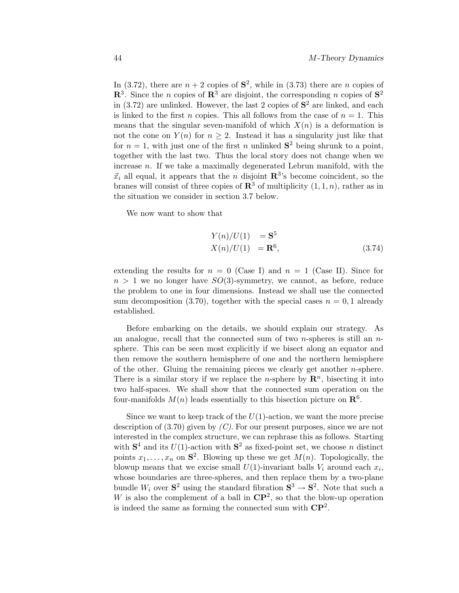In (3.72), there are  $n + 2$  copies of  $S^2$ , while in (3.73) there are n copies of  $\mathbb{R}^3$ . Since the *n* copies of  $\mathbb{R}^3$  are disjoint, the corresponding *n* copies of  $\mathbb{S}^2$ in  $(3.72)$  are unlinked. However, the last 2 copies of  $S<sup>2</sup>$  are linked, and each is linked to the first *n* copies. This all follows from the case of  $n = 1$ . This means that the singular seven-manifold of which  $X(n)$  is a deformation is not the cone on  $Y(n)$  for  $n \geq 2$ . Instead it has a singularity just like that for  $n = 1$ , with just one of the first n unlinked  $S^2$  being shrunk to a point, together with the last two. Thus the local story does not change when we increase  $n$ . If we take a maximally degenerated Lebrun manifold, with the  $\vec{x}_i$  all equal, it appears that the *n* disjoint  $\mathbb{R}^3$ 's become coincident, so the branes will consist of three copies of  $\mathbb{R}^3$  of multiplicity  $(1, 1, n)$ , rather as in the situation we consider in section 3.7 below.

We now want to show that

$$
Y(n)/U(1) = \mathbf{S}^{5}
$$
  
\n
$$
X(n)/U(1) = \mathbf{R}^{6},
$$
\n(3.74)

extending the results for  $n = 0$  (Case I) and  $n = 1$  (Case II). Since for  $n > 1$  we no longer have  $SO(3)$ -symmetry, we cannot, as before, reduce the problem to one in four dimensions. Instead we shall use the connected sum decomposition (3.70), together with the special cases  $n = 0, 1$  already established.

Before embarking on the details, we should explain our strategy. As an analogue, recall that the connected sum of two n-spheres is still an  $n$ sphere. This can be seen most explicitly if we bisect along an equator and then remove the southern hemisphere of one and the northern hemisphere of the other. Gluing the remaining pieces we clearly get another  $n$ -sphere. There is a similar story if we replace the *n*-sphere by  $\mathbb{R}^n$ , bisecting it into two half-spaces. We shall show that the connected sum operation on the four-manifolds  $M(n)$  leads essentially to this bisection picture on  $\mathbb{R}^6$ .

Since we want to keep track of the  $U(1)$ -action, we want the more precise description of  $(3.70)$  given by  $(C)$ . For our present purposes, since we are not interested in the complex structure, we can rephrase this as follows. Starting with  $S^4$  and its  $U(1)$ -action with  $S^2$  as fixed-point set, we choose n distinct points  $x_1, \ldots, x_n$  on  $S^2$ . Blowing up these we get  $M(n)$ . Topologically, the blowup means that we excise small  $U(1)$ -invariant balls  $V_i$  around each  $x_i$ , whose boundaries are three-spheres, and then replace them by a two-plane bundle  $W_i$  over  $S^2$  using the standard fibration  $S^3 \to S^2$ . Note that such a W is also the complement of a ball in  $\mathbb{CP}^2$ , so that the blow-up operation is indeed the same as forming the connected sum with **CP**2.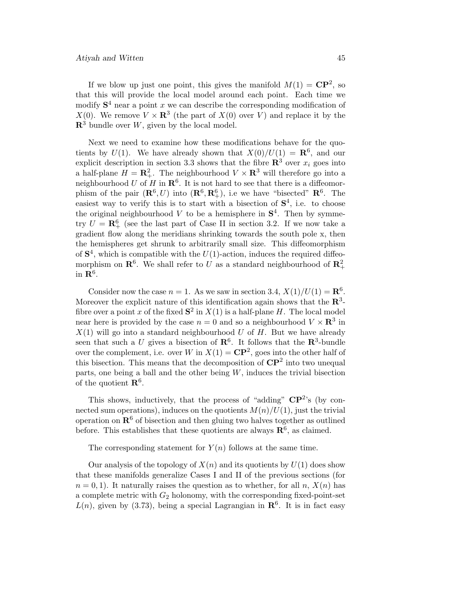If we blow up just one point, this gives the manifold  $M(1) = \mathbb{C}\mathbb{P}^2$ , so that this will provide the local model around each point. Each time we modify  $S<sup>4</sup>$  near a point x we can describe the corresponding modification of  $X(0)$ . We remove  $V \times \mathbb{R}^3$  (the part of  $X(0)$  over V) and replace it by the  $\mathbb{R}^3$  bundle over W, given by the local model.

Next we need to examine how these modifications behave for the quotients by  $U(1)$ . We have already shown that  $X(0)/U(1) = \mathbb{R}^6$ , and our explicit description in section 3.3 shows that the fibre  $\mathbb{R}^3$  over  $x_i$  goes into a half-plane  $H = \mathbb{R}^2_+$ . The neighbourhood  $V \times \mathbb{R}^3$  will therefore go into a neighbourhood U of H in  $\mathbb{R}^6$ . It is not hard to see that there is a diffeomorphism of the pair  $(\mathbb{R}^6, U)$  into  $(\mathbb{R}^6, \mathbb{R}^6_+)$ , i.e we have "bisected"  $\mathbb{R}^6$ . The easiest way to verify this is to start with a bisection of  $S<sup>4</sup>$ , i.e. to choose the original neighbourhood  $V$  to be a hemisphere in  $S<sup>4</sup>$ . Then by symmetry  $U = \mathbb{R}_{+}^{6}$  (see the last part of Case II in section 3.2. If we now take a gradient flow along the meridians shrinking towards the south pole x, then the hemispheres get shrunk to arbitrarily small size. This diffeomorphism of  $S<sup>4</sup>$ , which is compatible with the  $U(1)$ -action, induces the required diffeomorphism on  $\mathbb{R}^6$ . We shall refer to U as a standard neighbourhood of  $\mathbb{R}^2_+$ in  $\mathbb{R}^6$ .

Consider now the case  $n = 1$ . As we saw in section 3.4,  $X(1)/U(1) = \mathbb{R}^6$ . Moreover the explicit nature of this identification again shows that the  $\mathbb{R}^3$ fibre over a point x of the fixed  $S^2$  in  $X(1)$  is a half-plane H. The local model near here is provided by the case  $n = 0$  and so a neighbourhood  $V \times \mathbb{R}^3$  in  $X(1)$  will go into a standard neighbourhood U of H. But we have already seen that such a U gives a bisection of  $\mathbb{R}^6$ . It follows that the  $\mathbb{R}^3$ -bundle over the complement, i.e. over W in  $X(1) = \mathbb{C}P^2$ , goes into the other half of this bisection. This means that the decomposition of **CP**<sup>2</sup> into two unequal parts, one being a ball and the other being  $W$ , induces the trivial bisection of the quotient  $\mathbb{R}^6$ .

This shows, inductively, that the process of "adding"  $\mathbb{CP}^{2}$ 's (by connected sum operations), induces on the quotients  $M(n)/U(1)$ , just the trivial operation on  $\mathbb{R}^6$  of bisection and then gluing two halves together as outlined before. This establishes that these quotients are always  $\mathbb{R}^6$ , as claimed.

The corresponding statement for  $Y(n)$  follows at the same time.

Our analysis of the topology of  $X(n)$  and its quotients by  $U(1)$  does show that these manifolds generalize Cases I and II of the previous sections (for  $n = 0, 1$ . It naturally raises the question as to whether, for all n,  $X(n)$  has a complete metric with  $G_2$  holonomy, with the corresponding fixed-point-set  $L(n)$ , given by (3.73), being a special Lagrangian in  $\mathbb{R}^6$ . It is in fact easy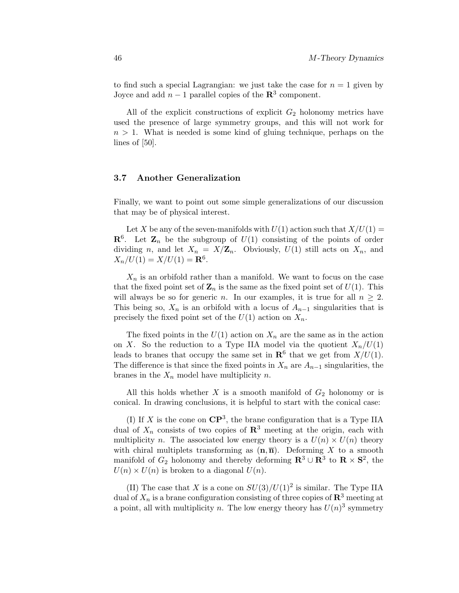to find such a special Lagrangian: we just take the case for  $n = 1$  given by Joyce and add  $n-1$  parallel copies of the  $\mathbb{R}^3$  component.

All of the explicit constructions of explicit  $G_2$  holonomy metrics have used the presence of large symmetry groups, and this will not work for  $n > 1$ . What is needed is some kind of gluing technique, perhaps on the lines of  $[50]$ .

### **3.7 Another Generalization**

Finally, we want to point out some simple generalizations of our discussion that may be of physical interest.

Let X be any of the seven-manifolds with  $U(1)$  action such that  $X/U(1) =$  $\mathbb{R}^6$ . Let  $\mathbb{Z}_n$  be the subgroup of  $U(1)$  consisting of the points of order dividing n, and let  $X_n = X/\mathbb{Z}_n$ . Obviously,  $U(1)$  still acts on  $X_n$ , and  $X_n/U(1) = X/U(1) = \mathbf{R}^6$ .

 $X_n$  is an orbifold rather than a manifold. We want to focus on the case that the fixed point set of  $\mathbb{Z}_n$  is the same as the fixed point set of  $U(1)$ . This will always be so for generic *n*. In our examples, it is true for all  $n \geq 2$ . This being so,  $X_n$  is an orbifold with a locus of  $A_{n-1}$  singularities that is precisely the fixed point set of the  $U(1)$  action on  $X_n$ .

The fixed points in the  $U(1)$  action on  $X_n$  are the same as in the action on X. So the reduction to a Type IIA model via the quotient  $X_n/U(1)$ leads to branes that occupy the same set in  $\mathbb{R}^6$  that we get from  $X/U(1)$ . The difference is that since the fixed points in  $X_n$  are  $A_{n-1}$  singularities, the branes in the  $X_n$  model have multiplicity n.

All this holds whether  $X$  is a smooth manifold of  $G_2$  holonomy or is conical. In drawing conclusions, it is helpful to start with the conical case:

(I) If X is the cone on  $\mathbb{C}\mathbb{P}^3$ , the brane configuration that is a Type IIA dual of  $X_n$  consists of two copies of  $\mathbb{R}^3$  meeting at the origin, each with multiplicity n. The associated low energy theory is a  $U(n) \times U(n)$  theory with chiral multiplets transforming as  $(n, \overline{n})$ . Deforming X to a smooth manifold of  $G_2$  holonomy and thereby deforming  $\mathbb{R}^3 \cup \mathbb{R}^3$  to  $\mathbb{R} \times \mathbb{S}^2$ , the  $U(n) \times U(n)$  is broken to a diagonal  $U(n)$ .

(II) The case that X is a cone on  $SU(3)/U(1)^2$  is similar. The Type IIA dual of  $X_n$  is a brane configuration consisting of three copies of  $\mathbb{R}^3$  meeting at a point, all with multiplicity n. The low energy theory has  $U(n)^3$  symmetry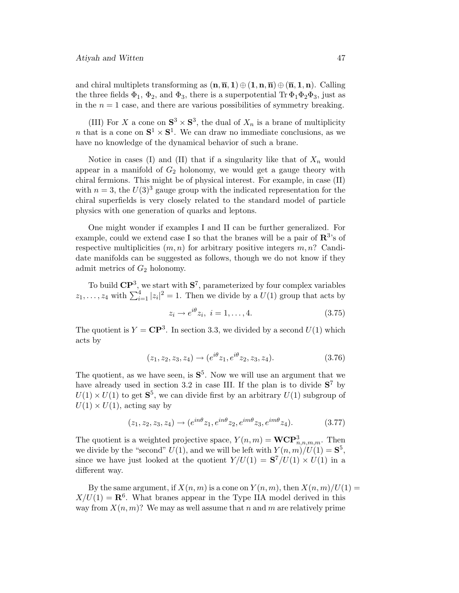and chiral multiplets transforming as  $(\mathbf{n}, \overline{\mathbf{n}}, 1) \oplus (\mathbf{1}, \mathbf{n}, \overline{\mathbf{n}}) \oplus (\overline{\mathbf{n}}, \mathbf{1}, \mathbf{n})$ . Calling the three fields  $\Phi_1$ ,  $\Phi_2$ , and  $\Phi_3$ , there is a superpotential Tr  $\Phi_1 \Phi_2 \Phi_3$ , just as in the  $n = 1$  case, and there are various possibilities of symmetry breaking.

(III) For X a cone on  $S^3 \times S^3$ , the dual of  $X_n$  is a brane of multiplicity *n* that is a cone on  $S^1 \times S^1$ . We can draw no immediate conclusions, as we have no knowledge of the dynamical behavior of such a brane.

Notice in cases (I) and (II) that if a singularity like that of  $X_n$  would appear in a manifold of  $G_2$  holonomy, we would get a gauge theory with chiral fermions. This might be of physical interest. For example, in case (II) with  $n = 3$ , the  $U(3)^3$  gauge group with the indicated representation for the chiral superfields is very closely related to the standard model of particle physics with one generation of quarks and leptons.

One might wonder if examples I and II can be further generalized. For example, could we extend case I so that the branes will be a pair of **R**3's of respective multiplicities  $(m, n)$  for arbitrary positive integers  $m, n$ ? Candidate manifolds can be suggested as follows, though we do not know if they admit metrics of  $G_2$  holonomy.

To build **CP**3, we start with **S**7, parameterized by four complex variables  $z_1, \ldots, z_4$  with  $\sum_{i=1}^4 |z_i|^2 = 1$ . Then we divide by a  $U(1)$  group that acts by

$$
z_i \to e^{i\theta} z_i, \ i = 1, \dots, 4. \tag{3.75}
$$

The quotient is  $Y = \mathbb{C}P^3$ . In section 3.3, we divided by a second  $U(1)$  which acts by

$$
(z_1, z_2, z_3, z_4) \rightarrow (e^{i\theta} z_1, e^{i\theta} z_2, z_3, z_4). \tag{3.76}
$$

The quotient, as we have seen, is  $S^5$ . Now we will use an argument that we have already used in section 3.2 in case III. If the plan is to divide  $S^7$  by  $U(1) \times U(1)$  to get  $S^5$ , we can divide first by an arbitrary  $U(1)$  subgroup of  $U(1) \times U(1)$ , acting say by

$$
(z_1, z_2, z_3, z_4) \to (e^{in\theta} z_1, e^{in\theta} z_2, e^{im\theta} z_3, e^{im\theta} z_4). \tag{3.77}
$$

The quotient is a weighted projective space,  $Y(n, m) = WCP^3_{n,n,m,m}$ . Then we divide by the "second"  $U(1)$ , and we will be left with  $Y(n,m)/U(1) = \mathbf{S}^5$ , since we have just looked at the quotient  $Y/U(1) = S^7/U(1) \times U(1)$  in a different way.

By the same argument, if  $X(n, m)$  is a cone on  $Y(n, m)$ , then  $X(n, m)/U(1) =$  $X/U(1) = \mathbf{R}^6$ . What branes appear in the Type IIA model derived in this way from  $X(n, m)$ ? We may as well assume that n and m are relatively prime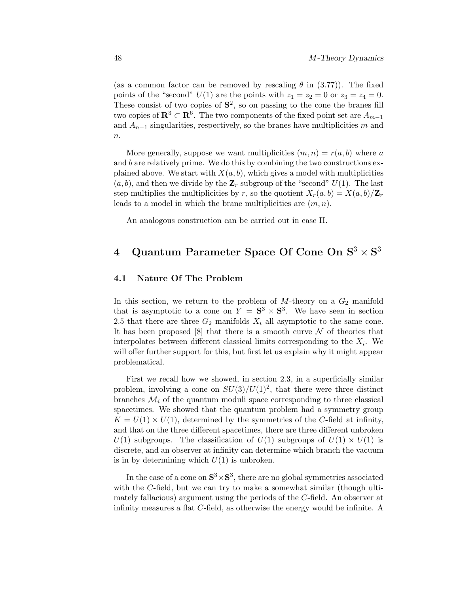(as a common factor can be removed by rescaling  $\theta$  in (3.77)). The fixed points of the "second"  $U(1)$  are the points with  $z_1 = z_2 = 0$  or  $z_3 = z_4 = 0$ . These consist of two copies of  $S^2$ , so on passing to the cone the branes fill two copies of  $\mathbb{R}^3 \subset \mathbb{R}^6$ . The two components of the fixed point set are  $A_{m-1}$ and  $A_{n-1}$  singularities, respectively, so the branes have multiplicities m and  $n$ .

More generally, suppose we want multiplicities  $(m, n) = r(a, b)$  where a and  $b$  are relatively prime. We do this by combining the two constructions explained above. We start with  $X(a, b)$ , which gives a model with multiplicities  $(a, b)$ , and then we divide by the  $\mathbf{Z}_r$  subgroup of the "second"  $U(1)$ . The last step multiplies the multiplicities by r, so the quotient  $X_r(a, b) = X(a, b)/\mathbf{Z}_r$ leads to a model in which the brane multiplicities are  $(m, n)$ .

An analogous construction can be carried out in case II.

# **4 Quantum Parameter Space Of Cone On S**<sup>3</sup> × **S**<sup>3</sup>

### **4.1 Nature Of The Problem**

In this section, we return to the problem of  $M$ -theory on a  $G_2$  manifold that is asymptotic to a cone on  $Y = S^3 \times S^3$ . We have seen in section 2.5 that there are three  $G_2$  manifolds  $X_i$  all asymptotic to the same cone. It has been proposed [8] that there is a smooth curve  $\mathcal N$  of theories that interpolates between different classical limits corresponding to the  $X_i$ . We will offer further support for this, but first let us explain why it might appear problematical.

First we recall how we showed, in section 2.3, in a superficially similar problem, involving a cone on  $SU(3)/U(1)^2$ , that there were three distinct branches  $\mathcal{M}_i$  of the quantum moduli space corresponding to three classical spacetimes. We showed that the quantum problem had a symmetry group  $K = U(1) \times U(1)$ , determined by the symmetries of the C-field at infinity, and that on the three different spacetimes, there are three different unbroken  $U(1)$  subgroups. The classification of  $U(1)$  subgroups of  $U(1) \times U(1)$  is discrete, and an observer at infinity can determine which branch the vacuum is in by determining which  $U(1)$  is unbroken.

In the case of a cone on  $S^3 \times S^3$ , there are no global symmetries associated with the C-field, but we can try to make a somewhat similar (though ultimately fallacious) argument using the periods of the C-field. An observer at infinity measures a flat C-field, as otherwise the energy would be infinite. A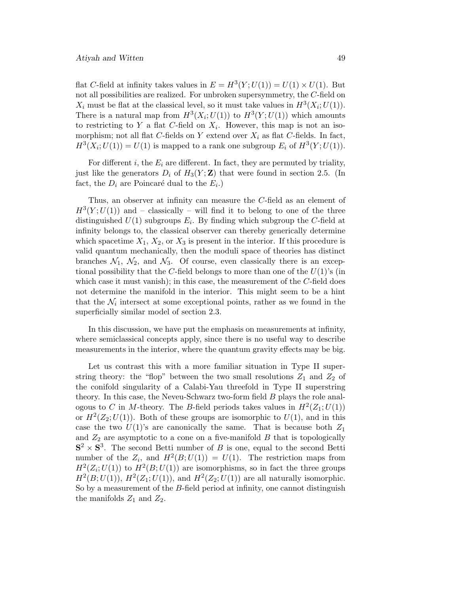flat C-field at infinity takes values in  $E = H^3(Y; U(1)) = U(1) \times U(1)$ . But not all possibilities are realized. For unbroken supersymmetry, the C-field on  $X_i$  must be flat at the classical level, so it must take values in  $H^3(X_i;U(1))$ . There is a natural map from  $H^3(X_i;U(1))$  to  $H^3(Y;U(1))$  which amounts to restricting to Y a flat C-field on  $X_i$ . However, this map is not an isomorphism; not all flat C-fields on Y extend over  $X_i$  as flat C-fields. In fact,  $H^3(X_i;U(1)) = U(1)$  is mapped to a rank one subgroup  $E_i$  of  $H^3(Y;U(1))$ .

For different i, the  $E_i$  are different. In fact, they are permuted by triality, just like the generators  $D_i$  of  $H_3(Y; \mathbf{Z})$  that were found in section 2.5. (In fact, the  $D_i$  are Poincaré dual to the  $E_i$ .)

Thus, an observer at infinity can measure the C-field as an element of  $H^3(Y;U(1))$  and – classically – will find it to belong to one of the three distinguished  $U(1)$  subgroups  $E_i$ . By finding which subgroup the C-field at infinity belongs to, the classical observer can thereby generically determine which spacetime  $X_1, X_2,$  or  $X_3$  is present in the interior. If this procedure is valid quantum mechanically, then the moduli space of theories has distinct branches  $\mathcal{N}_1$ ,  $\mathcal{N}_2$ , and  $\mathcal{N}_3$ . Of course, even classically there is an exceptional possibility that the C-field belongs to more than one of the  $U(1)$ 's (in which case it must vanish); in this case, the measurement of the  $C$ -field does not determine the manifold in the interior. This might seem to be a hint that the  $\mathcal{N}_i$  intersect at some exceptional points, rather as we found in the superficially similar model of section 2.3.

In this discussion, we have put the emphasis on measurements at infinity, where semiclassical concepts apply, since there is no useful way to describe measurements in the interior, where the quantum gravity effects may be big.

Let us contrast this with a more familiar situation in Type II superstring theory: the "flop" between the two small resolutions  $Z_1$  and  $Z_2$  of the conifold singularity of a Calabi-Yau threefold in Type II superstring theory. In this case, the Neveu-Schwarz two-form field B plays the role analogous to C in M-theory. The B-field periods takes values in  $H^2(Z_1; U(1))$ or  $H^2(Z_2; U(1))$ . Both of these groups are isomorphic to  $U(1)$ , and in this case the two  $U(1)$ 's are canonically the same. That is because both  $Z_1$ and  $Z_2$  are asymptotic to a cone on a five-manifold  $B$  that is topologically  $S^2 \times S^3$ . The second Betti number of B is one, equal to the second Betti number of the  $Z_i$ , and  $H^2(B;U(1)) = U(1)$ . The restriction maps from  $H^2(Z_i;U(1))$  to  $H^2(B;U(1))$  are isomorphisms, so in fact the three groups  $H^2(B;U(1)), H^2(Z_1;U(1)),$  and  $H^2(Z_2;U(1))$  are all naturally isomorphic. So by a measurement of the  $B$ -field period at infinity, one cannot distinguish the manifolds  $Z_1$  and  $Z_2$ .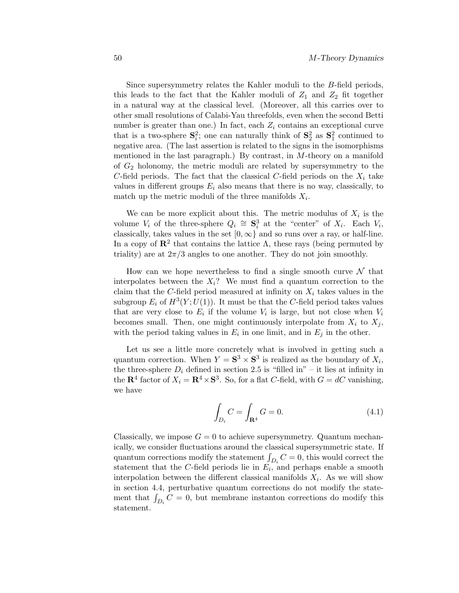Since supersymmetry relates the Kahler moduli to the B-field periods, this leads to the fact that the Kahler moduli of  $Z_1$  and  $Z_2$  fit together in a natural way at the classical level. (Moreover, all this carries over to other small resolutions ofCalabi-Yau threefolds, even when the second Betti number is greater than one.) In fact, each  $Z_i$  contains an exceptional curve that is a two-sphere  $S_i^2$ ; one can naturally think of  $S_2^2$  as  $S_1^2$  continued to negative area. (The last assertion is related to the signs in the isomorphisms mentioned in the last paragraph.) By contrast, in M-theory on a manifold of  $G_2$  holonomy, the metric moduli are related by supersymmetry to the C-field periods. The fact that the classical C-field periods on the  $X_i$  take values in different groups  $E_i$  also means that there is no way, classically, to match up the metric moduli of the three manifolds  $X_i$ .

We can be more explicit about this. The metric modulus of  $X_i$  is the volume  $V_i$  of the three-sphere  $Q_i \cong \mathbf{S}_i^3$  at the "center" of  $X_i$ . Each  $V_i$ , classically, takes values in the set  $[0, \infty)$  and so runs over a ray, or half-line. In a copy of  $\mathbb{R}^2$  that contains the lattice  $\Lambda$ , these rays (being permuted by triality) are at  $2\pi/3$  angles to one another. They do not join smoothly.

How can we hope nevertheless to find a single smooth curve  $\mathcal N$  that interpolates between the  $X_i$ ? We must find a quantum correction to the claim that the C-field period measured at infinity on  $X_i$  takes values in the subgroup  $E_i$  of  $H^3(Y;U(1))$ . It must be that the C-field period takes values that are very close to  $E_i$  if the volume  $V_i$  is large, but not close when  $V_i$ becomes small. Then, one might continuously interpolate from  $X_i$  to  $X_j$ , with the period taking values in  $E_i$  in one limit, and in  $E_j$  in the other.

Let us see a little more concretely what is involved in getting such a quantum correction. When  $Y = S^3 \times S^3$  is realized as the boundary of  $X_i$ , the three-sphere  $D_i$  defined in section 2.5 is "filled in" – it lies at infinity in the **R**<sup>4</sup> factor of  $X_i = \mathbb{R}^4 \times \mathbb{S}^3$ . So, for a flat C-field, with  $G = dC$  vanishing, we have

$$
\int_{D_i} C = \int_{\mathbf{R}^4} G = 0.
$$
\n(4.1)

Classically, we impose  $G = 0$  to achieve supersymmetry. Quantum mechanically, we consider fluctuations around the classical supersymmetric state. If quantum corrections modify the statement  $\int_{D_i} C = 0$ , this would correct the statement that the C-field periods lie in  $E_i$ , and perhaps enable a smooth interpolation between the different classical manifolds  $X_i$ . As we will show in section 4.4, perturbative quantum corrections do not modify the statement that  $\int_{D_i} C = 0$ , but membrane instanton corrections do modify this statement.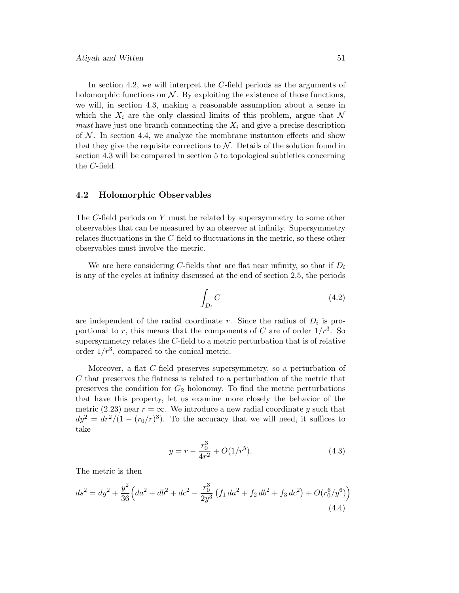In section 4.2, we will interpret the C-field periods as the arguments of holomorphic functions on  $\mathcal N$ . By exploiting the existence of those functions, we will, in section 4.3, making a reasonable assumption about a sense in which the  $X_i$  are the only classical limits of this problem, argue that N must have just one branch connnecting the  $X_i$  and give a precise description of  $\mathcal N$ . In section 4.4, we analyze the membrane instanton effects and show that they give the requisite corrections to  $\mathcal N$ . Details of the solution found in section 4.3 will be compared in section 5 to topological subtleties concerning the C-field.

# **4.2 Holomorphic Observables**

The C-field periods on Y must be related by supersymmetry to some other observables that can be measured by an observer at infinity. Supersymmetry relates fluctuations in the C-field to fluctuations in the metric, so these other observables must involve the metric.

We are here considering C-fields that are flat near infinity, so that if  $D_i$ is any of the cycles at infinity discussed at the end of section 2.5, the periods

$$
\int_{D_i} C \tag{4.2}
$$

are independent of the radial coordinate r. Since the radius of  $D_i$  is proportional to r, this means that the components of C are of order  $1/r^3$ . So supersymmetry relates the  $C$ -field to a metric perturbation that is of relative order  $1/r^3$ , compared to the conical metric.

Moreover, a flat C-field preserves supersymmetry, so a perturbation of  $C$  that preserves the flatness is related to a perturbation of the metric that preserves the condition for  $G_2$  holonomy. To find the metric perturbations that have this property, let us examine more closely the behavior of the metric (2.23) near  $r = \infty$ . We introduce a new radial coordinate y such that  $dy^2 = dr^2/(1 - (r_0/r)^3)$ . To the accuracy that we will need, it suffices to take

$$
y = r - \frac{r_0^3}{4r^2} + O(1/r^5). \tag{4.3}
$$

The metric is then

$$
ds^{2} = dy^{2} + \frac{y^{2}}{36} \left( da^{2} + db^{2} + dc^{2} - \frac{r_{0}^{3}}{2y^{3}} \left( f_{1} da^{2} + f_{2} db^{2} + f_{3} dc^{2} \right) + O(r_{0}^{6}/y^{6}) \right)
$$
\n(4.4)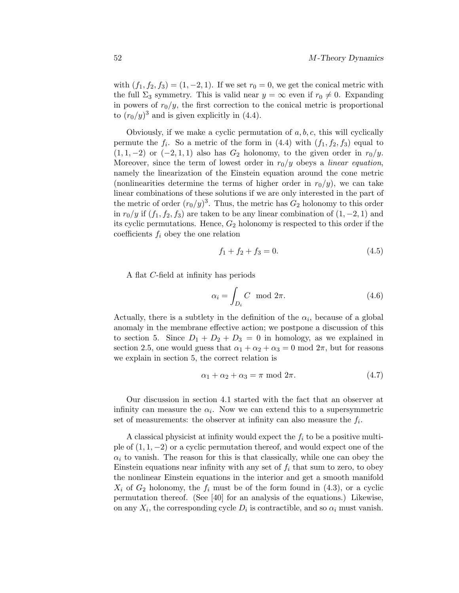with  $(f_1, f_2, f_3) = (1, -2, 1)$ . If we set  $r_0 = 0$ , we get the conical metric with the full  $\Sigma_3$  symmetry. This is valid near  $y = \infty$  even if  $r_0 \neq 0$ . Expanding in powers of  $r_0/y$ , the first correction to the conical metric is proportional to  $(r_0/y)^3$  and is given explicitly in (4.4).

Obviously, if we make a cyclic permutation of  $a, b, c$ , this will cyclically permute the  $f_i$ . So a metric of the form in (4.4) with  $(f_1, f_2, f_3)$  equal to  $(1, 1, -2)$  or  $(-2, 1, 1)$  also has  $G_2$  holonomy, to the given order in  $r_0/y$ . Moreover, since the term of lowest order in  $r_0/y$  obeys a linear equation, namely the linearization of the Einstein equation around the cone metric (nonlinearities determine the terms of higher order in  $r_0/y$ ), we can take linear combinations of these solutions if we are only interested in the part of the metric of order  $(r_0/y)^3$ . Thus, the metric has  $G_2$  holonomy to this order in  $r_0/y$  if  $(f_1, f_2, f_3)$  are taken to be any linear combination of  $(1, -2, 1)$  and its cyclic permutations. Hence,  $G_2$  holonomy is respected to this order if the coefficients  $f_i$  obey the one relation

$$
f_1 + f_2 + f_3 = 0.\t\t(4.5)
$$

A flat C-field at infinity has periods

$$
\alpha_i = \int_{D_i} C \mod 2\pi. \tag{4.6}
$$

Actually, there is a subtlety in the definition of the  $\alpha_i$ , because of a global anomaly in the membrane effective action; we postpone a discussion ofthis to section 5. Since  $D_1 + D_2 + D_3 = 0$  in homology, as we explained in section 2.5, one would guess that  $\alpha_1 + \alpha_2 + \alpha_3 = 0 \text{ mod } 2\pi$ , but for reasons we explain in section 5, the correct relation is

$$
\alpha_1 + \alpha_2 + \alpha_3 = \pi \mod 2\pi. \tag{4.7}
$$

Our discussion in section 4.1 started with the fact that an observer at infinity can measure the  $\alpha_i$ . Now we can extend this to a supersymmetric set of measurements: the observer at infinity can also measure the  $f_i$ .

A classical physicist at infinity would expect the  $f_i$  to be a positive multiple of  $(1, 1, -2)$  or a cyclic permutation thereof, and would expect one of the  $\alpha_i$  to vanish. The reason for this is that classically, while one can obey the Einstein equations near infinity with any set of  $f_i$  that sum to zero, to obey the nonlinear Einstein equations in the interior and get a smooth manifold  $X_i$  of  $G_2$  holonomy, the  $f_i$  must be of the form found in (4.3), or a cyclic permutation thereof. (See [40] for an analysis of the equations.) Likewise, on any  $X_i$ , the corresponding cycle  $D_i$  is contractible, and so  $\alpha_i$  must vanish.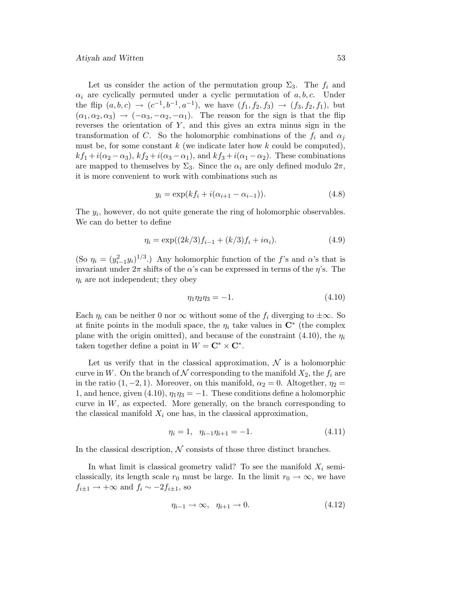#### Atiyah and Witten 53

Let us consider the action of the permutation group  $\Sigma_3$ . The  $f_i$  and  $\alpha_i$  are cyclically permuted under a cyclic permutation of a, b, c. Under the flip  $(a, b, c) \rightarrow (c^{-1}, b^{-1}, a^{-1})$ , we have  $(f_1, f_2, f_3) \rightarrow (f_3, f_2, f_1)$ , but  $(\alpha_1, \alpha_2, \alpha_3) \rightarrow (-\alpha_3, -\alpha_2, -\alpha_1)$ . The reason for the sign is that the flip reverses the orientation of  $Y$ , and this gives an extra minus sign in the transformation of C. So the holomorphic combinations of the  $f_i$  and  $\alpha_j$ must be, for some constant  $k$  (we indicate later how  $k$  could be computed),  $kf_1+i(\alpha_2-\alpha_3), kf_2+i(\alpha_3-\alpha_1),$  and  $kf_3+i(\alpha_1-\alpha_2)$ . These combinations are mapped to themselves by  $\Sigma_3$ . Since the  $\alpha_i$  are only defined modulo  $2\pi$ , it is more convenient to work with combinations such as

$$
y_i = \exp(kf_i + i(\alpha_{i+1} - \alpha_{i-1})).
$$
\n(4.8)

The  $y_i$ , however, do not quite generate the ring of holomorphic observables. We can do better to define

$$
\eta_i = \exp((2k/3)f_{i-1} + (k/3)f_i + i\alpha_i). \tag{4.9}
$$

(So  $\eta_i = (y_{i-1}^2 y_i)^{1/3}$ .) Any holomorphic function of the f's and  $\alpha$ 's that is invariant under  $2\pi$  shifts of the  $\alpha$ 's can be expressed in terms of the  $\eta$ 's. The  $\eta_i$  are not independent; they obey

$$
\eta_1 \eta_2 \eta_3 = -1. \tag{4.10}
$$

Each  $\eta_i$  can be neither 0 nor  $\infty$  without some of the  $f_i$  diverging to  $\pm \infty$ . So at finite points in the moduli space, the  $\eta_i$  take values in  $\mathbb{C}^*$  (the complex plane with the origin omitted), and because of the constraint (4.10), the  $\eta_i$ taken together define a point in  $W = \mathbf{C}^* \times \mathbf{C}^*$ .

Let us verify that in the classical approximation,  $\mathcal N$  is a holomorphic curve in W. On the branch of N corresponding to the manifold  $X_2$ , the  $f_i$  are in the ratio  $(1, -2, 1)$ . Moreover, on this manifold,  $\alpha_2 = 0$ . Altogether,  $\eta_2 =$ 1, and hence, given (4.10),  $\eta_1 \eta_3 = -1$ . These conditions define a holomorphic curve in  $W$ , as expected. More generally, on the branch corresponding to the classical manifold  $X_i$  one has, in the classical approximation,

$$
\eta_i = 1, \quad \eta_{i-1}\eta_{i+1} = -1. \tag{4.11}
$$

In the classical description,  $N$  consists of those three distinct branches.

In what limit is classical geometry valid? To see the manifold  $X_i$  semiclassically, its length scale  $r_0$  must be large. In the limit  $r_0 \to \infty$ , we have  $f_{i\pm 1} \rightarrow +\infty$  and  $f_i \sim -2f_{i\pm 1}$ , so

$$
\eta_{i-1} \to \infty, \quad \eta_{i+1} \to 0. \tag{4.12}
$$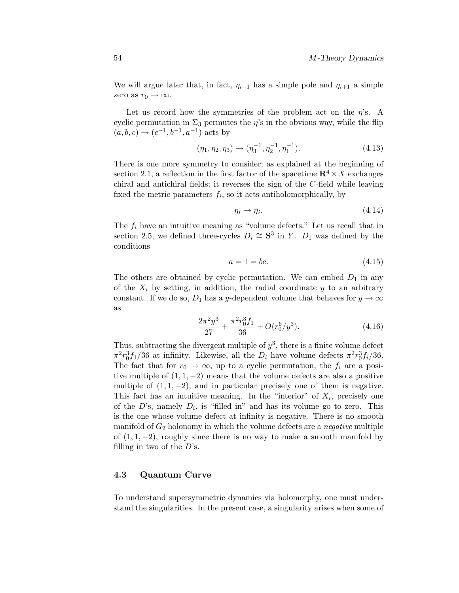We will argue later that, in fact,  $\eta_{i-1}$  has a simple pole and  $\eta_{i+1}$  a simple zero as  $r_0 \rightarrow \infty$ .

Let us record how the symmetries of the problem act on the  $\eta$ 's. A cyclic permutation in  $\Sigma_3$  permutes the  $\eta$ 's in the obvious way, while the flip  $(a, b, c) \rightarrow (c^{-1}, b^{-1}, a^{-1})$  acts by

$$
(\eta_1, \eta_2, \eta_3) \to (\eta_3^{-1}, \eta_2^{-1}, \eta_1^{-1}). \tag{4.13}
$$

There is one more symmetry to consider; as explained at the beginning of section 2.1, a reflection in the first factor of the spacetime  $\mathbb{R}^4 \times X$  exchanges chiral and antichiral fields; it reverses the sign of the  $C$ -field while leaving fixed the metric parameters  $f_i$ , so it acts antiholomorphically, by

$$
\eta_i \to \overline{\eta}_i. \tag{4.14}
$$

The  $f_i$  have an intuitive meaning as "volume defects." Let us recall that in section 2.5, we defined three-cycles  $D_i \cong \mathbf{S}^3$  in Y.  $D_1$  was defined by the conditions

$$
a = 1 = bc.\tag{4.15}
$$

The others are obtained by cyclic permutation. We can embed  $D_1$  in any of the  $X_i$  by setting, in addition, the radial coordinate y to an arbitrary constant. If we do so,  $D_1$  has a y-dependent volume that behaves for  $y \to \infty$ as

$$
\frac{2\pi^2 y^3}{27} + \frac{\pi^2 r_0^3 f_1}{36} + O(r_0^6/y^3). \tag{4.16}
$$

Thus, subtracting the divergent multiple of  $y^3$ , there is a finite volume defect  $\pi^2 r_0^3 f_1/36$  at infinity. Likewise, all the  $D_i$  have volume defects  $\pi^2 r_0^3 f_i/36$ . The fact that for  $r_0 \to \infty$ , up to a cyclic permutation, the  $f_i$  are a positive multiple of  $(1, 1, -2)$  means that the volume defects are also a positive multiple of  $(1, 1, -2)$ , and in particular precisely one of them is negative. This fact has an intuitive meaning. In the "interior" of  $X_i$ , precisely one of the D's, namely  $D_i$ , is "filled in" and has its volume go to zero. This is the one whose volume defect at infinity is negative. There is no smooth manifold of  $G_2$  holonomy in which the volume defects are a *negative* multiple of  $(1, 1, -2)$ , roughly since there is no way to make a smooth manifold by filling in two of the  $D$ 's.

# **4.3 Quantum Curve**

To understand supersymmetric dynamics via holomorphy, one must understand the singularities. In the present case, a singularity arises when some of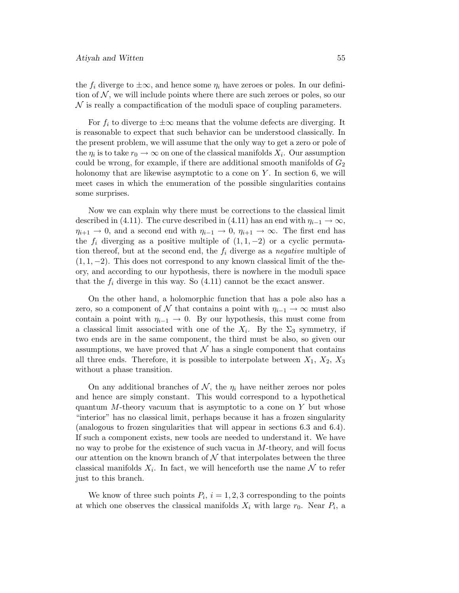the  $f_i$  diverge to  $\pm \infty$ , and hence some  $\eta_i$  have zeroes or poles. In our definition of  $N$ , we will include points where there are such zeroes or poles, so our  $\mathcal N$  is really a compactification of the moduli space of coupling parameters.

For  $f_i$  to diverge to  $\pm \infty$  means that the volume defects are diverging. It is reasonable to expect that such behavior can be understood classically. In the present problem, we will assume that the only way to get a zero or pole of the  $\eta_i$  is to take  $r_0 \to \infty$  on one of the classical manifolds  $X_i$ . Our assumption could be wrong, for example, if there are additional smooth manifolds of  $G_2$ holonomy that are likewise asymptotic to a cone on Y. In section 6, we will meet cases in which the enumeration of the possible singularities contains some surprises.

Now we can explain why there must be corrections to the classical limit described in (4.11). The curve described in (4.11) has an end with  $\eta_{i-1} \to \infty$ ,  $\eta_{i+1} \to 0$ , and a second end with  $\eta_{i-1} \to 0$ ,  $\eta_{i+1} \to \infty$ . The first end has the  $f_i$  diverging as a positive multiple of  $(1, 1, -2)$  or a cyclic permutation thereof, but at the second end, the  $f_i$  diverge as a *negative* multiple of  $(1, 1, -2)$ . This does not correspond to any known classical limit of the theory, and according to our hypothesis, there is nowhere in the moduli space that the  $f_i$  diverge in this way. So  $(4.11)$  cannot be the exact answer.

On the other hand, a holomorphic function that has a pole also has a zero, so a component of N that contains a point with  $\eta_{i-1} \to \infty$  must also contain a point with  $\eta_{i-1} \to 0$ . By our hypothesis, this must come from a classical limit associated with one of the  $X_i$ . By the  $\Sigma_3$  symmetry, if two ends are in the same component, the third must be also, so given our assumptions, we have proved that  $N$  has a single component that contains all three ends. Therefore, it is possible to interpolate between  $X_1, X_2, X_3$ without a phase transition.

On any additional branches of  $\mathcal{N}$ , the  $\eta_i$  have neither zeroes nor poles and hence are simply constant. This would correspond to a hypothetical quantum  $M$ -theory vacuum that is asymptotic to a cone on  $Y$  but whose "interior" has no classical limit, perhaps because it has a frozen singularity (analogous to frozen singularities that will appear in sections 6.3 and 6.4). If such a component exists, new tools are needed to understand it. We have no way to probe for the existence of such vacua in  $M$ -theory, and will focus our attention on the known branch of  $\mathcal N$  that interpolates between the three classical manifolds  $X_i$ . In fact, we will henceforth use the name N to refer just to this branch.

We know of three such points  $P_i$ ,  $i = 1, 2, 3$  corresponding to the points at which one observes the classical manifolds  $X_i$  with large  $r_0$ . Near  $P_i$ , a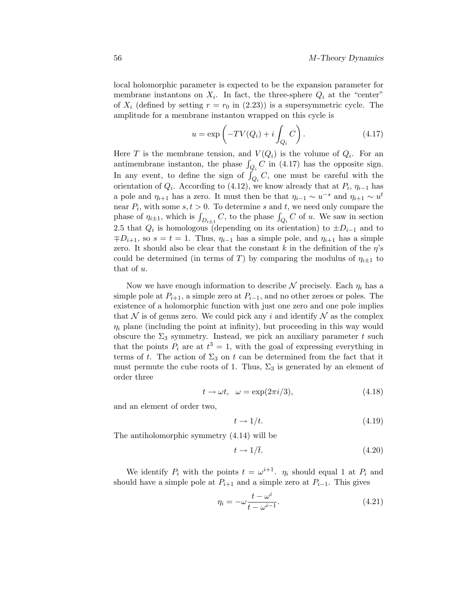local holomorphic parameter is expected to be the expansion parameter for membrane instantons on  $X_i$ . In fact, the three-sphere  $Q_i$  at the "center" of  $X_i$  (defined by setting  $r = r_0$  in (2.23)) is a supersymmetric cycle. The amplitude for a membrane instanton wrapped on this cycle is

$$
u = \exp\left(-TV(Q_i) + i \int_{Q_i} C\right). \tag{4.17}
$$

Here T is the membrane tension, and  $V(Q_i)$  is the volume of  $Q_i$ . For an antimembrane instanton, the phase  $\int_{Q_i} C$  in (4.17) has the opposite sign. In any event, to define the sign of  $\int_{Q_i} C$ , one must be careful with the orientation of  $Q_i$ . According to (4.12), we know already that at  $P_i$ ,  $\eta_{i-1}$  has a pole and  $\eta_{i+1}$  has a zero. It must then be that  $\eta_{i-1} \sim u^{-s}$  and  $\eta_{i+1} \sim u^{t}$ near  $P_i$ , with some  $s, t > 0$ . To determine s and t, we need only compare the phase of  $\eta_{i\pm 1}$ , which is  $\int_{D_{i\pm 1}} C$ , to the phase  $\int_{Q_i} C$  of u. We saw in section 2.5 that  $Q_i$  is homologous (depending on its orientation) to  $\pm D_{i-1}$  and to  $\mp D_{i+1}$ , so  $s = t = 1$ . Thus,  $\eta_{i-1}$  has a simple pole, and  $\eta_{i+1}$  has a simple zero. It should also be clear that the constant k in the definition of the  $\eta$ 's could be determined (in terms of T) by comparing the modulus of  $\eta_{i\pm 1}$  to that of u.

Now we have enough information to describe  $N$  precisely. Each  $\eta_i$  has a simple pole at  $P_{i+1}$ , a simple zero at  $P_{i-1}$ , and no other zeroes or poles. The existence of a holomorphic function with just one zero and one pole implies that N is of genus zero. We could pick any i and identify  $N$  as the complex  $\eta_i$  plane (including the point at infinity), but proceeding in this way would obscure the  $\Sigma_3$  symmetry. Instead, we pick an auxiliary parameter t such that the points  $P_i$  are at  $t^3 = 1$ , with the goal of expressing everything in terms of t. The action of  $\Sigma_3$  on t can be determined from the fact that it must permute the cube roots of 1. Thus,  $\Sigma_3$  is generated by an element of order three

$$
t \to \omega t, \quad \omega = \exp(2\pi i/3),\tag{4.18}
$$

and an element of order two,

$$
t \to 1/t. \tag{4.19}
$$

The antiholomorphic symmetry (4.14) will be

$$
t \to 1/\bar{t}.\tag{4.20}
$$

We identify  $P_i$  with the points  $t = \omega^{i+1}$ .  $\eta_i$  should equal 1 at  $P_i$  and should have a simple pole at  $P_{i+1}$  and a simple zero at  $P_{i-1}$ . This gives

$$
\eta_i = -\omega \frac{t - \omega^i}{t - \omega^{i-1}}.
$$
\n(4.21)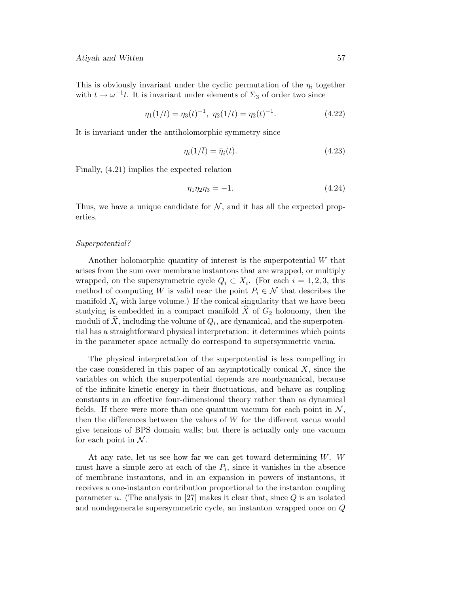This is obviously invariant under the cyclic permutation of the  $\eta_i$  together with  $t \to \omega^{-1}t$ . It is invariant under elements of  $\Sigma_3$  of order two since

$$
\eta_1(1/t) = \eta_3(t)^{-1}, \ \eta_2(1/t) = \eta_2(t)^{-1}.
$$
 (4.22)

It is invariant under the antiholomorphic symmetry since

$$
\eta_i(1/\bar{t}) = \overline{\eta}_i(t). \tag{4.23}
$$

Finally, (4.21) implies the expected relation

$$
\eta_1 \eta_2 \eta_3 = -1. \tag{4.24}
$$

Thus, we have a unique candidate for  $N$ , and it has all the expected properties.

#### Superpotential?

Another holomorphic quantity of interest is the superpotential  $W$  that arises from the sum over membrane instantons that are wrapped, or multiply wrapped, on the supersymmetric cycle  $Q_i \subset X_i$ . (For each  $i = 1, 2, 3$ , this method of computing W is valid near the point  $P_i \in \mathcal{N}$  that describes the manifold  $X_i$  with large volume.) If the conical singularity that we have been studying is embedded in a compact manifold  $\hat{X}$  of  $G_2$  holonomy, then the moduli of  $\hat{X}$ , including the volume of  $Q_i$ , are dynamical, and the superpotential has a straightforward physical interpretation: it determines which points in the parameter space actually do correspond to supersymmetric vacua.

The physical interpretation of the superpotential is less compelling in the case considered in this paper of an asymptotically conical  $X$ , since the variables on which the superpotential depends are nondynamical, because ofthe infinite kinetic energy in their fluctuations, and behave as coupling constants in an effective four-dimensional theory rather than as dynamical fields. If there were more than one quantum vacuum for each point in  $\mathcal{N}$ , then the differences between the values of  $W$  for the different vacua would give tensions ofBPS domain walls; but there is actually only one vacuum for each point in  $N$ .

At any rate, let us see how far we can get toward determining W. W must have a simple zero at each of the  $P_i$ , since it vanishes in the absence of membrane instantons, and in an expansion in powers of instantons, it receives a one-instanton contribution proportional to the instanton coupling parameter u. (The analysis in [27] makes it clear that, since  $Q$  is an isolated and nondegenerate supersymmetric cycle, an instanton wrapped once on Q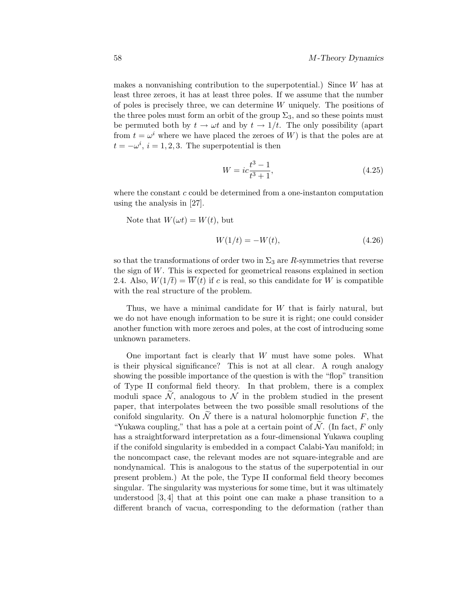makes a nonvanishing contribution to the superpotential.) Since W has at least three zeroes, it has at least three poles. If we assume that the number of poles is precisely three, we can determine  $W$  uniquely. The positions of the three poles must form an orbit of the group  $\Sigma_3$ , and so these points must be permuted both by  $t \to \omega t$  and by  $t \to 1/t$ . The only possibility (apart from  $t = \omega^i$  where we have placed the zeroes of W) is that the poles are at  $t = -\omega^i$ ,  $i = 1, 2, 3$ . The superpotential is then

$$
W = ic \frac{t^3 - 1}{t^3 + 1},\tag{4.25}
$$

where the constant  $c$  could be determined from a one-instanton computation using the analysis in [27].

Note that  $W(\omega t) = W(t)$ , but

$$
W(1/t) = -W(t),
$$
\n(4.26)

so that the transformations of order two in  $\Sigma_3$  are R-symmetries that reverse the sign of W. This is expected for geometrical reasons explained in section 2.4. Also,  $W(1/\overline{t}) = W(t)$  if c is real, so this candidate for W is compatible with the real structure of the problem.

Thus, we have a minimal candidate for W that is fairly natural, but we do not have enough information to be sure it is right; one could consider another function with more zeroes and poles, at the cost of introducing some unknown parameters.

One important fact is clearly that W must have some poles. What is their physical significance? This is not at all clear. A rough analogy showing the possible importance of the question is with the "flop" transition ofType II conformal field theory. In that problem, there is a complex moduli space  $\mathcal{N}$ , analogous to  $\mathcal{N}$  in the problem studied in the present paper, that interpolates between the two possible small resolutions of the conifold singularity. On  $\mathcal N$  there is a natural holomorphic function  $F$ , the "Yukawa coupling," that has a pole at a certain point of  $N$ . (In fact,  $F$  only has a straightforward interpretation as a four-dimensional Yukawa coupling if the conifold singularity is embedded in a compact Calabi-Yau manifold; in the noncompact case, the relevant modes are not square-integrable and are nondynamical. This is analogous to the status of the superpotential in our present problem.) At the pole, the Type II conformal field theory becomes singular. The singularity was mysterious for some time, but it was ultimately understood [3, 4] that at this point one can make a phase transition to a different branch of vacua, corresponding to the deformation (rather than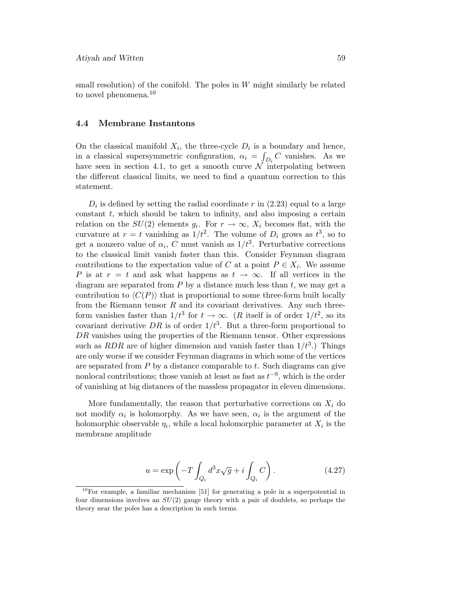small resolution) of the conifold. The poles in  $W$  might similarly be related to novel phenomena.<sup>10</sup>

## **4.4 Membrane Instantons**

On the classical manifold  $X_i$ , the three-cycle  $D_i$  is a boundary and hence, in a classical supersymmetric configuration,  $\alpha_i = \int_{D_i} C$  vanishes. As we have seen in section 4.1, to get a smooth curve  $\mathcal N$  interpolating between the different classical limits, we need to find a quantum correction to this statement.

 $D_i$  is defined by setting the radial coordinate r in (2.23) equal to a large constant  $t$ , which should be taken to infinity, and also imposing a certain relation on the  $SU(2)$  elements  $g_i$ . For  $r \to \infty$ ,  $X_i$  becomes flat, with the curvature at  $r = t$  vanishing as  $1/t^2$ . The volume of  $D_i$  grows as  $t^3$ , so to get a nonzero value of  $\alpha_i$ , C must vanish as  $1/t^3$ . Perturbative corrections to the classical limit vanish faster than this. Consider Feynman diagram contributions to the expectation value of C at a point  $P \in X_i$ . We assume P is at  $r = t$  and ask what happens as  $t \to \infty$ . If all vertices in the diagram are separated from  $P$  by a distance much less than  $t$ , we may get a contribution to  $\langle C(P) \rangle$  that is proportional to some three-form built locally from the Riemann tensor  $R$  and its covariant derivatives. Any such threeform vanishes faster than  $1/t^3$  for  $t \to \infty$ . (R itself is of order  $1/t^2$ , so its covariant derivative DR is of order  $1/t^3$ . But a three-form proportional to  $DR$  vanishes using the properties of the Riemann tensor. Other expressions such as  $RDR$  are of higher dimension and vanish faster than  $1/t^3$ .) Things are only worse if we consider Feynman diagrams in which some of the vertices are separated from  $P$  by a distance comparable to  $t$ . Such diagrams can give nonlocal contributions; those vanish at least as fast as  $t^{-9}$ , which is the order of vanishing at big distances of the massless propagator in eleven dimensions.

More fundamentally, the reason that perturbative corrections on  $X_i$  do not modify  $\alpha_i$  is holomorphy. As we have seen,  $\alpha_i$  is the argument of the holomorphic observable  $\eta_i$ , while a local holomorphic parameter at  $X_i$  is the membrane amplitude

$$
u = \exp\left(-T \int_{Q_i} d^3x \sqrt{g} + i \int_{Q_i} C\right). \tag{4.27}
$$

 $10$ For example, a familiar mechanism [51] for generating a pole in a superpotential in four dimensions involves an  $SU(2)$  gauge theory with a pair of doublets, so perhaps the theory near the poles has a description in such terms.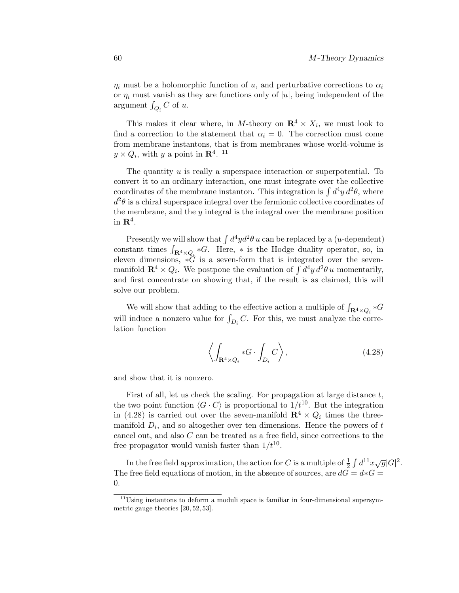$\eta_i$  must be a holomorphic function of u, and perturbative corrections to  $\alpha_i$ or  $\eta_i$  must vanish as they are functions only of |u|, being independent of the argument  $\int_{Q_i} C$  of u.

This makes it clear where, in M-theory on  $\mathbb{R}^4 \times X_i$ , we must look to find a correction to the statement that  $\alpha_i = 0$ . The correction must come from membrane instantons, that is from membranes whose world-volume is  $y \times Q_i$ , with y a point in **R**<sup>4</sup>. <sup>11</sup>

The quantity u is really a superspace interaction or superpotential. To convert it to an ordinary interaction, one must integrate over the collective coordinates of the membrane instanton. This integration is  $\int d^4y d^2\theta$ , where  $d^2\theta$  is a chiral superspace integral over the fermionic collective coordinates of the membrane, and the  $\gamma$  integral is the integral over the membrane position in  $\mathbb{R}^4$ .

Presently we will show that  $\int d^4y d^2\theta u$  can be replaced by a (*u*-dependent) constant times  $\int_{\mathbf{R}^4 \times Q_i} *G$ . Here,  $*$  is the Hodge duality operator, so, in eleven dimensions,  $\ast G$  is a seven-form that is integrated over the sevenmanifold  $\mathbb{R}^4 \times Q_i$ . We postpone the evaluation of  $\int d^4y d^2\theta u$  momentarily, and first concentrate on showing that, if the result is as claimed, this will solve our problem.

We will show that adding to the effective action a multiple of  $\int_{\mathbf{R}^4 \times Q_i} *G$ will induce a nonzero value for  $\int_{D_i} C$ . For this, we must analyze the correlation function

$$
\left\langle \int_{\mathbf{R}^4 \times Q_i} *G \cdot \int_{D_i} C \right\rangle, \tag{4.28}
$$

and show that it is nonzero.

First of all, let us check the scaling. For propagation at large distance  $t$ , the two point function  $\langle G \cdot C \rangle$  is proportional to  $1/t^{10}$ . But the integration in (4.28) is carried out over the seven-manifold  $\mathbb{R}^4 \times Q_i$  times the threemanifold  $D_i$ , and so altogether over ten dimensions. Hence the powers of t cancel out, and also C can be treated as a free field, since corrections to the free propagator would vanish faster than  $1/t^{10}$ .

In the free field approximation, the action for C is a multiple of  $\frac{1}{2} \int d^{11}x \sqrt{g} |G|^2$ . The free field equations of motion, in the absence of sources, are  $dG = d * G =$ 0.

 $^{11}\mathrm{Using}$  instantons to deform a moduli space is familiar in four-dimensional supersymmetric gauge theories [20, 52, 53].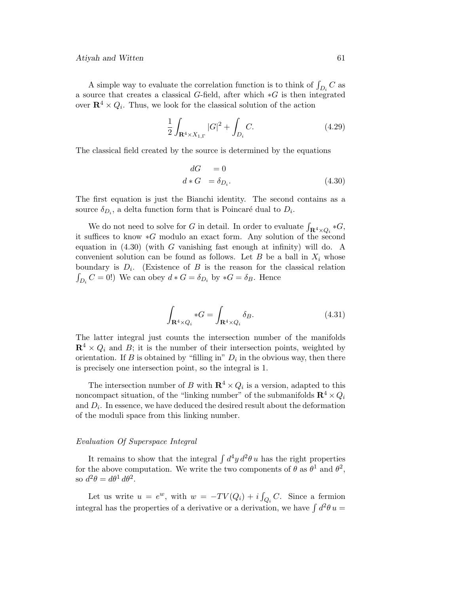A simple way to evaluate the correlation function is to think of  $\int_{D_i} C$  as a source that creates a classical G-field, after which ∗G is then integrated over  $\mathbb{R}^4 \times Q_i$ . Thus, we look for the classical solution of the action

$$
\frac{1}{2} \int_{\mathbf{R}^4 \times X_{1,\Gamma}} |G|^2 + \int_{D_i} C. \tag{4.29}
$$

The classical field created by the source is determined by the equations

$$
dG = 0
$$
  

$$
d * G = \delta_{D_i}.
$$
 (4.30)

The first equation is just the Bianchi identity. The second contains as a source  $\delta_{D_i}$ , a delta function form that is Poincaré dual to  $D_i$ .

We do not need to solve for G in detail. In order to evaluate  $\int_{\mathbf{R}^4 \times Q_i} *G$ , it suffices to know ∗G modulo an exact form. Any solution of the second equation in  $(4.30)$  (with G vanishing fast enough at infinity) will do. A convenient solution can be found as follows. Let B be a ball in  $X_i$  whose boundary is  $D_i$ . (Existence of B is the reason for the classical relation  $\int_{D_i} C = 0!$ ) We can obey  $d * G = \delta_{D_i}$  by  $*G = \delta_B$ . Hence

$$
\int_{\mathbf{R}^4 \times Q_i} *G = \int_{\mathbf{R}^4 \times Q_i} \delta_B.
$$
\n(4.31)

The latter integral just counts the intersection number of the manifolds  $\mathbb{R}^4 \times Q_i$  and B; it is the number of their intersection points, weighted by orientation. If B is obtained by "filling in"  $D_i$  in the obvious way, then there is precisely one intersection point, so the integral is 1.

The intersection number of B with  $\mathbb{R}^4 \times Q_i$  is a version, adapted to this noncompact situation, of the "linking number" of the submanifolds  $\mathbf{R}^4 \times Q_i$ and  $D_i$ . In essence, we have deduced the desired result about the deformation of the moduli space from this linking number.

# Evaluation Of Superspace Integral

It remains to show that the integral  $\int d^4y d^2\theta u$  has the right properties for the above computation. We write the two components of  $\theta$  as  $\theta^1$  and  $\theta^2$ , so  $d^2\theta = d\theta^1 d\theta^2$ .

Let us write  $u = e^w$ , with  $w = -TV(Q_i) + i \int_{Q_i} C$ . Since a fermion integral has the properties of a derivative or a derivation, we have  $\int d^2\theta u =$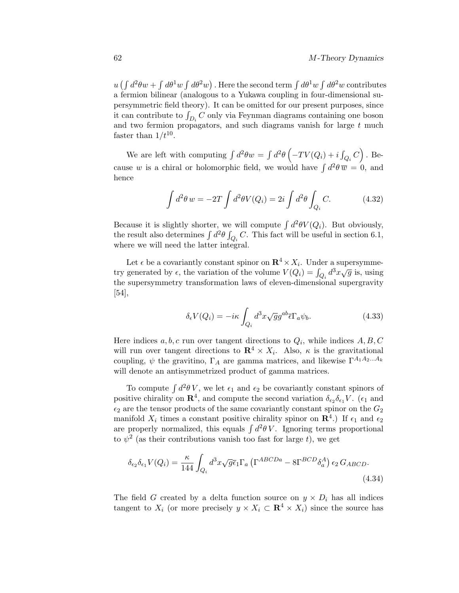$u(\int d^2\theta w + \int d\theta^1 w \int d\theta^2 w)$  . Here the second term  $\int d\theta^1 w \int d\theta^2 w$  contributes a fermion bilinear (analogous to a Yukawa coupling in four-dimensional supersymmetric field theory). It can be omitted for our present purposes, since it can contribute to  $\int_{D_i} C$  only via Feynman diagrams containing one boson and two fermion propagators, and such diagrams vanish for large  $t$  much faster than  $1/t^{10}$ .

We are left with computing  $\int d^2\theta w = \int d^2\theta \left( -TV(Q_i) + i \int_{Q_i} C \right)$ . Because w is a chiral or holomorphic field, we would have  $\int d^2\theta \, \overline{w} = 0$ , and hence

$$
\int d^2\theta w = -2T \int d^2\theta V(Q_i) = 2i \int d^2\theta \int_{Q_i} C.
$$
 (4.32)

Because it is slightly shorter, we will compute  $\int d^2\theta V(Q_i)$ . But obviously, the result also determines  $\int d^2\theta \int_{Q_i} C$ . This fact will be useful in section 6.1, where we will need the latter integral.

Let  $\epsilon$  be a covariantly constant spinor on  $\mathbb{R}^4 \times X_i$ . Under a supersymmetry generated by  $\epsilon$ , the variation of the volume  $V(Q_i) = \int_{Q_i} d^3x \sqrt{g}$  is, using the supersymmetry transformation laws of eleven-dimensional supergravity [54],

$$
\delta_{\epsilon} V(Q_i) = -i\kappa \int_{Q_i} d^3x \sqrt{g} g^{ab} \overline{\epsilon} \Gamma_a \psi_b.
$$
 (4.33)

Here indices  $a, b, c$  run over tangent directions to  $Q_i$ , while indices  $A, B, C$ will run over tangent directions to  $\mathbb{R}^4 \times X_i$ . Also,  $\kappa$  is the gravitational coupling,  $\psi$  the gravitino,  $\Gamma_A$  are gamma matrices, and likewise  $\Gamma^{A_1 A_2 ... A_k}$ will denote an antisymmetrized product of gamma matrices.

To compute  $\int d^2\theta V$ , we let  $\epsilon_1$  and  $\epsilon_2$  be covariantly constant spinors of positive chirality on  $\mathbb{R}^4$ , and compute the second variation  $\delta_{\epsilon_2} \delta_{\epsilon_1} V$ . ( $\epsilon_1$  and  $\epsilon_2$  are the tensor products of the same covariantly constant spinor on the  $G_2$ manifold  $X_i$  times a constant positive chirality spinor on  $\mathbb{R}^4$ .) If  $\epsilon_1$  and  $\epsilon_2$ are properly normalized, this equals  $\int d^2\theta V$ . Ignoring terms proportional to  $\psi^2$  (as their contributions vanish too fast for large t), we get

$$
\delta_{\epsilon_2} \delta_{\epsilon_1} V(Q_i) = \frac{\kappa}{144} \int_{Q_i} d^3x \sqrt{g} \bar{\epsilon}_1 \Gamma_a \left( \Gamma^{ABCDa} - 8 \Gamma^{BCD} \delta_a^A \right) \epsilon_2 G_{ABCD}.
$$
\n(4.34)

The field G created by a delta function source on  $y \times D_i$  has all indices tangent to  $X_i$  (or more precisely  $y \times X_i \subset \mathbf{R}^4 \times X_i$ ) since the source has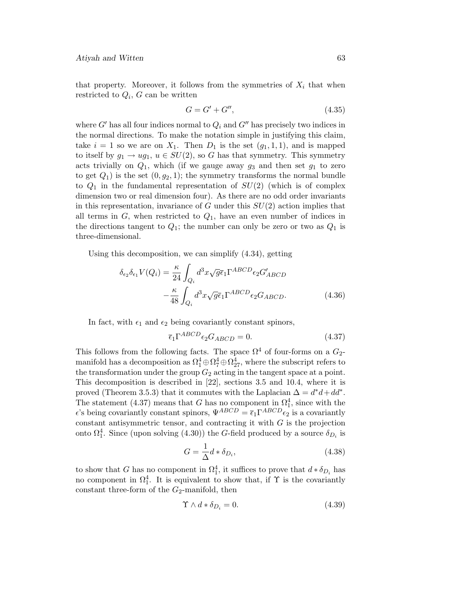that property. Moreover, it follows from the symmetries of  $X_i$  that when restricted to  $Q_i$ , G can be written

$$
G = G' + G'',\tag{4.35}
$$

where G' has all four indices normal to  $Q_i$  and G'' has precisely two indices in the normal directions. To make the notation simple in justifying this claim, take  $i = 1$  so we are on  $X_1$ . Then  $D_1$  is the set  $(q_1, 1, 1)$ , and is mapped to itself by  $g_1 \rightarrow ug_1$ ,  $u \in SU(2)$ , so G has that symmetry. This symmetry acts trivially on  $Q_1$ , which (if we gauge away  $g_3$  and then set  $g_1$  to zero to get  $Q_1$ ) is the set  $(0, g_2, 1)$ ; the symmetry transforms the normal bundle to  $Q_1$  in the fundamental representation of  $SU(2)$  (which is of complex dimension two or real dimension four). As there are no odd order invariants in this representation, invariance of  $G$  under this  $SU(2)$  action implies that all terms in  $G$ , when restricted to  $Q_1$ , have an even number of indices in the directions tangent to  $Q_1$ ; the number can only be zero or two as  $Q_1$  is three-dimensional.

Using this decomposition, we can simplify (4.34), getting

$$
\delta_{\epsilon_2} \delta_{\epsilon_1} V(Q_i) = \frac{\kappa}{24} \int_{Q_i} d^3 x \sqrt{g} \bar{\epsilon}_1 \Gamma^{ABCD} \epsilon_2 G'_{ABCD}
$$

$$
- \frac{\kappa}{48} \int_{Q_i} d^3 x \sqrt{g} \bar{\epsilon}_1 \Gamma^{ABCD} \epsilon_2 G_{ABCD}. \tag{4.36}
$$

In fact, with  $\epsilon_1$  and  $\epsilon_2$  being covariantly constant spinors,

$$
\overline{\epsilon}_1 \Gamma^{ABCD} \epsilon_2 G_{ABCD} = 0. \tag{4.37}
$$

This follows from the following facts. The space  $\Omega^4$  of four-forms on a  $G_2$ manifold has a decomposition as  $\Omega_1^4 \oplus \Omega_7^4 \oplus \Omega_{27}^4$ , where the subscript refers to the transformation under the group  $G_2$  acting in the tangent space at a point. This decomposition is described in [22], sections 3.5 and 10.4, where it is proved (Theorem 3.5.3) that it commutes with the Laplacian  $\Delta = d^*d + dd^*$ . The statement (4.37) means that G has no component in  $\Omega_1^4$ , since with the  $\epsilon$ 's being covariantly constant spinors,  $\Psi^{ABCD} = \bar{\epsilon}_1 \Gamma^{ABCD} \epsilon_2$  is a covariantly constant antisymmetric tensor, and contracting it with  $G$  is the projection onto  $\Omega_1^4$ . Since (upon solving (4.30)) the G-field produced by a source  $\delta_{D_i}$  is

$$
G = \frac{1}{\Delta} d * \delta_{D_i},\tag{4.38}
$$

to show that G has no component in  $\Omega_1^4$ , it suffices to prove that  $d * \delta_{D_i}$  has no component in  $\Omega_1^4$ . It is equivalent to show that, if  $\Upsilon$  is the covariantly constant three-form of the  $G_2$ -manifold, then

$$
\Upsilon \wedge d * \delta_{D_i} = 0. \tag{4.39}
$$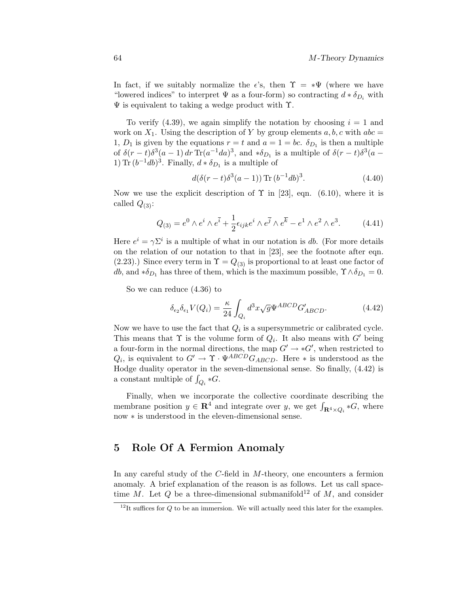In fact, if we suitably normalize the  $\epsilon$ 's, then  $\Upsilon = * \Psi$  (where we have "lowered indices" to interpret  $\Psi$  as a four-form) so contracting  $d * \delta_{D_i}$  with  $\Psi$  is equivalent to taking a wedge product with  $\Upsilon$ .

To verify (4.39), we again simplify the notation by choosing  $i = 1$  and work on  $X_1$ . Using the description of Y by group elements  $a, b, c$  with  $abc =$ 1,  $D_1$  is given by the equations  $r = t$  and  $a = 1 = bc$ .  $\delta_{D_1}$  is then a multiple of  $\delta(r-t)\delta^3(a-1) dr \text{Tr}(a^{-1}da)^3$ , and  $\ast \delta_{D_1}$  is a multiple of  $\delta(r-t)\delta^3(a-1)$ 1) Tr  $(b^{-1}db)^3$ . Finally,  $d * \delta_{D_1}$  is a multiple of

$$
d(\delta(r-t)\delta^3(a-1)) \operatorname{Tr} (b^{-1}db)^3. \tag{4.40}
$$

Now we use the explicit description of  $\Upsilon$  in [23], eqn. (6.10), where it is called  $Q_{(3)}$ :

$$
Q_{(3)} = e^0 \wedge e^i \wedge e^{\bar{i}} + \frac{1}{2} \epsilon_{ijk} e^i \wedge e^{\bar{j}} \wedge e^{\bar{k}} - e^1 \wedge e^2 \wedge e^3.
$$
 (4.41)

Here  $e^i = \gamma \Sigma^i$  is a multiple of what in our notation is db. (For more details on the relation of our notation to that in [23], see the footnote after eqn.  $(2.23)$ .) Since every term in  $\Upsilon = Q_{(3)}$  is proportional to at least one factor of db, and  $\ast \delta_{D_1}$  has three of them, which is the maximum possible,  $\Upsilon \wedge \delta_{D_1} = 0$ .

So we can reduce (4.36) to

$$
\delta_{\epsilon_2} \delta_{\epsilon_1} V(Q_i) = \frac{\kappa}{24} \int_{Q_i} d^3 x \sqrt{g} \Psi^{ABCD} G'_{ABCD}.
$$
 (4.42)

Now we have to use the fact that  $Q_i$  is a supersymmetric or calibrated cycle. This means that  $\Upsilon$  is the volume form of  $Q_i$ . It also means with G' being a four-form in the normal directions, the map  $G' \to *G'$ , when restricted to  $Q_i$ , is equivalent to  $G' \to \Upsilon \cdot \Psi^{ABCD} G_{ABCD}$ . Here  $*$  is understood as the Hodge duality operator in the seven-dimensional sense. So finally, (4.42) is a constant multiple of  $\int_{Q_i} *G$ .

Finally, when we incorporate the collective coordinate describing the membrane position  $y \in \mathbf{R}^4$  and integrate over y, we get  $\int_{\mathbf{R}^4 \times Q_i} *G$ , where now ∗ is understood in the eleven-dimensional sense.

# **5 Role Of A Fermion Anomaly**

In any careful study of the C-field in M-theory, one encounters a fermion anomaly. A brief explanation of the reason is as follows. Let us call spacetime M. Let Q be a three-dimensional submanifold<sup>12</sup> of M, and consider

 $12$ It suffices for Q to be an immersion. We will actually need this later for the examples.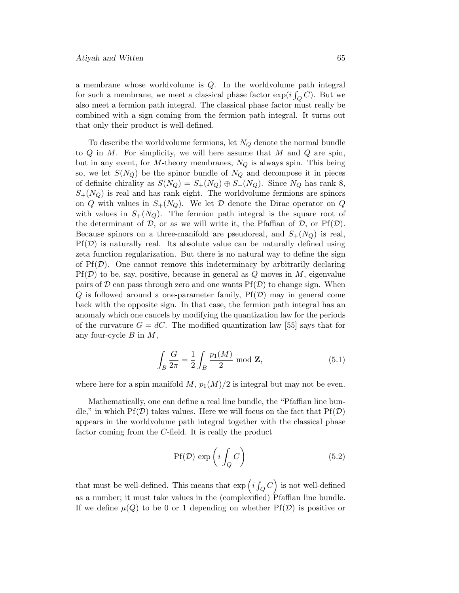a membrane whose worldvolume is Q. In the worldvolume path integral for such a membrane, we meet a classical phase factor  $\exp(i\int_Q C)$ . But we also meet a fermion path integral. The classical phase factor must really be combined with a sign coming from the fermion path integral. It turns out that only their product is well-defined.

To describe the worldvolume fermions, let  $N_Q$  denote the normal bundle to  $Q$  in  $M$ . For simplicity, we will here assume that  $M$  and  $Q$  are spin, but in any event, for M-theory membranes,  $N_Q$  is always spin. This being so, we let  $S(N_Q)$  be the spinor bundle of  $N_Q$  and decompose it in pieces of definite chirality as  $S(N_Q) = S_+(N_Q) \oplus S_-(N_Q)$ . Since  $N_Q$  has rank 8,  $S_{+}(N_Q)$  is real and has rank eight. The worldvolume fermions are spinors on Q with values in  $S_{+}(N_Q)$ . We let D denote the Dirac operator on Q with values in  $S_{+}(N_Q)$ . The fermion path integral is the square root of the determinant of D, or as we will write it, the Pfaffian of D, or  $Pf(\mathcal{D})$ . Because spinors on a three-manifold are pseudoreal, and  $S_{+}(N_Q)$  is real,  $Pf(\mathcal{D})$  is naturally real. Its absolute value can be naturally defined using zeta function regularization. But there is no natural way to define the sign of  $Pf(\mathcal{D})$ . One cannot remove this indeterminacy by arbitrarily declaring  $Pf(\mathcal{D})$  to be, say, positive, because in general as Q moves in M, eigenvalue pairs of  $D$  can pass through zero and one wants  $Pf(D)$  to change sign. When  $Q$  is followed around a one-parameter family,  $Pf(D)$  may in general come back with the opposite sign. In that case, the fermion path integral has an anomaly which one cancels by modifying the quantization law for the periods of the curvature  $G = dC$ . The modified quantization law [55] says that for any four-cycle  $B$  in  $M$ ,

$$
\int_{B} \frac{G}{2\pi} = \frac{1}{2} \int_{B} \frac{p_1(M)}{2} \text{ mod } \mathbf{Z},
$$
\n(5.1)

where here for a spin manifold  $M$ ,  $p_1(M)/2$  is integral but may not be even.

Mathematically, one can define a real line bundle, the "Pfaffian line bundle," in which  $Pf(\mathcal{D})$  takes values. Here we will focus on the fact that  $Pf(\mathcal{D})$ appears in the worldvolume path integral together with the classical phase factor coming from the C-field. It is really the product

$$
Pf(\mathcal{D}) \exp\left(i \int_{Q} C\right) \tag{5.2}
$$

that must be well-defined. This means that  $\exp\left(i\int_Q C\right)$  is not well-defined as a number; it must take values in the (complexified) Pfaffian line bundle. If we define  $\mu(Q)$  to be 0 or 1 depending on whether  $Pf(\mathcal{D})$  is positive or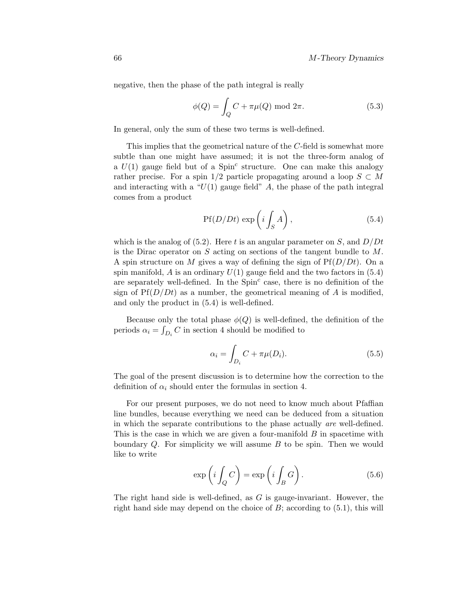negative, then the phase of the path integral is really

$$
\phi(Q) = \int_{Q} C + \pi \mu(Q) \bmod 2\pi.
$$
 (5.3)

In general, only the sum of these two terms is well-defined.

This implies that the geometrical nature of the  $C$ -field is somewhat more subtle than one might have assumed; it is not the three-form analog of a  $U(1)$  gauge field but of a Spin<sup>c</sup> structure. One can make this analogy rather precise. For a spin 1/2 particle propagating around a loop  $S \subset M$ and interacting with a " $U(1)$  gauge field" A, the phase of the path integral comes from a product

$$
Pf(D/Dt) \exp\left(i \int_{S} A\right), \tag{5.4}
$$

which is the analog of (5.2). Here t is an angular parameter on S, and  $D/Dt$ is the Dirac operator on  $S$  acting on sections of the tangent bundle to  $M$ . A spin structure on M gives a way of defining the sign of  $Pf(D/Dt)$ . On a spin manifold,  $\vec{A}$  is an ordinary  $U(1)$  gauge field and the two factors in (5.4) are separately well-defined. In the  $Spin<sup>c</sup>$  case, there is no definition of the sign of  $Pf(D/Dt)$  as a number, the geometrical meaning of A is modified, and only the product in (5.4) is well-defined.

Because only the total phase  $\phi(Q)$  is well-defined, the definition of the periods  $\alpha_i = \int_{D_i} C$  in section 4 should be modified to

$$
\alpha_i = \int_{D_i} C + \pi \mu(D_i). \tag{5.5}
$$

The goal of the present discussion is to determine how the correction to the definition of  $\alpha_i$  should enter the formulas in section 4.

For our present purposes, we do not need to know much about Pfaffian line bundles, because everything we need can be deduced from a situation in which the separate contributions to the phase actually are well-defined. This is the case in which we are given a four-manifold B in spacetime with boundary  $Q$ . For simplicity we will assume  $B$  to be spin. Then we would like to write

$$
\exp\left(i\int_{Q} C\right) = \exp\left(i\int_{B} G\right). \tag{5.6}
$$

The right hand side is well-defined, as G is gauge-invariant. However, the right hand side may depend on the choice of  $B$ ; according to  $(5.1)$ , this will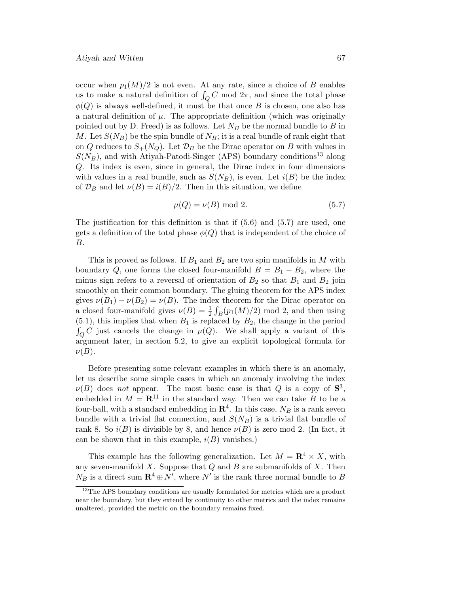occur when  $p_1(M)/2$  is not even. At any rate, since a choice of B enables us to make a natural definition of  $\int_Q C$  mod  $2\pi$ , and since the total phase  $\phi(Q)$  is always well-defined, it must be that once B is chosen, one also has a natural definition of  $\mu$ . The appropriate definition (which was originally pointed out by D. Freed) is as follows. Let  $N_B$  be the normal bundle to B in M. Let  $S(N_B)$  be the spin bundle of  $N_B$ ; it is a real bundle of rank eight that on Q reduces to  $S_{+}(N_Q)$ . Let  $\mathcal{D}_B$  be the Dirac operator on B with values in  $S(N_B)$ , and with Atiyah-Patodi-Singer (APS) boundary conditions<sup>13</sup> along Q. Its index is even, since in general, the Dirac index in four dimensions with values in a real bundle, such as  $S(N_B)$ , is even. Let  $i(B)$  be the index of  $\mathcal{D}_B$  and let  $\nu(B) = i(B)/2$ . Then in this situation, we define

$$
\mu(Q) = \nu(B) \text{ mod } 2. \tag{5.7}
$$

The justification for this definition is that if  $(5.6)$  and  $(5.7)$  are used, one gets a definition of the total phase  $\phi(Q)$  that is independent of the choice of B.

This is proved as follows. If  $B_1$  and  $B_2$  are two spin manifolds in M with boundary Q, one forms the closed four-manifold  $B = B_1 - B_2$ , where the minus sign refers to a reversal of orientation of  $B_2$  so that  $B_1$  and  $B_2$  join smoothly on their common boundary. The gluing theorem for the APS index gives  $\nu(B_1) - \nu(B_2) = \nu(B)$ . The index theorem for the Dirac operator on a closed four-manifold gives  $\nu(B) = \frac{1}{2} \int_B(p_1(M)/2) \text{ mod } 2$ , and then using  $(5.1)$ , this implies that when  $B_1$  is replaced by  $B_2$ , the change in the period  $\int_Q C$  just cancels the change in  $\mu(Q)$ . We shall apply a variant of this argument later, in section 5.2, to give an explicit topological formula for  $\nu(B)$ .

Before presenting some relevant examples in which there is an anomaly, let us describe some simple cases in which an anomaly involving the index  $\nu(B)$  does not appear. The most basic case is that Q is a copy of  $S^3$ , embedded in  $M = \mathbb{R}^{11}$  in the standard way. Then we can take B to be a four-ball, with a standard embedding in  $\mathbb{R}^4$ . In this case,  $N_B$  is a rank seven bundle with a trivial flat connection, and  $S(N_B)$  is a trivial flat bundle of rank 8. So  $i(B)$  is divisible by 8, and hence  $\nu(B)$  is zero mod 2. (In fact, it can be shown that in this example,  $i(B)$  vanishes.)

This example has the following generalization. Let  $M = \mathbb{R}^4 \times X$ , with any seven-manifold  $X$ . Suppose that  $Q$  and  $B$  are submanifolds of  $X$ . Then  $N_B$  is a direct sum  $\mathbb{R}^4 \oplus N'$ , where  $N'$  is the rank three normal bundle to B

<sup>&</sup>lt;sup>13</sup>The APS boundary conditions are usually formulated for metrics which are a product near the boundary, but they extend by continuity to other metrics and the index remains unaltered, provided the metric on the boundary remains fixed.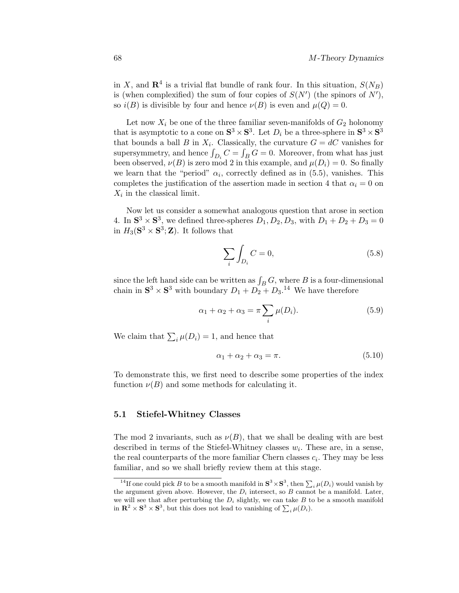in X, and  $\mathbb{R}^4$  is a trivial flat bundle of rank four. In this situation,  $S(N_B)$ is (when complexified) the sum of four copies of  $S(N')$  (the spinors of  $N'$ ), so  $i(B)$  is divisible by four and hence  $\nu(B)$  is even and  $\mu(Q) = 0$ .

Let now  $X_i$  be one of the three familiar seven-manifolds of  $G_2$  holonomy that is asymptotic to a cone on  $S^3 \times S^3$ . Let  $D_i$  be a three-sphere in  $S^3 \times S^3$ that bounds a ball B in  $X_i$ . Classically, the curvature  $G = dC$  vanishes for supersymmetry, and hence  $\int_{D_i} C = \int_B G = 0$ . Moreover, from what has just been observed,  $\nu(B)$  is zero mod 2 in this example, and  $\mu(D_i) = 0$ . So finally we learn that the "period"  $\alpha_i$ , correctly defined as in (5.5), vanishes. This completes the justification of the assertion made in section 4 that  $\alpha_i = 0$  on  $X_i$  in the classical limit.

Now let us consider a somewhat analogous question that arose in section 4. In  $\mathbf{S}^3 \times \mathbf{S}^3$ , we defined three-spheres  $D_1, D_2, D_3$ , with  $D_1 + D_2 + D_3 = 0$ in  $H_3(\mathbf{S}^3 \times \mathbf{S}^3; \mathbf{Z})$ . It follows that

$$
\sum_{i} \int_{D_i} C = 0,\tag{5.8}
$$

since the left hand side can be written as  $\int_B G$ , where B is a four-dimensional chain in  $S^3 \times S^3$  with boundary  $D_1 + D_2 + D_3$ <sup>14</sup> We have therefore

$$
\alpha_1 + \alpha_2 + \alpha_3 = \pi \sum_i \mu(D_i). \tag{5.9}
$$

We claim that  $\sum_i \mu(D_i) = 1$ , and hence that

$$
\alpha_1 + \alpha_2 + \alpha_3 = \pi. \tag{5.10}
$$

To demonstrate this, we first need to describe some properties ofthe index function  $\nu(B)$  and some methods for calculating it.

#### **5.1 Stiefel-Whitney Classes**

The mod 2 invariants, such as  $\nu(B)$ , that we shall be dealing with are best described in terms of the Stiefel-Whitney classes  $w_i$ . These are, in a sense, the real counterparts of the more familiar Chern classes  $c_i$ . They may be less familiar, and so we shall briefly review them at this stage.

<sup>&</sup>lt;sup>14</sup>If one could pick *B* to be a smooth manifold in  $S^3 \times S^3$ , then  $\sum_i \mu(D_i)$  would vanish by the argument given above. However, the  $D_i$  intersect, so B cannot be a manifold. Later, we will see that after perturbing the  $D_i$  slightly, we can take B to be a smooth manifold in  $\mathbb{R}^2 \times \mathbb{S}^3 \times \mathbb{S}^3$ , but this does not lead to vanishing of  $\sum_i \mu(D_i)$ .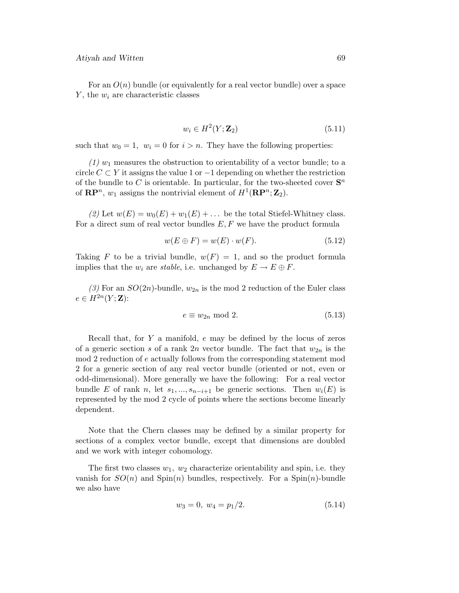For an  $O(n)$  bundle (or equivalently for a real vector bundle) over a space  $Y$ , the  $w_i$  are characteristic classes

$$
w_i \in H^2(Y; \mathbf{Z}_2) \tag{5.11}
$$

such that  $w_0 = 1$ ,  $w_i = 0$  for  $i > n$ . They have the following properties:

 $(1)$  w<sub>1</sub> measures the obstruction to orientability of a vector bundle; to a circle  $C \subset Y$  it assigns the value 1 or  $-1$  depending on whether the restriction of the bundle to C is orientable. In particular, for the two-sheeted cover  $S<sup>n</sup>$ of  $\mathbb{RP}^n$ ,  $w_1$  assigns the nontrivial element of  $H^1(\mathbb{RP}^n; \mathbb{Z}_2)$ .

(2) Let  $w(E) = w_0(E) + w_1(E) + \dots$  be the total Stiefel-Whitney class. For a direct sum of real vector bundles  $E, F$  we have the product formula

$$
w(E \oplus F) = w(E) \cdot w(F). \tag{5.12}
$$

Taking F to be a trivial bundle,  $w(F)=1$ , and so the product formula implies that the  $w_i$  are stable, i.e. unchanged by  $E \to E \oplus F$ .

(3) For an  $SO(2n)$ -bundle,  $w_{2n}$  is the mod 2 reduction of the Euler class  $e \in H^{2n}(Y;\mathbf{Z})$ :

$$
e \equiv w_{2n} \text{ mod } 2. \tag{5.13}
$$

Recall that, for  $Y$  a manifold,  $e$  may be defined by the locus of zeros of a generic section s of a rank 2n vector bundle. The fact that  $w_{2n}$  is the mod 2 reduction of e actually follows from the corresponding statement mod 2 for a generic section of any real vector bundle (oriented or not, even or odd-dimensional). More generally we have the following: For a real vector bundle E of rank n, let  $s_1, ..., s_{n-i+1}$  be generic sections. Then  $w_i(E)$  is represented by the mod 2 cycle of points where the sections become linearly dependent.

Note that the Chern classes may be defined by a similar property for sections of a complex vector bundle, except that dimensions are doubled and we work with integer cohomology.

The first two classes  $w_1, w_2$  characterize orientability and spin, i.e. they vanish for  $SO(n)$  and  $Spin(n)$  bundles, respectively. For a  $Spin(n)$ -bundle we also have

$$
w_3 = 0, \ w_4 = p_1/2. \tag{5.14}
$$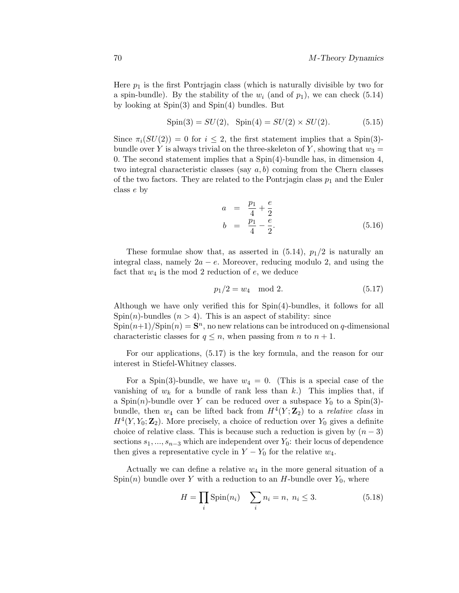Here  $p_1$  is the first Pontrjagin class (which is naturally divisible by two for a spin-bundle). By the stability of the  $w_i$  (and of  $p_1$ ), we can check (5.14) by looking at Spin(3) and Spin(4) bundles. But

$$
Spin(3) = SU(2), Spin(4) = SU(2) \times SU(2). \tag{5.15}
$$

Since  $\pi_i(SU(2)) = 0$  for  $i \leq 2$ , the first statement implies that a Spin(3)bundle over Y is always trivial on the three-skeleton of Y, showing that  $w_3 =$ 0. The second statement implies that a  $Spin(4)$ -bundle has, in dimension 4, two integral characteristic classes (say  $a, b$ ) coming from the Chern classes of the two factors. They are related to the Pontrjagin class  $p_1$  and the Euler class e by

$$
a = \frac{p_1}{4} + \frac{e}{2}
$$
  
\n
$$
b = \frac{p_1}{4} - \frac{e}{2}.
$$
\n(5.16)

These formulae show that, as asserted in  $(5.14)$ ,  $p_1/2$  is naturally an integral class, namely  $2a - e$ . Moreover, reducing modulo 2, and using the fact that  $w_4$  is the mod 2 reduction of  $e$ , we deduce

$$
p_1/2 = w_4 \mod 2. \tag{5.17}
$$

Although we have only verified this for Spin(4)-bundles, it follows for all Spin(n)-bundles ( $n > 4$ ). This is an aspect of stability: since

 $\text{Spin}(n+1)/\text{Spin}(n) = \mathbf{S}^n$ , no new relations can be introduced on q-dimensional characteristic classes for  $q \leq n$ , when passing from n to  $n + 1$ .

For our applications, (5.17) is the key formula, and the reason for our interest in Stiefel-Whitney classes.

For a Spin(3)-bundle, we have  $w_4 = 0$ . (This is a special case of the vanishing of  $w_k$  for a bundle of rank less than k.) This implies that, if a Spin(n)-bundle over Y can be reduced over a subspace  $Y_0$  to a Spin(3)bundle, then  $w_4$  can be lifted back from  $H^4(Y; \mathbb{Z}_2)$  to a *relative class* in  $H^4(Y, Y_0; \mathbb{Z}_2)$ . More precisely, a choice of reduction over  $Y_0$  gives a definite choice of relative class. This is because such a reduction is given by  $(n-3)$ sections  $s_1, ..., s_{n-3}$  which are independent over  $Y_0$ : their locus of dependence then gives a representative cycle in  $Y - Y_0$  for the relative  $w_4$ .

Actually we can define a relative  $w_4$  in the more general situation of a  $Spin(n)$  bundle over Y with a reduction to an H-bundle over  $Y_0$ , where

$$
H = \prod_{i} \text{Spin}(n_i) \quad \sum_{i} n_i = n, \ n_i \le 3. \tag{5.18}
$$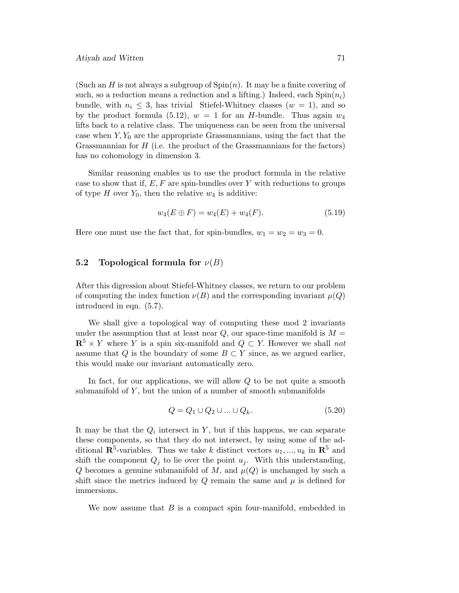(Such an H is not always a subgroup of  $Spin(n)$ ). It may be a finite covering of such, so a reduction means a reduction and a lifting.) Indeed, each  $Spin(n_i)$ bundle, with  $n_i \leq 3$ , has trivial Stiefel-Whitney classes  $(w = 1)$ , and so by the product formula (5.12),  $w = 1$  for an H-bundle. Thus again  $w_4$ lifts back to a relative class. The uniqueness can be seen from the universal case when  $Y, Y_0$  are the appropriate Grassmannians, using the fact that the Grassmannian for  $H$  (i.e. the product of the Grassmannians for the factors) has no cohomology in dimension 3.

Similar reasoning enables us to use the product formula in the relative case to show that if,  $E, F$  are spin-bundles over Y with reductions to groups of type H over  $Y_0$ , then the relative  $w_4$  is additive:

$$
w_4(E \oplus F) = w_4(E) + w_4(F). \tag{5.19}
$$

Here one must use the fact that, for spin-bundles,  $w_1 = w_2 = w_3 = 0$ .

### **5.2 Topological formula for**  $\nu(B)$

After this digression about Stiefel-Whitney classes, we return to our problem of computing the index function  $\nu(B)$  and the corresponding invariant  $\mu(Q)$ introduced in eqn. (5.7).

We shall give a topological way of computing these mod 2 invariants under the assumption that at least near  $Q$ , our space-time manifold is  $M =$  ${\bf R}^5 \times Y$  where Y is a spin six-manifold and  $Q \subset Y$ . However we shall not assume that Q is the boundary of some  $B \subset Y$  since, as we argued earlier, this would make our invariant automatically zero.

In fact, for our applications, we will allow  $Q$  to be not quite a smooth submanifold of  $Y$ , but the union of a number of smooth submanifolds

$$
Q = Q_1 \cup Q_2 \cup \ldots \cup Q_k. \tag{5.20}
$$

It may be that the  $Q_i$  intersect in Y, but if this happens, we can separate these components, so that they do not intersect, by using some of the additional  $\mathbb{R}^5$ -variables. Thus we take k distinct vectors  $u_1, ..., u_k$  in  $\mathbb{R}^5$  and shift the component  $Q_j$  to lie over the point  $u_j$ . With this understanding, Q becomes a genuine submanifold of M, and  $\mu(Q)$  is unchanged by such a shift since the metrics induced by  $Q$  remain the same and  $\mu$  is defined for immersions.

We now assume that  $B$  is a compact spin four-manifold, embedded in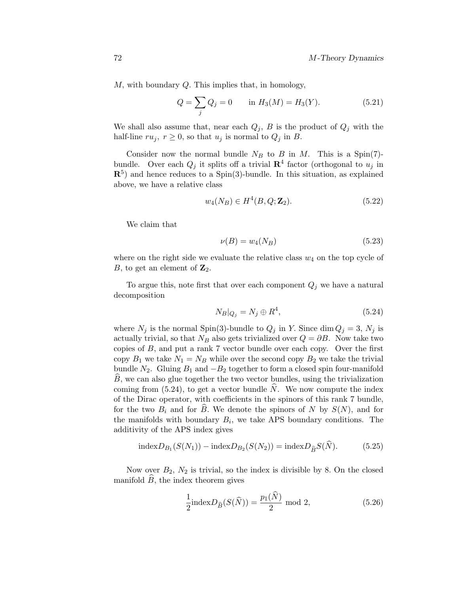M, with boundary Q. This implies that, in homology,

$$
Q = \sum_{j} Q_j = 0 \quad \text{in } H_3(M) = H_3(Y). \tag{5.21}
$$

We shall also assume that, near each  $Q_j$ , B is the product of  $Q_j$  with the half-line  $ru_j$ ,  $r \geq 0$ , so that  $u_j$  is normal to  $Q_j$  in B.

Consider now the normal bundle  $N_B$  to B in M. This is a Spin(7)bundle. Over each  $Q_i$  it splits off a trivial  $\mathbb{R}^4$  factor (orthogonal to  $u_i$  in **R**5) and hence reduces to a Spin(3)-bundle. In this situation, as explained above, we have a relative class

$$
w_4(N_B) \in H^4(B, Q; \mathbf{Z}_2). \tag{5.22}
$$

We claim that

$$
\nu(B) = w_4(N_B) \tag{5.23}
$$

where on the right side we evaluate the relative class  $w_4$  on the top cycle of B, to get an element of  $\mathbb{Z}_2$ .

To argue this, note first that over each component  $Q_j$  we have a natural decomposition

$$
N_B|_{Q_j} = N_j \oplus R^4,\tag{5.24}
$$

where  $N_j$  is the normal Spin(3)-bundle to  $Q_j$  in Y. Since dim  $Q_j = 3$ ,  $N_j$  is actually trivial, so that  $N_B$  also gets trivialized over  $Q = \partial B$ . Now take two copies of B, and put a rank 7 vector bundle over each copy. Over the first copy  $B_1$  we take  $N_1 = N_B$  while over the second copy  $B_2$  we take the trivial bundle  $N_2$ . Gluing  $B_1$  and  $-B_2$  together to form a closed spin four-manifold B, we can also glue together the two vector bundles, using the trivialization coming from  $(5.24)$ , to get a vector bundle N. We now compute the index of the Dirac operator, with coefficients in the spinors of this rank 7 bundle, for the two  $B_i$  and for B. We denote the spinors of N by  $S(N)$ , and for the manifolds with boundary  $B_i$ , we take APS boundary conditions. The additivity of the APS index gives

$$
indexD_{B_1}(S(N_1)) - indexD_{B_2}(S(N_2)) = indexD_{\hat{B}}S(N).
$$
 (5.25)

Now over  $B_2$ ,  $N_2$  is trivial, so the index is divisible by 8. On the closed manifold  $B$ , the index theorem gives

$$
\frac{1}{2} \text{index} D_{\widehat{B}}(S(\widehat{N})) = \frac{p_1(\widehat{N})}{2} \text{ mod } 2,
$$
\n(5.26)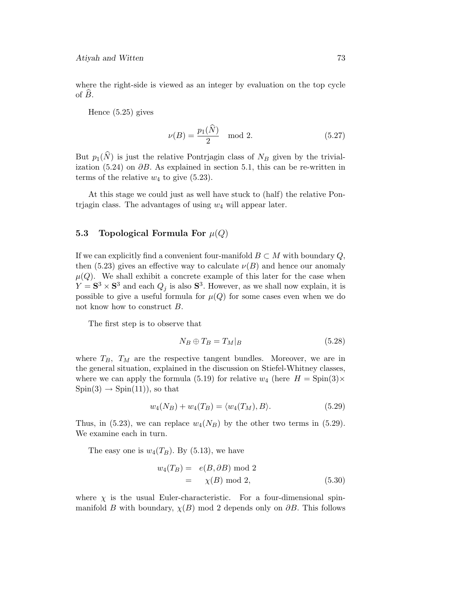where the right-side is viewed as an integer by evaluation on the top cycle of B.

Hence (5.25) gives

$$
\nu(B) = \frac{p_1(N)}{2} \mod 2. \tag{5.27}
$$

But  $p_1(\hat{N})$  is just the relative Pontrjagin class of  $N_B$  given by the trivialization (5.24) on  $\partial B$ . As explained in section 5.1, this can be re-written in terms of the relative  $w_4$  to give  $(5.23)$ .

At this stage we could just as well have stuck to (half) the relative Pontrjagin class. The advantages of using  $w_4$  will appear later.

## **5.3** Topological Formula For  $\mu(Q)$

If we can explicitly find a convenient four-manifold  $B \subset M$  with boundary  $Q$ , then (5.23) gives an effective way to calculate  $\nu(B)$  and hence our anomaly  $\mu(Q)$ . We shall exhibit a concrete example of this later for the case when  $Y = S^3 \times S^3$  and each  $Q_j$  is also  $S^3$ . However, as we shall now explain, it is possible to give a useful formula for  $\mu(Q)$  for some cases even when we do not know how to construct B.

The first step is to observe that

$$
N_B \oplus T_B = T_M|_B \tag{5.28}
$$

where  $T_B$ ,  $T_M$  are the respective tangent bundles. Moreover, we are in the general situation, explained in the discussion on Stiefel-Whitney classes, where we can apply the formula (5.19) for relative  $w_4$  (here  $H = \text{Spin}(3) \times$  $Spin(3) \rightarrow Spin(11)$ , so that

$$
w_4(N_B) + w_4(T_B) = \langle w_4(T_M), B \rangle.
$$
 (5.29)

Thus, in (5.23), we can replace  $w_4(N_B)$  by the other two terms in (5.29). We examine each in turn.

The easy one is  $w_4(T_B)$ . By (5.13), we have

$$
w_4(T_B) = e(B, \partial B) \mod 2
$$
  
=  $\chi(B) \mod 2,$  (5.30)

where  $\chi$  is the usual Euler-characteristic. For a four-dimensional spinmanifold B with boundary,  $\chi(B)$  mod 2 depends only on  $\partial B$ . This follows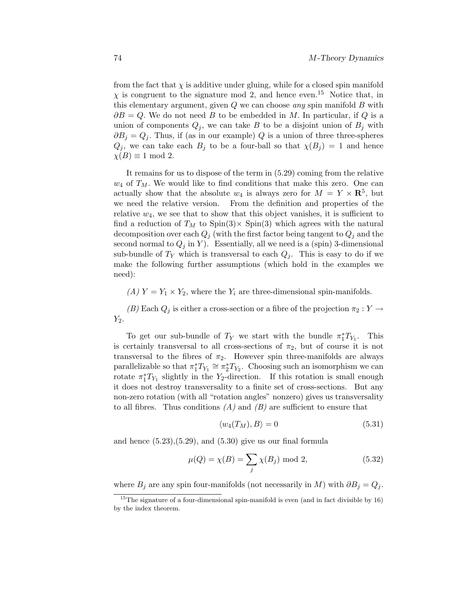from the fact that  $\chi$  is additive under gluing, while for a closed spin manifold  $\chi$  is congruent to the signature mod 2, and hence even.<sup>15</sup> Notice that, in this elementary argument, given  $Q$  we can choose any spin manifold  $B$  with  $\partial B = Q$ . We do not need B to be embedded in M. In particular, if Q is a union of components  $Q_i$ , we can take B to be a disjoint union of  $B_i$  with  $\partial B_i = Q_i$ . Thus, if (as in our example) Q is a union of three three-spheres  $Q_j$ , we can take each  $B_j$  to be a four-ball so that  $\chi(B_j) = 1$  and hence  $\chi(B) \equiv 1 \mod 2$ .

It remains for us to dispose of the term in (5.29) coming from the relative  $w_4$  of  $T_M$ . We would like to find conditions that make this zero. One can actually show that the absolute  $w_4$  is always zero for  $M = Y \times \mathbb{R}^5$ , but we need the relative version. From the definition and properties of the relative  $w_4$ , we see that to show that this object vanishes, it is sufficient to find a reduction of  $T_M$  to  $Spin(3) \times Spin(3)$  which agrees with the natural decomposition over each  $Q_i$  (with the first factor being tangent to  $Q_i$  and the second normal to  $Q_i$  in Y). Essentially, all we need is a (spin) 3-dimensional sub-bundle of  $T_Y$  which is transversal to each  $Q_j$ . This is easy to do if we make the following further assumptions (which hold in the examples we need):

(A)  $Y = Y_1 \times Y_2$ , where the  $Y_i$  are three-dimensional spin-manifolds.

(B) Each  $Q_j$  is either a cross-section or a fibre of the projection  $\pi_2 : Y \to Y$  $Y_2$ .

To get our sub-bundle of  $T_Y$  we start with the bundle  $\pi_1^* T_{Y_1}$ . This is certainly transversal to all cross-sections of  $\pi_2$ , but of course it is not transversal to the fibres of  $\pi_2$ . However spin three-manifolds are always parallelizable so that  $\pi_1^* T_{Y_1} \cong \pi_2^* T_{Y_2}$ . Choosing such an isomorphism we can rotate  $\pi_1^* T_{Y_1}$  slightly in the Y<sub>2</sub>-direction. If this rotation is small enough it does not destroy transversality to a finite set of cross-sections. But any non-zero rotation (with all "rotation angles" nonzero) gives us transversality to all fibres. Thus conditions  $(A)$  and  $(B)$  are sufficient to ensure that

$$
\langle w_4(T_M), B \rangle = 0 \tag{5.31}
$$

and hence  $(5.23), (5.29),$  and  $(5.30)$  give us our final formula

$$
\mu(Q) = \chi(B) = \sum_{j} \chi(B_j) \text{ mod } 2,
$$
\n(5.32)

where  $B_j$  are any spin four-manifolds (not necessarily in M) with  $\partial B_j = Q_j$ .

 $15$ The signature of a four-dimensional spin-manifold is even (and in fact divisible by 16) by the index theorem.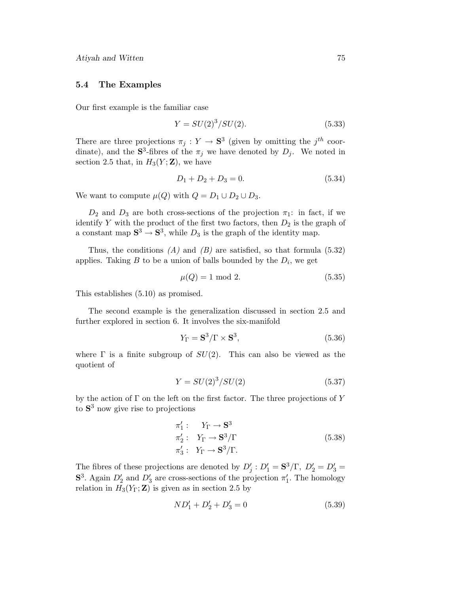#### **5.4 The Examples**

Our first example is the familiar case

$$
Y = SU(2)3/SU(2).
$$
 (5.33)

There are three projections  $\pi_j : Y \to \mathbf{S}^3$  (given by omitting the j<sup>th</sup> coordinate), and the  $S^3$ -fibres of the  $\pi_j$  we have denoted by  $D_j$ . We noted in section 2.5 that, in  $H_3(Y; \mathbf{Z})$ , we have

$$
D_1 + D_2 + D_3 = 0.\t\t(5.34)
$$

We want to compute  $\mu(Q)$  with  $Q = D_1 \cup D_2 \cup D_3$ .

 $D_2$  and  $D_3$  are both cross-sections of the projection  $\pi_1$ : in fact, if we identify Y with the product of the first two factors, then  $D_2$  is the graph of a constant map  $S^3 \to S^3$ , while  $D_3$  is the graph of the identity map.

Thus, the conditions  $(A)$  and  $(B)$  are satisfied, so that formula (5.32) applies. Taking B to be a union of balls bounded by the  $D_i$ , we get

$$
\mu(Q) = 1 \mod 2. \tag{5.35}
$$

This establishes (5.10) as promised.

The second example is the generalization discussed in section 2.5 and further explored in section 6. It involves the six-manifold

$$
Y_{\Gamma} = \mathbf{S}^3 / \Gamma \times \mathbf{S}^3, \tag{5.36}
$$

where  $\Gamma$  is a finite subgroup of  $SU(2)$ . This can also be viewed as the quotient of

$$
Y = SU(2)^3 / SU(2) \tag{5.37}
$$

by the action of  $\Gamma$  on the left on the first factor. The three projections of  $Y$ to **S**<sup>3</sup> now give rise to projections

$$
\pi_1': Y_{\Gamma} \to \mathbf{S}^3
$$
  
\n
$$
\pi_2': Y_{\Gamma} \to \mathbf{S}^3/\Gamma
$$
  
\n
$$
\pi_3': Y_{\Gamma} \to \mathbf{S}^3/\Gamma.
$$
\n(5.38)

The fibres of these projections are denoted by  $D'_j : D'_1 = \mathbf{S}^3/\Gamma, D'_2 = D'_3 = \mathbf{S}$ **S**<sup>3</sup>. Again  $D'_2$  and  $D'_3$  are cross-sections of the projection  $\pi'_1$ . The homology relation in  $H_3(Y_\Gamma; \mathbf{Z})$  is given as in section 2.5 by

$$
ND_1' + D_2' + D_3' = 0 \tag{5.39}
$$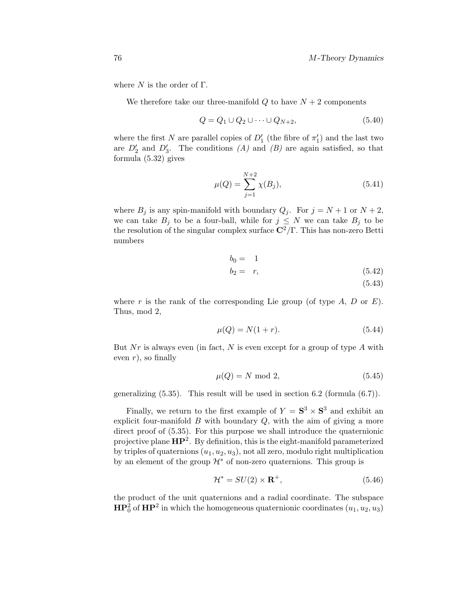where  $N$  is the order of  $\Gamma$ .

We therefore take our three-manifold  $Q$  to have  $N+2$  components

$$
Q = Q_1 \cup Q_2 \cup \dots \cup Q_{N+2},\tag{5.40}
$$

where the first N are parallel copies of  $D'_1$  (the fibre of  $\pi'_1$ ) and the last two are  $D'_2$  and  $D'_3$ . The conditions  $(A)$  and  $(B)$  are again satisfied, so that formula (5.32) gives

$$
\mu(Q) = \sum_{j=1}^{N+2} \chi(B_j),\tag{5.41}
$$

where  $B_j$  is any spin-manifold with boundary  $Q_j$ . For  $j = N + 1$  or  $N + 2$ , we can take  $B_j$  to be a four-ball, while for  $j \leq N$  we can take  $B_j$  to be the resolution of the singular complex surface  $\mathbb{C}^2/\Gamma$ . This has non-zero Betti numbers

$$
b_0 = 1
$$
  

$$
b_2 = r,
$$
 (5.42)

(5.43)

where r is the rank of the corresponding Lie group (of type  $A, D$  or  $E$ ). Thus, mod 2,

$$
\mu(Q) = N(1+r). \tag{5.44}
$$

But Nr is always even (in fact, N is even except for a group of type  $A$  with even  $r$ ), so finally

$$
\mu(Q) = N \text{ mod } 2,\tag{5.45}
$$

generalizing (5.35). This result will be used in section 6.2 (formula (6.7)).

Finally, we return to the first example of  $Y = S^3 \times S^3$  and exhibit an explicit four-manifold  $B$  with boundary  $Q$ , with the aim of giving a more direct proof of  $(5.35)$ . For this purpose we shall introduce the quaternionic projective plane **HP**2. By definition, this is the eight-manifold parameterized by triples of quaternions  $(u_1, u_2, u_3)$ , not all zero, modulo right multiplication by an element of the group  $\mathcal{H}^*$  of non-zero quaternions. This group is

$$
\mathcal{H}^* = SU(2) \times \mathbf{R}^+, \tag{5.46}
$$

the product of the unit quaternions and a radial coordinate. The subspace  $\mathbf{HP}^2_0$  of  $\mathbf{HP}^2$  in which the homogeneous quaternionic coordinates  $(u_1, u_2, u_3)$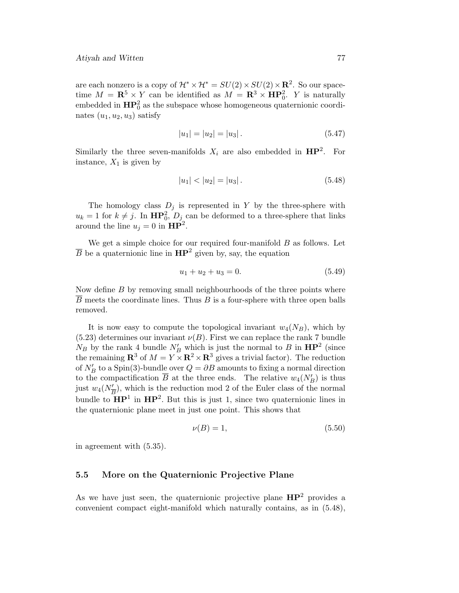are each nonzero is a copy of  $\mathcal{H}^* \times \mathcal{H}^* = SU(2) \times SU(2) \times \mathbb{R}^2$ . So our spacetime  $M = \mathbb{R}^5 \times Y$  can be identified as  $M = \mathbb{R}^3 \times \mathbb{HP}_0^2$ . Y is naturally embedded in  $\mathbf{HP}^2_0$  as the subspace whose homogeneous quaternionic coordinates  $(u_1, u_2, u_3)$  satisfy

$$
|u_1| = |u_2| = |u_3|.
$$
\n(5.47)

Similarly the three seven-manifolds  $X_i$  are also embedded in  $HP^2$ . For instance,  $X_1$  is given by

$$
|u_1| < |u_2| = |u_3| \,. \tag{5.48}
$$

The homology class  $D_j$  is represented in Y by the three-sphere with  $u_k = 1$  for  $k \neq j$ . In  $\mathbf{HP}_0^2$ ,  $D_j$  can be deformed to a three-sphere that links around the line  $u_j = 0$  in  $HP^2$ .

We get a simple choice for our required four-manifold  $B$  as follows. Let  $\overline{B}$  be a quaternionic line in  $\mathbf{HP}^2$  given by, say, the equation

$$
u_1 + u_2 + u_3 = 0.\t\t(5.49)
$$

Now define  $B$  by removing small neighbourhoods of the three points where  $\overline{B}$  meets the coordinate lines. Thus  $B$  is a four-sphere with three open balls removed.

It is now easy to compute the topological invariant  $w_4(N_B)$ , which by  $(5.23)$  determines our invariant  $\nu(B)$ . First we can replace the rank 7 bundle  $N_B$  by the rank 4 bundle  $N'_B$  which is just the normal to B in  $\mathbf{HP}^2$  (since the remaining  $\mathbb{R}^3$  of  $M = Y \times \mathbb{R}^2 \times \mathbb{R}^3$  gives a trivial factor). The reduction of  $N_B'$  to a Spin(3)-bundle over  $Q = \partial B$  amounts to fixing a normal direction to the compactification B at the three ends. The relative  $w_4(N'_B)$  is thus just  $w_4(N_{\overline{B}}^{\prime})$ , which is the reduction mod 2 of the Euler class of the normal bundle to  $\mathbf{HP}^1$  in  $\mathbf{HP}^2$ . But this is just 1, since two quaternionic lines in the quaternionic plane meet in just one point. This shows that

$$
\nu(B) = 1,\tag{5.50}
$$

in agreement with (5.35).

#### **5.5 More on the Quaternionic Projective Plane**

As we have just seen, the quaternionic projective plane **HP**<sup>2</sup> provides a convenient compact eight-manifold which naturally contains, as in (5.48),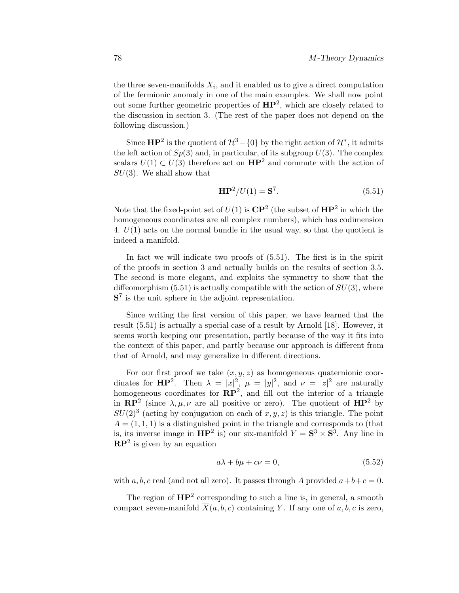the three seven-manifolds  $X_i$ , and it enabled us to give a direct computation of the fermionic anomaly in one of the main examples. We shall now point out some further geometric properties of **HP**2, which are closely related to the discussion in section 3. (The rest of the paper does not depend on the following discussion.)

Since **HP**<sup>2</sup> is the quotient of  $\mathcal{H}^3$  – {0} by the right action of  $\mathcal{H}^*$ , it admits the left action of  $Sp(3)$  and, in particular, of its subgroup  $U(3)$ . The complex scalars  $U(1) \subset U(3)$  therefore act on  $\mathbf{HP}^2$  and commute with the action of  $SU(3)$ . We shall show that

$$
\mathbf{HP}^2/U(1) = \mathbf{S}^7. \tag{5.51}
$$

Note that the fixed-point set of  $U(1)$  is  $\mathbb{CP}^2$  (the subset of  $\mathbb{HP}^2$  in which the homogeneous coordinates are all complex numbers), which has codimension 4.  $U(1)$  acts on the normal bundle in the usual way, so that the quotient is indeed a manifold.

In fact we will indicate two proofs of (5.51). The first is in the spirit of the proofs in section  $3$  and actually builds on the results of section  $3.5$ . The second is more elegant, and exploits the symmetry to show that the diffeomorphism  $(5.51)$  is actually compatible with the action of  $SU(3)$ , where **S**<sup>7</sup> is the unit sphere in the adjoint representation.

Since writing the first version of this paper, we have learned that the result  $(5.51)$  is actually a special case of a result by Arnold [18]. However, it seems worth keeping our presentation, partly because of the way it fits into the context of this paper, and partly because our approach is different from that of Arnold, and may generalize in different directions.

For our first proof we take  $(x, y, z)$  as homogeneous quaternionic coordinates for **HP**<sup>2</sup>. Then  $\lambda = |x|^2$ ,  $\mu = |y|^2$ , and  $\nu = |z|^2$  are naturally homogeneous coordinates for  $\mathbb{RP}^2$ , and fill out the interior of a triangle in  $\mathbb{RP}^2$  (since  $\lambda, \mu, \nu$  are all positive or zero). The quotient of  $\mathbb{HP}^2$  by  $SU(2)^3$  (acting by conjugation on each of  $x, y, z$ ) is this triangle. The point  $A = (1, 1, 1)$  is a distinguished point in the triangle and corresponds to (that is, its inverse image in  $\mathbf{HP}^2$  is) our six-manifold  $Y = \mathbf{S}^3 \times \mathbf{S}^3$ . Any line in **RP**<sup>2</sup> is given by an equation

$$
a\lambda + b\mu + c\nu = 0,\t\t(5.52)
$$

with a, b, c real (and not all zero). It passes through A provided  $a+b+c=0$ .

The region of **HP**<sup>2</sup> corresponding to such a line is, in general, a smooth compact seven-manifold  $\overline{X}(a, b, c)$  containing Y. If any one of a, b, c is zero,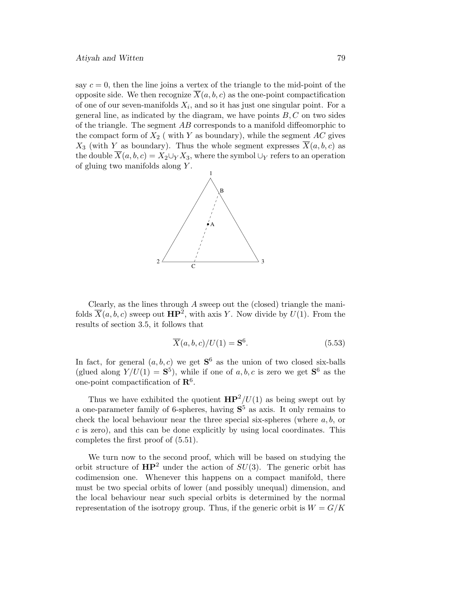say  $c = 0$ , then the line joins a vertex of the triangle to the mid-point of the opposite side. We then recognize  $\overline{X}(a, b, c)$  as the one-point compactification of one of our seven-manifolds  $X_i$ , and so it has just one singular point. For a general line, as indicated by the diagram, we have points  $B, C$  on two sides of the triangle. The segment  $AB$  corresponds to a manifold diffeomorphic to the compact form of  $X_2$  (with Y as boundary), while the segment AC gives  $X_3$  (with Y as boundary). Thus the whole segment expresses  $\overline{X}(a, b, c)$  as the double  $\overline{X}(a, b, c) = X_2 \cup_Y X_3$ , where the symbol  $\cup_Y$  refers to an operation of gluing two manifolds along  $Y$ .



Clearly, as the lines through A sweep out the (closed) triangle the manifolds  $\overline{X}(a, b, c)$  sweep out  $\mathbf{HP}^2$ , with axis Y. Now divide by  $U(1)$ . From the results of section 3.5, it follows that

$$
\overline{X}(a,b,c)/U(1) = \mathbf{S}^6.
$$
\n(5.53)

In fact, for general  $(a, b, c)$  we get  $S^6$  as the union of two closed six-balls (glued along  $Y/U(1) = S^5$ ), while if one of a, b, c is zero we get  $S^6$  as the one-point compactification of **R**6.

Thus we have exhibited the quotient  $HP^2/U(1)$  as being swept out by a one-parameter family of 6-spheres, having **S**<sup>5</sup> as axis. It only remains to check the local behaviour near the three special six-spheres (where  $a, b$ , or c is zero), and this can be done explicitly by using local coordinates. This completes the first proof of  $(5.51)$ .

We turn now to the second proof, which will be based on studying the orbit structure of  $HP^2$  under the action of  $SU(3)$ . The generic orbit has codimension one. Whenever this happens on a compact manifold, there must be two special orbits of lower (and possibly unequal) dimension, and the local behaviour near such special orbits is determined by the normal representation of the isotropy group. Thus, if the generic orbit is  $W = G/K$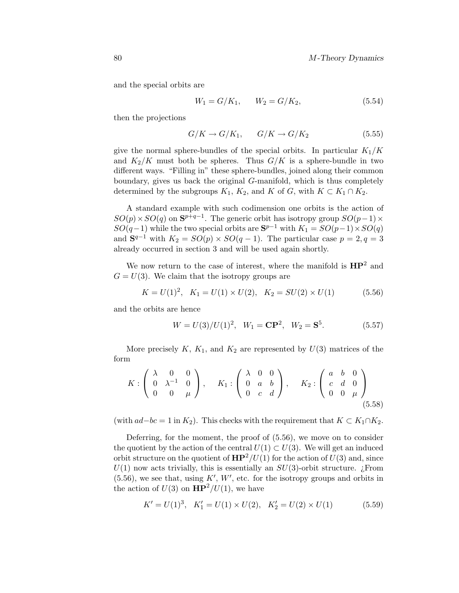and the special orbits are

$$
W_1 = G/K_1, \qquad W_2 = G/K_2,\tag{5.54}
$$

then the projections

$$
G/K \to G/K_1, \qquad G/K \to G/K_2 \tag{5.55}
$$

give the normal sphere-bundles of the special orbits. In particular  $K_1/K$ and  $K_2/K$  must both be spheres. Thus  $G/K$  is a sphere-bundle in two different ways. "Filling in" these sphere-bundles, joined along their common boundary, gives us back the original G-manifold, which is thus completely determined by the subgroups  $K_1$ ,  $K_2$ , and K of G, with  $K \subset K_1 \cap K_2$ .

A standard example with such codimension one orbits is the action of  $SO(p) \times SO(q)$  on  $\mathbf{S}^{p+q-1}$ . The generic orbit has isotropy group  $SO(p-1) \times$  $SO(q-1)$  while the two special orbits are  $S^{p-1}$  with  $K_1 = SO(p-1) \times SO(q)$ and  $S^{q-1}$  with  $K_2 = SO(p) \times SO(q-1)$ . The particular case  $p = 2, q = 3$ already occurred in section 3 and will be used again shortly.

We now return to the case of interest, where the manifold is  $HP^2$  and  $G = U(3)$ . We claim that the isotropy groups are

$$
K = U(1)^{2}, K_{1} = U(1) \times U(2), K_{2} = SU(2) \times U(1)
$$
 (5.56)

and the orbits are hence

$$
W = U(3)/U(1)^2, \quad W_1 = \mathbf{CP}^2, \quad W_2 = \mathbf{S}^5.
$$
 (5.57)

More precisely  $K, K_1$ , and  $K_2$  are represented by  $U(3)$  matrices of the form

$$
K: \left(\begin{array}{ccc} \lambda & 0 & 0 \\ 0 & \lambda^{-1} & 0 \\ 0 & 0 & \mu \end{array}\right), \quad K_1: \left(\begin{array}{ccc} \lambda & 0 & 0 \\ 0 & a & b \\ 0 & c & d \end{array}\right), \quad K_2: \left(\begin{array}{ccc} a & b & 0 \\ c & d & 0 \\ 0 & 0 & \mu \end{array}\right)
$$
(5.58)

(with  $ad-bc = 1$  in  $K_2$ ). This checks with the requirement that  $K \subset K_1 \cap K_2$ .

Deferring, for the moment, the proof of (5.56), we move on to consider the quotient by the action of the central  $U(1) \subset U(3)$ . We will get an induced orbit structure on the quotient of  $HP^2/U(1)$  for the action of  $U(3)$  and, since  $U(1)$  now acts trivially, this is essentially an  $SU(3)$ -orbit structure. *i* From  $(5.56)$ , we see that, using K', W', etc. for the isotropy groups and orbits in the action of  $U(3)$  on  $\mathbf{HP}^2/U(1)$ , we have

$$
K' = U(1)^3, \quad K'_1 = U(1) \times U(2), \quad K'_2 = U(2) \times U(1) \tag{5.59}
$$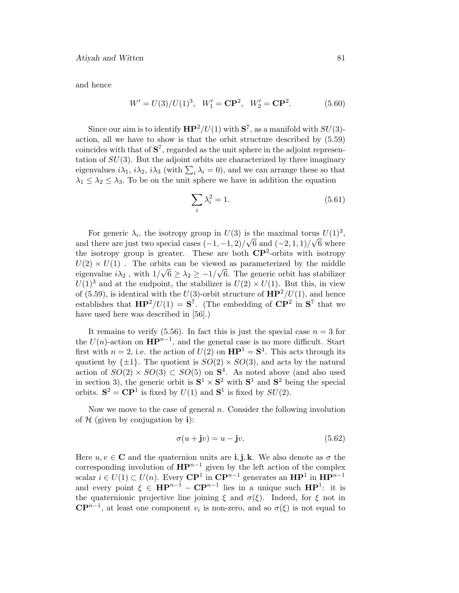and hence

$$
W' = U(3)/U(1)^3, \quad W'_1 = \mathbf{CP}^2, \quad W'_2 = \mathbf{CP}^2.
$$
 (5.60)

Since our aim is to identify  $HP^2/U(1)$  with  $S^7$ , as a manifold with  $SU(3)$ action, all we have to show is that the orbit structure described by (5.59) coincides with that of **S**7, regarded as the unit sphere in the adjoint representation of  $SU(3)$ . But the adjoint orbits are characterized by three imaginary eigenvalues  $i\lambda_1$ ,  $i\lambda_2$ ,  $i\lambda_3$  (with  $\sum_i \lambda_i = 0$ ), and we can arrange these so that  $\lambda_1 \leq \lambda_2 \leq \lambda_3$ . To be on the unit sphere we have in addition the equation

$$
\sum_{i} \lambda_i^2 = 1. \tag{5.61}
$$

For generic  $\lambda_i$ , the isotropy group in  $U(3)$  is the maximal torus  $U(1)^3$ , For generic  $\lambda_i$ , the isotropy group in  $U(3)$  is the maximal torus  $U(1)$ ,<br>and there are just two special cases  $(-1, -1, 2)/\sqrt{6}$  and  $(-2, 1, 1)/\sqrt{6}$  where the isotropy group is greater. These are both  $\mathbb{CP}^2$ -orbits with isotropy  $U(2) \times U(1)$ . The orbits can be viewed as parameterized by the middle  $\omega(z) \times \omega(1)$ . The orbits can be viewed as parameterized by the initiate eigenvalue  $i\lambda_2$ , with  $1/\sqrt{6} \geq \lambda_2 \geq -1/\sqrt{6}$ . The generic orbit has stabilizer  $U(1)^3$  and at the endpoint, the stabilizer is  $U(2) \times U(1)$ . But this, in view of (5.59), is identical with the  $U(3)$ -orbit structure of  $HP^2/U(1)$ , and hence establishes that  $\mathbf{HP}^2/U(1) = \mathbf{S}^7$ . (The embedding of  $\mathbf{CP}^2$  in  $\mathbf{S}^7$  that we have used here was described in [56].)

It remains to verify (5.56). In fact this is just the special case  $n = 3$  for the  $U(n)$ -action on  $\mathbf{HP}^{n-1}$ , and the general case is no more difficult. Start first with  $n = 2$ , i.e. the action of  $U(2)$  on  $\mathbf{HP}^1 = \mathbf{S}^4$ . This acts through its quotient by  $\{\pm 1\}$ . The quotient is  $SO(2) \times SO(3)$ , and acts by the natural action of  $SO(2) \times SO(3) \subset SO(5)$  on  $S<sup>4</sup>$ . As noted above (and also used in section 3), the generic orbit is  $S^1 \times S^2$  with  $S^1$  and  $S^2$  being the special orbits.  $S^2 = CP^1$  is fixed by  $U(1)$  and  $S^1$  is fixed by  $SU(2)$ .

Now we move to the case of general  $n$ . Consider the following involution of  $H$  (given by conjugation by **i**):

$$
\sigma(u + jv) = u - jv. \tag{5.62}
$$

Here  $u, v \in \mathbb{C}$  and the quaternion units are **i**, **j**, **k**. We also denote as  $\sigma$  the corresponding involution of **HP**n−<sup>1</sup> given by the left action of the complex scalar  $i \in U(1) \subset U(n)$ . Every  $\mathbb{CP}^1$  in  $\mathbb{CP}^{n-1}$  generates an  $\mathbb{HP}^1$  in  $\mathbb{HP}^{n-1}$ and every point  $\xi \in \mathbf{HP}^{n-1} - \mathbf{CP}^{n-1}$  lies in a unique such  $\mathbf{HP}^1$ : it is the quaternionic projective line joining  $\xi$  and  $\sigma(\xi)$ . Indeed, for  $\xi$  not in  $\mathbb{C}P^{n-1}$ , at least one component  $v_i$  is non-zero, and so  $\sigma(\xi)$  is not equal to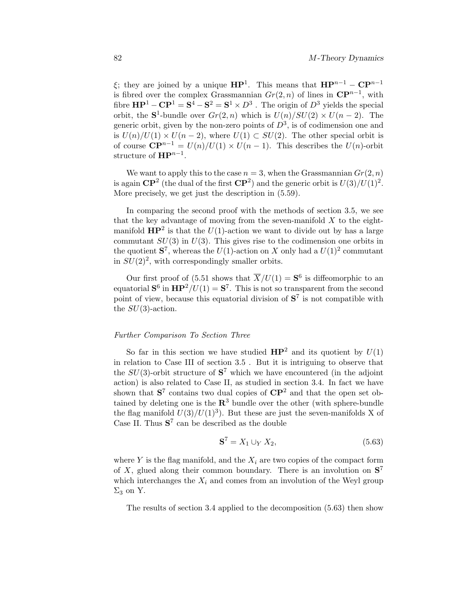ξ; they are joined by a unique  $\mathbf{HP}^1$ . This means that  $\mathbf{HP}^{n-1} - \mathbf{CP}^{n-1}$ is fibred over the complex Grassmannian  $Gr(2, n)$  of lines in  $\mathbb{CP}^{n-1}$ , with fibre  $\mathbf{HP}^1 - \mathbf{CP}^1 = \mathbf{S}^4 - \mathbf{S}^2 = \mathbf{S}^1 \times D^3$ . The origin of  $D^3$  yields the special orbit, the **S**<sup>1</sup>-bundle over  $Gr(2, n)$  which is  $U(n)/SU(2) \times U(n-2)$ . The generic orbit, given by the non-zero points of  $D^3$ , is of codimension one and is  $U(n)/U(1) \times U(n-2)$ , where  $U(1) \subset SU(2)$ . The other special orbit is of course  $\mathbb{C}\mathbb{P}^{n-1} = U(n)/U(1) \times U(n-1)$ . This describes the  $U(n)$ -orbit structure of **HP**<sup>n−1</sup>.

We want to apply this to the case  $n = 3$ , when the Grassmannian  $Gr(2, n)$ is again  $\mathbb{CP}^2$  (the dual of the first  $\mathbb{CP}^2$ ) and the generic orbit is  $U(3)/U(1)^2$ . More precisely, we get just the description in (5.59).

In comparing the second proof with the methods of section 3.5, we see that the key advantage of moving from the seven-manifold  $X$  to the eightmanifold  $HP^2$  is that the  $U(1)$ -action we want to divide out by has a large commutant  $SU(3)$  in  $U(3)$ . This gives rise to the codimension one orbits in the quotient  $S^7$ , whereas the  $U(1)$ -action on X only had a  $U(1)^2$  commutant in  $SU(2)^2$ , with correspondingly smaller orbits.

Our first proof of (5.51 shows that  $\overline{X}/U(1) = S^6$  is diffeomorphic to an equatorial  $S^6$  in  $HP^2/U(1) = S^7$ . This is not so transparent from the second point of view, because this equatorial division of  $S^7$  is not compatible with the  $SU(3)$ -action.

#### Further Comparison To Section Three

So far in this section we have studied  $HP^2$  and its quotient by  $U(1)$ in relation to Case III of section  $3.5$  . But it is intriguing to observe that the  $SU(3)$ -orbit structure of  $S^7$  which we have encountered (in the adjoint action) is also related to Case II, as studied in section 3.4. In fact we have shown that  $S^7$  contains two dual copies of  $\mathbb{CP}^2$  and that the open set obtained by deleting one is the  $\mathbb{R}^3$  bundle over the other (with sphere-bundle the flag manifold  $U(3)/U(1)^3$ . But these are just the seven-manifolds X of Case II. Thus  $S^7$  can be described as the double

$$
\mathbf{S}^7 = X_1 \cup_Y X_2,\tag{5.63}
$$

where  $Y$  is the flag manifold, and the  $X_i$  are two copies of the compact form of X, glued along their common boundary. There is an involution on **S**<sup>7</sup> which interchanges the  $X_i$  and comes from an involution of the Weyl group  $\Sigma_3$  on Y.

The results of section 3.4 applied to the decomposition  $(5.63)$  then show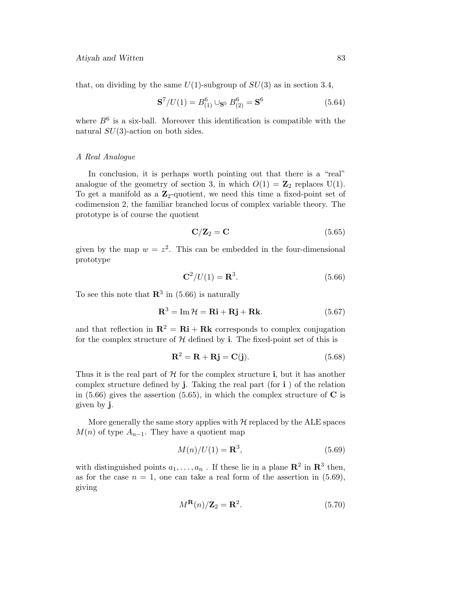that, on dividing by the same  $U(1)$ -subgroup of  $SU(3)$  as in section 3.4,

$$
\mathbf{S}^7/U(1) = B_{(1)}^6 \cup_{\mathbf{S}^5} B_{(2)}^6 = \mathbf{S}^6 \tag{5.64}
$$

where  $B<sup>6</sup>$  is a six-ball. Moreover this identification is compatible with the natural  $SU(3)$ -action on both sides.

### A Real Analogue

In conclusion, it is perhaps worth pointing out that there is a "real" analogue of the geometry of section 3, in which  $O(1) = \mathbb{Z}_2$  replaces U(1). To get a manifold as a **Z**2-quotient, we need this time a fixed-point set of codimension 2, the familiar branched locus of complex variable theory. The prototype is of course the quotient

$$
\mathbf{C}/\mathbf{Z}_2 = \mathbf{C} \tag{5.65}
$$

given by the map  $w = z^2$ . This can be embedded in the four-dimensional prototype

$$
\mathbf{C}^2/U(1) = \mathbf{R}^3. \tag{5.66}
$$

To see this note that  $\mathbb{R}^3$  in (5.66) is naturally

$$
\mathbf{R}^3 = \operatorname{Im} \mathcal{H} = \mathbf{R} \mathbf{i} + \mathbf{R} \mathbf{j} + \mathbf{R} \mathbf{k}.\tag{5.67}
$$

and that reflection in  $\mathbf{R}^2 = \mathbf{R}\mathbf{i} + \mathbf{R}\mathbf{k}$  corresponds to complex conjugation for the complex structure of  $H$  defined by **i**. The fixed-point set of this is

$$
\mathbf{R}^2 = \mathbf{R} + \mathbf{R}\mathbf{j} = \mathbf{C}(\mathbf{j}).\tag{5.68}
$$

Thus it is the real part of  $H$  for the complex structure **i**, but it has another complex structure defined by  $\mathbf{j}$ . Taking the real part (for  $\mathbf{i}$ ) of the relation in (5.66) gives the assertion (5.65), in which the complex structure of **C** is given by **j**.

More generally the same story applies with  $H$  replaced by the ALE spaces  $M(n)$  of type  $A_{n-1}$ . They have a quotient map

$$
M(n)/U(1) = \mathbf{R}^3,\tag{5.69}
$$

with distinguished points  $a_1, \ldots, a_n$ . If these lie in a plane  $\mathbb{R}^2$  in  $\mathbb{R}^3$  then, as for the case  $n = 1$ , one can take a real form of the assertion in (5.69), giving

$$
M^{\mathbf{R}}(n)/\mathbf{Z}_2 = \mathbf{R}^2. \tag{5.70}
$$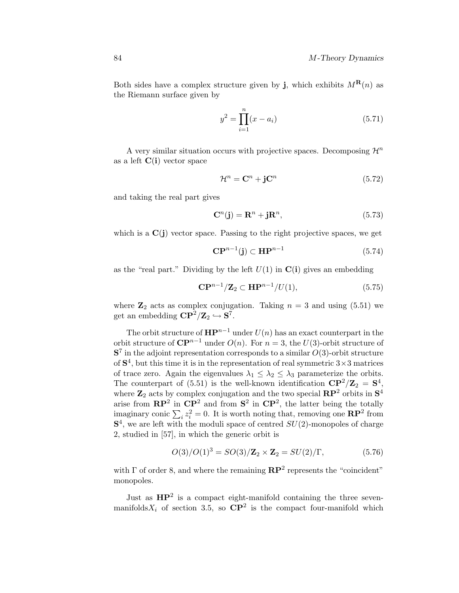Both sides have a complex structure given by **j**, which exhibits  $M^{\mathbf{R}}(n)$  as the Riemann surface given by

$$
y^2 = \prod_{i=1}^{n} (x - a_i)
$$
 (5.71)

A very similar situation occurs with projective spaces. Decomposing  $\mathcal{H}^n$ as a left **C**(**i**) vector space

$$
\mathcal{H}^n = \mathbf{C}^n + \mathbf{j}\mathbf{C}^n \tag{5.72}
$$

and taking the real part gives

$$
\mathbf{C}^n(\mathbf{j}) = \mathbf{R}^n + \mathbf{j}\mathbf{R}^n,\tag{5.73}
$$

which is a  $\mathbf{C}(\mathbf{j})$  vector space. Passing to the right projective spaces, we get

$$
\mathbf{CP}^{n-1}(\mathbf{j}) \subset \mathbf{HP}^{n-1} \tag{5.74}
$$

as the "real part." Dividing by the left  $U(1)$  in  $C(i)$  gives an embedding

$$
\mathbf{CP}^{n-1}/\mathbf{Z}_2 \subset \mathbf{HP}^{n-1}/U(1),\tag{5.75}
$$

where  $\mathbb{Z}_2$  acts as complex conjugation. Taking  $n = 3$  and using (5.51) we get an embedding  $\mathbf{CP}^2/\mathbf{Z}_2 \hookrightarrow \mathbf{S}^7$ .

The orbit structure of  $\mathbf{HP}^{n-1}$  under  $U(n)$  has an exact counterpart in the orbit structure of  $\mathbb{C}\mathbb{P}^{n-1}$  under  $O(n)$ . For  $n=3$ , the U(3)-orbit structure of  $S<sup>7</sup>$  in the adjoint representation corresponds to a similar  $O(3)$ -orbit structure of  $S<sup>4</sup>$ , but this time it is in the representation of real symmetric  $3 \times 3$  matrices of trace zero. Again the eigenvalues  $\lambda_1 \leq \lambda_2 \leq \lambda_3$  parameterize the orbits. The counterpart of (5.51) is the well-known identification  $\mathbf{CP}^2/\mathbf{Z}_2 = \mathbf{S}^4$ , where  $\mathbb{Z}_2$  acts by complex conjugation and the two special  $\mathbb{RP}^2$  orbits in  $\mathbb{S}^4$ arise from  $\mathbb{RP}^2$  in  $\mathbb{CP}^2$  and from  $\mathbb{S}^2$  in  $\mathbb{CP}^2$ , the latter being the totally imaginary conic  $\sum_i z_i^2 = 0$ . It is worth noting that, removing one  $\mathbb{RP}^2$  from  $S<sup>4</sup>$ , we are left with the moduli space of centred  $SU(2)$ -monopoles of charge 2, studied in [57], in which the generic orbit is

$$
O(3)/O(1)^3 = SO(3)/\mathbf{Z}_2 \times \mathbf{Z}_2 = SU(2)/\Gamma, \tag{5.76}
$$

with  $\Gamma$  of order 8, and where the remaining  $\mathbb{RP}^2$  represents the "coincident" monopoles.

Just as **HP**<sup>2</sup> is a compact eight-manifold containing the three sevenmanifolds  $X_i$  of section 3.5, so  $\mathbb{C}P^2$  is the compact four-manifold which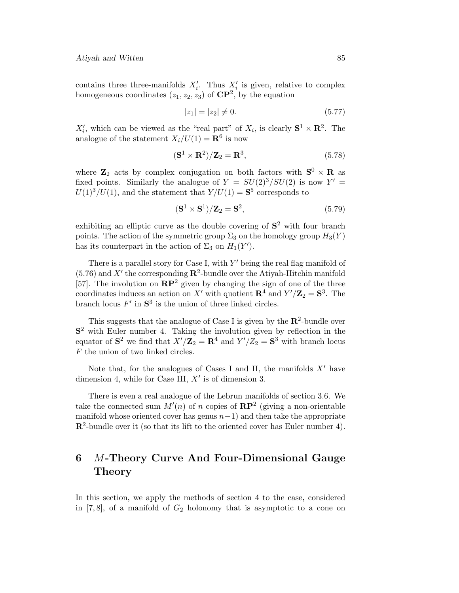contains three three-manifolds  $X_i'$ . Thus  $X_i'$  is given, relative to complex homogeneous coordinates  $(z_1, z_2, z_3)$  of  $\mathbb{CP}^2$ , by the equation

$$
|z_1| = |z_2| \neq 0. \tag{5.77}
$$

 $X'_i$ , which can be viewed as the "real part" of  $X_i$ , is clearly  $S^1 \times \mathbb{R}^2$ . The analogue of the statement  $X_i/U(1) = \mathbf{R}^6$  is now

$$
(\mathbf{S}^1 \times \mathbf{R}^2)/\mathbf{Z}_2 = \mathbf{R}^3, \tag{5.78}
$$

where  $\mathbf{Z}_2$  acts by complex conjugation on both factors with  $\mathbf{S}^0 \times \mathbf{R}$  as fixed points. Similarly the analogue of  $Y = SU(2)^3/SU(2)$  is now  $Y' =$  $U(1)^3/U(1)$ , and the statement that  $Y/U(1) = S^5$  corresponds to

$$
(\mathbf{S}^1 \times \mathbf{S}^1)/\mathbf{Z}_2 = \mathbf{S}^2,\tag{5.79}
$$

exhibiting an elliptic curve as the double covering of **S**<sup>2</sup> with four branch points. The action of the symmetric group  $\Sigma_3$  on the homology group  $H_3(Y)$ has its counterpart in the action of  $\Sigma_3$  on  $H_1(Y')$ .

There is a parallel story for Case I, with  $Y'$  being the real flag manifold of  $(5.76)$  and X' the corresponding  $\mathbb{R}^2$ -bundle over the Atiyah-Hitchin manifold [57]. The involution on  $\mathbb{RP}^2$  given by changing the sign of one of the three coordinates induces an action on X' with quotient  $\mathbb{R}^4$  and  $Y'/\mathbb{Z}_2 = \mathbb{S}^3$ . The branch locus  $F'$  in  $S^3$  is the union of three linked circles.

This suggests that the analogue of Case I is given by the  $\mathbb{R}^2$ -bundle over **S**<sup>2</sup> with Euler number 4. Taking the involution given by reflection in the equator of  $S^2$  we find that  $X'/\mathbb{Z}_2 = \mathbb{R}^4$  and  $Y'/Z_2 = S^3$  with branch locus  $F$  the union of two linked circles.

Note that, for the analogues of Cases I and II, the manifolds  $X'$  have dimension 4, while for Case III,  $X'$  is of dimension 3.

There is even a real analogue of the Lebrun manifolds of section 3.6. We take the connected sum  $M'(n)$  of n copies of  $\mathbb{RP}^2$  (giving a non-orientable manifold whose oriented cover has genus  $n-1$ ) and then take the appropriate **R**2-bundle over it (so that its lift to the oriented cover has Euler number 4).

# **6** M**-Theory Curve And Four-Dimensional Gauge Theory**

In this section, we apply the methods of section  $4$  to the case, considered in  $[7, 8]$ , of a manifold of  $G_2$  holonomy that is asymptotic to a cone on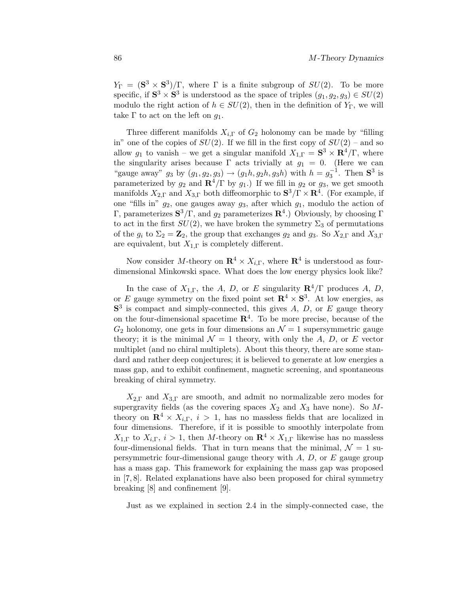$Y_{\Gamma} = (\mathbf{S}^3 \times \mathbf{S}^3)/\Gamma$ , where  $\Gamma$  is a finite subgroup of  $SU(2)$ . To be more specific, if  $S^3 \times S^3$  is understood as the space of triples  $(g_1, g_2, g_3) \in SU(2)$ modulo the right action of  $h \in SU(2)$ , then in the definition of  $Y_{\Gamma}$ , we will take  $\Gamma$  to act on the left on  $g_1$ .

Three different manifolds  $X_{i,\Gamma}$  of  $G_2$  holonomy can be made by "filling" in" one of the copies of  $SU(2)$ . If we fill in the first copy of  $SU(2)$  – and so allow  $g_1$  to vanish – we get a singular manifold  $X_{1,\Gamma} = \mathbf{S}^3 \times \mathbf{R}^4/\Gamma$ , where the singularity arises because  $\Gamma$  acts trivially at  $g_1 = 0$ . (Here we can "gauge away"  $g_3$  by  $(g_1, g_2, g_3) \to (g_1 h, g_2 h, g_3 h)$  with  $h = g_3^{-1}$ . Then **S**<sup>3</sup> is parameterized by  $g_2$  and  $\mathbb{R}^4/\Gamma$  by  $g_1$ .) If we fill in  $g_2$  or  $g_3$ , we get smooth manifolds  $X_{2,\Gamma}$  and  $X_{3,\Gamma}$  both diffeomorphic to  $S^3/\Gamma \times \mathbb{R}^4$ . (For example, if one "fills in"  $g_2$ , one gauges away  $g_3$ , after which  $g_1$ , modulo the action of Γ, parameterizes **S**3/Γ, and g<sup>2</sup> parameterizes **R**4.) Obviously, by choosing Γ to act in the first  $SU(2)$ , we have broken the symmetry  $\Sigma_3$  of permutations of the  $g_i$  to  $\Sigma_2 = \mathbb{Z}_2$ , the group that exchanges  $g_2$  and  $g_3$ . So  $X_{2,\Gamma}$  and  $X_{3,\Gamma}$ are equivalent, but  $X_{1,\Gamma}$  is completely different.

Now consider M-theory on  $\mathbb{R}^4 \times X_{i,\Gamma}$ , where  $\mathbb{R}^4$  is understood as fourdimensional Minkowski space. What does the low energy physics look like?

In the case of  $X_{1,\Gamma}$ , the A, D, or E singularity  $\mathbb{R}^4/\Gamma$  produces A, D, or E gauge symmetry on the fixed point set  $\mathbb{R}^4 \times S^3$ . At low energies, as  $S<sup>3</sup>$  is compact and simply-connected, this gives  $A, D$ , or  $E$  gauge theory on the four-dimensional spacetime  $\mathbb{R}^{4}$ . To be more precise, because of the  $G_2$  holonomy, one gets in four dimensions an  $\mathcal{N}=1$  supersymmetric gauge theory; it is the minimal  $\mathcal{N} = 1$  theory, with only the A, D, or E vector multiplet (and no chiral multiplets). About this theory, there are some standard and rather deep conjectures; it is believed to generate at low energies a mass gap, and to exhibit confinement, magnetic screening, and spontaneous breaking of chiral symmetry.

 $X_{2,\Gamma}$  and  $X_{3,\Gamma}$  are smooth, and admit no normalizable zero modes for supergravity fields (as the covering spaces  $X_2$  and  $X_3$  have none). So Mtheory on  $\mathbb{R}^4 \times X_{i,\Gamma}$ ,  $i > 1$ , has no massless fields that are localized in four dimensions. Therefore, if it is possible to smoothly interpolate from  $X_{1,\Gamma}$  to  $X_{i,\Gamma}$ ,  $i > 1$ , then M-theory on  $\mathbb{R}^4 \times X_{1,\Gamma}$  likewise has no massless four-dimensional fields. That in turn means that the minimal,  $\mathcal{N} = 1$  supersymmetric four-dimensional gauge theory with  $A$ ,  $D$ , or  $E$  gauge group has a mass gap. This framework for explaining the mass gap was proposed in [7, 8]. Related explanations have also been proposed for chiral symmetry breaking [8] and confinement [9].

Just as we explained in section 2.4 in the simply-connected case, the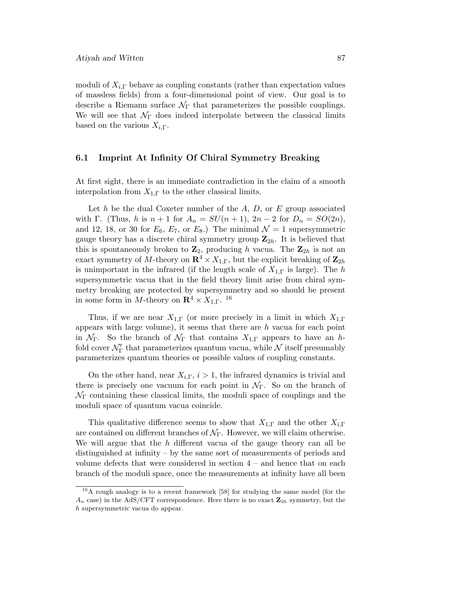moduli of  $X_{i,\Gamma}$  behave as coupling constants (rather than expectation values of massless fields) from a four-dimensional point of view. Our goal is to describe a Riemann surface  $\mathcal{N}_{\Gamma}$  that parameterizes the possible couplings. We will see that  $\mathcal{N}_{\Gamma}$  does indeed interpolate between the classical limits based on the various  $X_{i,\Gamma}$ .

## **6.1 Imprint At Infinity Of Chiral Symmetry Breaking**

At first sight, there is an immediate contradiction in the claim of a smooth interpolation from  $X_{1,\Gamma}$  to the other classical limits.

Let h be the dual Coxeter number of the  $A, D$ , or E group associated with Γ. (Thus, h is  $n + 1$  for  $A_n = SU(n + 1)$ ,  $2n - 2$  for  $D_n = SO(2n)$ , and 12, 18, or 30 for  $E_6$ ,  $E_7$ , or  $E_8$ .) The minimal  $\mathcal{N}=1$  supersymmetric gauge theory has a discrete chiral symmetry group  $\mathbb{Z}_{2h}$ . It is believed that this is spontaneously broken to  $\mathbb{Z}_2$ , producing h vacua. The  $\mathbb{Z}_{2h}$  is not an exact symmetry of M-theory on  $\mathbb{R}^4 \times X_{1,\Gamma}$ , but the explicit breaking of  $\mathbb{Z}_{2h}$ is unimportant in the infrared (if the length scale of  $X_{1,\Gamma}$  is large). The h supersymmetric vacua that in the field theory limit arise from chiral symmetry breaking are protected by supersymmetry and so should be present in some form in M-theory on  $\mathbb{R}^4 \times X_{1,\Gamma}$ . <sup>16</sup>

Thus, if we are near  $X_{1,\Gamma}$  (or more precisely in a limit in which  $X_{1,\Gamma}$ ) appears with large volume), it seems that there are  $h$  vacua for each point in  $\mathcal{N}_{\Gamma}$ . So the branch of  $\mathcal{N}_{\Gamma}$  that contains  $X_{1,\Gamma}$  appears to have an hfold cover  $\mathcal{N}_{\Gamma}'$  that parameterizes quantum vacua, while  $\mathcal N$  itself presumably parameterizes quantum theories or possible values of coupling constants.

On the other hand, near  $X_{i,\Gamma}$ ,  $i > 1$ , the infrared dynamics is trivial and there is precisely one vacuum for each point in  $\mathcal{N}_{\Gamma}$ . So on the branch of  $\mathcal{N}_{\Gamma}$  containing these classical limits, the moduli space of couplings and the moduli space of quantum vacua coincide.

This qualitative difference seems to show that  $X_{1,\Gamma}$  and the other  $X_{i,\Gamma}$ are contained on different branches of  $\mathcal{N}_{\Gamma}$ . However, we will claim otherwise. We will argue that the  $h$  different vacua of the gauge theory can all be distinguished at infinity  $-$  by the same sort of measurements of periods and volume defects that were considered in section  $4 -$  and hence that on each branch of the moduli space, once the measurements at infinity have all been

<sup>16</sup>A rough analogy is to a recent framework [58] for studying the same model (for the  $A_n$  case) in the AdS/CFT correspondence. Here there is no exact  $\mathbf{Z}_{2h}$  symmetry, but the h supersymmetric vacua do appear.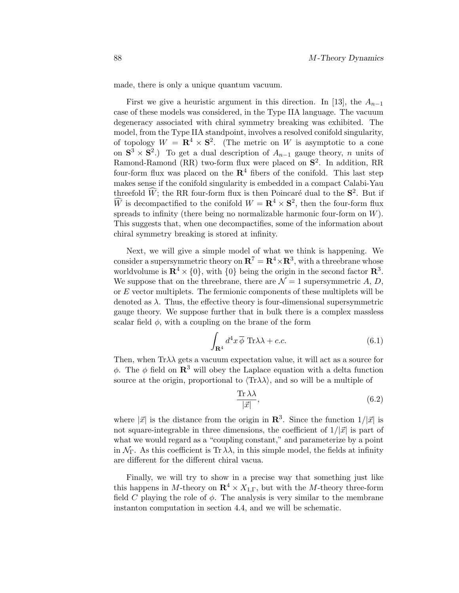made, there is only a unique quantum vacuum.

First we give a heuristic argument in this direction. In [13], the  $A_{n-1}$ case ofthese models was considered, in the Type IIA language. The vacuum degeneracy associated with chiral symmetry breaking was exhibited. The model, from the Type IIA standpoint, involves a resolved conifold singularity, of topology  $W = \mathbb{R}^4 \times \mathbb{S}^2$ . (The metric on W is asymptotic to a cone on  $S^3 \times S^2$ .) To get a dual description of  $A_{n-1}$  gauge theory, n units of Ramond-Ramond (RR) two-form flux were placed on **S**2. In addition, RR four-form flux was placed on the  $\mathbb{R}^4$  fibers of the conifold. This last step makes sense if the conifold singularity is embedded in a compact Calabi-Yau threefold  $\widehat{W}$ ; the RR four-form flux is then Poincaré dual to the  $\mathbf{S}^2$ . But if  $\hat{W}$  is decompactified to the conifold  $W = \mathbf{R}^4 \times \mathbf{S}^2$ , then the four-form flux spreads to infinity (there being no normalizable harmonic four-form on  $W$ ). This suggests that, when one decompactifies, some of the information about chiral symmetry breaking is stored at infinity.

Next, we will give a simple model of what we think is happening. We consider a supersymmetric theory on  $\mathbb{R}^7 = \mathbb{R}^4 \times \mathbb{R}^3$ , with a threebrane whose worldvolume is  $\mathbb{R}^4 \times \{0\}$ , with  $\{0\}$  being the origin in the second factor  $\mathbb{R}^3$ . We suppose that on the threebrane, there are  $\mathcal{N}=1$  supersymmetric A, D, or E vector multiplets. The fermionic components of these multiplets will be denoted as  $\lambda$ . Thus, the effective theory is four-dimensional supersymmetric gauge theory. We suppose further that in bulk there is a complex massless scalar field  $\phi$ , with a coupling on the brane of the form

$$
\int_{\mathbf{R}^4} d^4x \overline{\phi} \operatorname{Tr}\lambda\lambda + c.c.
$$
 (6.1)

Then, when  $Tr \lambda \lambda$  gets a vacuum expectation value, it will act as a source for  $φ$ . The *φ* field on **R**<sup>3</sup> will obey the Laplace equation with a delta function source at the origin, proportional to  $\langle \text{Tr}\lambda \lambda \rangle$ , and so will be a multiple of

$$
\frac{\text{Tr}\,\lambda\lambda}{|\vec{x}|},\tag{6.2}
$$

where  $|\vec{x}|$  is the distance from the origin in **R**<sup>3</sup>. Since the function  $1/|\vec{x}|$  is not square-integrable in three dimensions, the coefficient of  $1/|\vec{x}|$  is part of what we would regard as a "coupling constant," and parameterize by a point in  $\mathcal{N}_{\Gamma}$ . As this coefficient is Tr  $\lambda\lambda$ , in this simple model, the fields at infinity are different for the different chiral vacua.

Finally, we will try to show in a precise way that something just like this happens in M-theory on  $\mathbb{R}^4 \times X_{1,\Gamma}$ , but with the M-theory three-form field C playing the role of  $\phi$ . The analysis is very similar to the membrane instanton computation in section 4.4, and we will be schematic.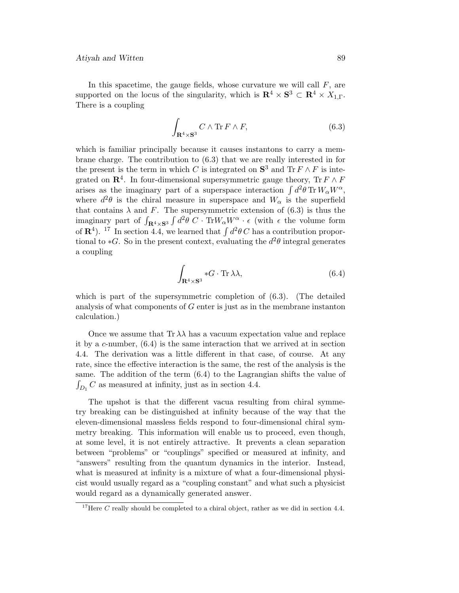In this spacetime, the gauge fields, whose curvature we will call  $F$ , are supported on the locus of the singularity, which is  $\mathbb{R}^4 \times \mathbb{S}^3 \subset \mathbb{R}^4 \times X_{1,\Gamma}$ . There is a coupling

$$
\int_{\mathbf{R}^4 \times \mathbf{S}^3} C \wedge \text{Tr} \, F \wedge F,\tag{6.3}
$$

which is familiar principally because it causes instantons to carry a membrane charge. The contribution to (6.3) that we are really interested in for the present is the term in which C is integrated on  $S^3$  and  $Tr F \wedge F$  is integrated on  $\mathbb{R}^4$ . In four-dimensional supersymmetric gauge theory,  $\text{Tr } F \wedge F$ arises as the imaginary part of a superspace interaction  $\int d^2\theta \,\mathrm{Tr}\, W_\alpha W^\alpha$ , where  $d^2\theta$  is the chiral measure in superspace and  $W_\alpha$  is the superfield that contains  $\lambda$  and F. The supersymmetric extension of (6.3) is thus the imaginary part of  $\int_{\mathbf{R}^4 \times \mathbf{S}^3} \int d^2\theta \ C \cdot \text{Tr} W_\alpha W^\alpha \cdot \epsilon$  (with  $\epsilon$  the volume form of  $\mathbb{R}^4$ ). <sup>17</sup> In section 4.4, we learned that  $\int d^2\theta C$  has a contribution proportional to  $\ast G$ . So in the present context, evaluating the  $d^2\theta$  integral generates a coupling

$$
\int_{\mathbf{R}^4 \times \mathbf{S}^3} *G \cdot \text{Tr} \,\lambda \lambda,\tag{6.4}
$$

which is part of the supersymmetric completion of  $(6.3)$ . (The detailed analysis of what components of  $G$  enter is just as in the membrane instanton calculation.)

Once we assume that  $Tr \lambda \lambda$  has a vacuum expectation value and replace it by a c-number, (6.4) is the same interaction that we arrived at in section 4.4. The derivation was a little different in that case, of course. At any rate, since the effective interaction is the same, the rest of the analysis is the same. The addition of the term  $(6.4)$  to the Lagrangian shifts the value of  $\int_{D_1} C$  as measured at infinity, just as in section 4.4.

The upshot is that the different vacua resulting from chiral symmetry breaking can be distinguished at infinity because of the way that the eleven-dimensional massless fields respond to four-dimensional chiral symmetry breaking. This information will enable us to proceed, even though, at some level, it is not entirely attractive. It prevents a clean separation between "problems" or "couplings" specified or measured at infinity, and "answers" resulting from the quantum dynamics in the interior. Instead, what is measured at infinity is a mixture of what a four-dimensional physicist would usually regard as a "coupling constant" and what such a physicist would regard as a dynamically generated answer.

<sup>&</sup>lt;sup>17</sup>Here C really should be completed to a chiral object, rather as we did in section 4.4.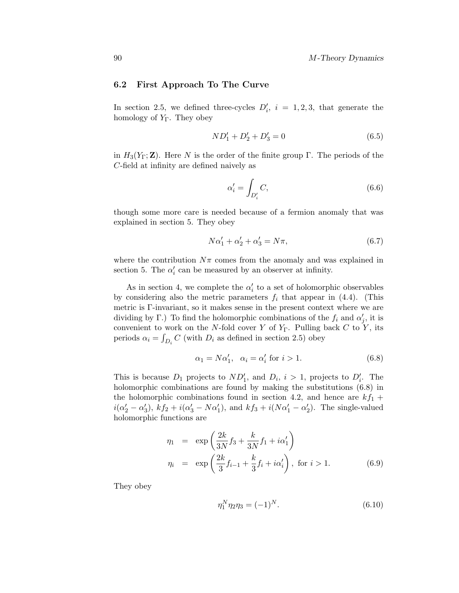### **6.2 First Approach To The Curve**

In section 2.5, we defined three-cycles  $D_i'$ ,  $i = 1, 2, 3$ , that generate the homology of  $Y_{\Gamma}$ . They obey

$$
ND_1' + D_2' + D_3' = 0 \tag{6.5}
$$

in  $H_3(Y_\Gamma; \mathbf{Z})$ . Here N is the order of the finite group  $\Gamma$ . The periods of the C-field at infinity are defined naively as

$$
\alpha_i' = \int_{D_i'} C,\tag{6.6}
$$

though some more care is needed because of a fermion anomaly that was explained in section 5. They obey

$$
N\alpha'_1 + \alpha'_2 + \alpha'_3 = N\pi,\tag{6.7}
$$

where the contribution  $N\pi$  comes from the anomaly and was explained in section 5. The  $\alpha'_i$  can be measured by an observer at infinity.

As in section 4, we complete the  $\alpha_i'$  to a set of holomorphic observables by considering also the metric parameters  $f_i$  that appear in (4.4). (This metric is Γ-invariant, so it makes sense in the present context where we are dividing by  $\Gamma$ .) To find the holomorphic combinations of the  $f_i$  and  $\alpha'_j$ , it is convenient to work on the N-fold cover Y of  $Y_{\Gamma}$ . Pulling back C to Y, its periods  $\alpha_i = \int_{D_i} C$  (with  $D_i$  as defined in section 2.5) obey

$$
\alpha_1 = N\alpha'_1, \quad \alpha_i = \alpha'_i \text{ for } i > 1. \tag{6.8}
$$

This is because  $D_1$  projects to  $ND'_1$ , and  $D_i$ ,  $i>1$ , projects to  $D'_i$ . The holomorphic combinations are found by making the substitutions (6.8) in the holomorphic combinations found in section 4.2, and hence are  $kf_1 +$  $i(\alpha'_2 - \alpha'_3)$ ,  $kf_2 + i(\alpha'_3 - N\alpha'_1)$ , and  $kf_3 + i(N\alpha'_1 - \alpha'_2)$ . The single-valued holomorphic functions are

$$
\eta_1 = \exp\left(\frac{2k}{3N}f_3 + \frac{k}{3N}f_1 + i\alpha'_1\right) \n\eta_i = \exp\left(\frac{2k}{3}f_{i-1} + \frac{k}{3}f_i + i\alpha'_i\right), \text{ for } i > 1.
$$
\n(6.9)

They obey

$$
\eta_1^N \eta_2 \eta_3 = (-1)^N. \tag{6.10}
$$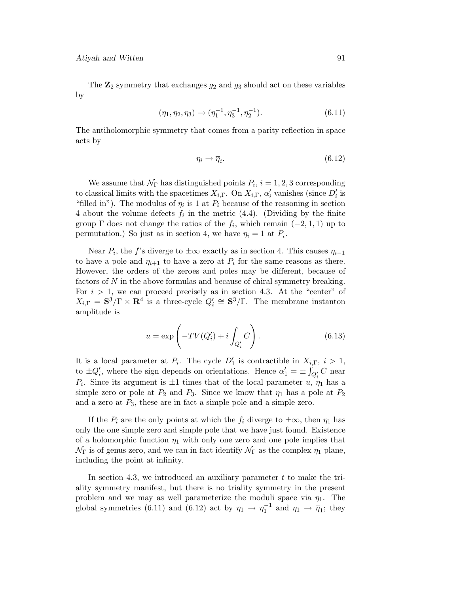The  $\mathbb{Z}_2$  symmetry that exchanges  $g_2$  and  $g_3$  should act on these variables by

$$
(\eta_1, \eta_2, \eta_3) \to (\eta_1^{-1}, \eta_3^{-1}, \eta_2^{-1}). \tag{6.11}
$$

The antiholomorphic symmetry that comes from a parity reflection in space acts by

$$
\eta_i \to \overline{\eta}_i. \tag{6.12}
$$

We assume that  $\mathcal{N}_{\Gamma}$  has distinguished points  $P_i$ ,  $i = 1, 2, 3$  corresponding to classical limits with the spacetimes  $X_{i,\Gamma}$ . On  $X_{i,\Gamma}$ ,  $\alpha'_{i}$  vanishes (since  $D'_{i}$  is "filled in"). The modulus of  $\eta_i$  is 1 at  $P_i$  because of the reasoning in section 4 about the volume defects  $f_i$  in the metric (4.4). (Dividing by the finite group  $\Gamma$  does not change the ratios of the  $f_i$ , which remain  $(-2, 1, 1)$  up to permutation.) So just as in section 4, we have  $\eta_i = 1$  at  $P_i$ .

Near  $P_i$ , the f's diverge to  $\pm\infty$  exactly as in section 4. This causes  $\eta_{i-1}$ to have a pole and  $\eta_{i+1}$  to have a zero at  $P_i$  for the same reasons as there. However, the orders of the zeroes and poles may be different, because of factors of N in the above formulas and because of chiral symmetry breaking. For  $i > 1$ , we can proceed precisely as in section 4.3. At the "center" of  $X_{i,\Gamma} = \mathbf{S}^3/\Gamma \times \mathbf{R}^4$  is a three-cycle  $Q_i' \cong \mathbf{S}^3/\Gamma$ . The membrane instanton amplitude is

$$
u = \exp\left(-TV(Q_i') + i \int_{Q_i'} C\right).
$$
\n(6.13)

It is a local parameter at  $P_i$ . The cycle  $D'_1$  is contractible in  $X_{i,\Gamma}$ ,  $i > 1$ , to  $\pm Q_i'$ , where the sign depends on orientations. Hence  $\alpha'_1 = \pm \int_{Q_i'} C$  near  $P_i$ . Since its argument is  $\pm 1$  times that of the local parameter u,  $\eta_1$  has a simple zero or pole at  $P_2$  and  $P_3$ . Since we know that  $\eta_1$  has a pole at  $P_2$ and a zero at  $P_3$ , these are in fact a simple pole and a simple zero.

If the  $P_i$  are the only points at which the  $f_i$  diverge to  $\pm \infty$ , then  $\eta_1$  has only the one simple zero and simple pole that we have just found. Existence of a holomorphic function  $\eta_1$  with only one zero and one pole implies that  $\mathcal{N}_{\Gamma}$  is of genus zero, and we can in fact identify  $\mathcal{N}_{\Gamma}$  as the complex  $\eta_1$  plane, including the point at infinity.

In section 4.3, we introduced an auxiliary parameter  $t$  to make the triality symmetry manifest, but there is no triality symmetry in the present problem and we may as well parameterize the moduli space via  $\eta_1$ . The global symmetries (6.11) and (6.12) act by  $\eta_1 \to \eta_1^{-1}$  and  $\eta_1 \to \overline{\eta}_1$ ; they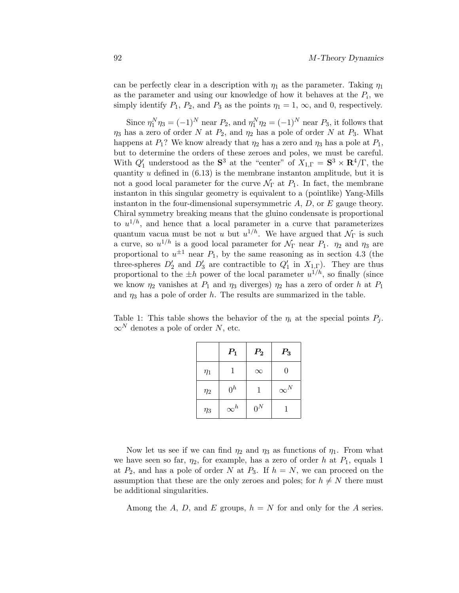can be perfectly clear in a description with  $\eta_1$  as the parameter. Taking  $\eta_1$ as the parameter and using our knowledge of how it behaves at the  $P_i$ , we simply identify  $P_1$ ,  $P_2$ , and  $P_3$  as the points  $\eta_1 = 1$ ,  $\infty$ , and 0, respectively.

Since  $\eta_1^N \eta_3 = (-1)^N$  near  $P_2$ , and  $\eta_1^N \eta_2 = (-1)^N$  near  $P_3$ , it follows that  $\eta_3$  has a zero of order N at  $P_2$ , and  $\eta_2$  has a pole of order N at  $P_3$ . What happens at  $P_1$ ? We know already that  $\eta_2$  has a zero and  $\eta_3$  has a pole at  $P_1$ , but to determine the orders of these zeroes and poles, we must be careful. With  $Q'_1$  understood as the  $S^3$  at the "center" of  $X_{1,\Gamma} = S^3 \times \mathbb{R}^4/\Gamma$ , the quantity  $u$  defined in  $(6.13)$  is the membrane instanton amplitude, but it is not a good local parameter for the curve  $\mathcal{N}_{\Gamma}$  at  $P_1$ . In fact, the membrane instanton in this singular geometry is equivalent to a (pointlike) Yang-Mills instanton in the four-dimensional supersymmetric  $A, D$ , or  $E$  gauge theory. Chiral symmetry breaking means that the gluino condensate is proportional to  $u^{1/h}$ , and hence that a local parameter in a curve that parameterizes quantum vacua must be not u but  $u^{1/h}$ . We have argued that  $\mathcal{N}_{\Gamma}$  is such a curve, so  $u^{1/h}$  is a good local parameter for  $\mathcal{N}_{\Gamma}$  near  $P_1$ .  $\eta_2$  and  $\eta_3$  are proportional to  $u^{\pm 1}$  near  $P_1$ , by the same reasoning as in section 4.3 (the three-spheres  $D'_2$  and  $D'_3$  are contractible to  $Q'_1$  in  $X_{1,\Gamma}$ ). They are thus proportional to the  $\pm h$  power of the local parameter  $u^{1/h}$ , so finally (since we know  $\eta_2$  vanishes at  $P_1$  and  $\eta_3$  diverges)  $\eta_2$  has a zero of order h at  $P_1$ and  $\eta_3$  has a pole of order h. The results are summarized in the table.

Table 1: This table shows the behavior of the  $\eta_i$  at the special points  $P_i$ .  $\infty^N$  denotes a pole of order N, etc.

|          | $P_1$      | $P_{2}$           | $P_3$      |
|----------|------------|-------------------|------------|
| $\eta_1$ |            | $\infty$          | 0          |
| $\eta_2$ | $0^h$      | 1                 | $\infty^N$ |
| $\eta_3$ | $\infty^h$ | $0^{\mathcal{N}}$ |            |

Now let us see if we can find  $\eta_2$  and  $\eta_3$  as functions of  $\eta_1$ . From what we have seen so far,  $\eta_2$ , for example, has a zero of order h at  $P_1$ , equals 1 at  $P_2$ , and has a pole of order N at  $P_3$ . If  $h = N$ , we can proceed on the assumption that these are the only zeroes and poles; for  $h \neq N$  there must be additional singularities.

Among the A, D, and E groups,  $h = N$  for and only for the A series.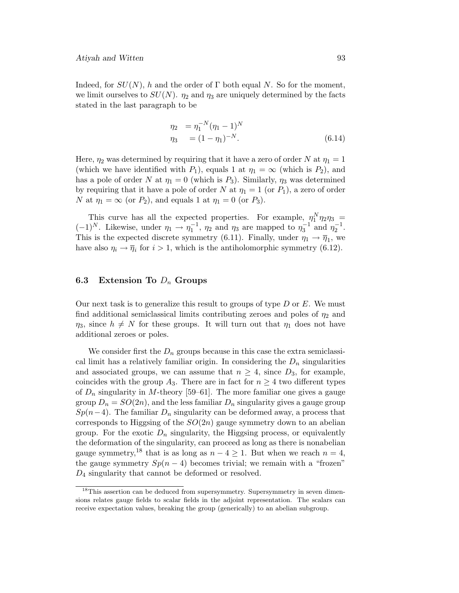Indeed, for  $SU(N)$ , h and the order of Γ both equal N. So for the moment, we limit ourselves to  $SU(N)$ .  $\eta_2$  and  $\eta_3$  are uniquely determined by the facts stated in the last paragraph to be

$$
\eta_2 = \eta_1^{-N} (\eta_1 - 1)^N \n\eta_3 = (1 - \eta_1)^{-N}.
$$
\n(6.14)

Here,  $\eta_2$  was determined by requiring that it have a zero of order N at  $\eta_1 = 1$ (which we have identified with  $P_1$ ), equals 1 at  $\eta_1 = \infty$  (which is  $P_2$ ), and has a pole of order N at  $\eta_1 = 0$  (which is  $P_3$ ). Similarly,  $\eta_3$  was determined by requiring that it have a pole of order N at  $\eta_1 = 1$  (or  $P_1$ ), a zero of order N at  $\eta_1 = \infty$  (or  $P_2$ ), and equals 1 at  $\eta_1 = 0$  (or  $P_3$ ).

This curve has all the expected properties. For example,  $\eta_1^N \eta_2 \eta_3 =$  $(-1)^N$ . Likewise, under  $\eta_1 \to \eta_1^{-1}$ ,  $\eta_2$  and  $\eta_3$  are mapped to  $\eta_3^{-1}$  and  $\eta_2^{-1}$ . This is the expected discrete symmetry (6.11). Finally, under  $\eta_1 \to \overline{\eta}_1$ , we have also  $\eta_i \to \overline{\eta}_i$  for  $i > 1$ , which is the antiholomorphic symmetry (6.12).

## **6.3 Extension To** D<sup>n</sup> **Groups**

Our next task is to generalize this result to groups of type  $D$  or  $E$ . We must find additional semiclassical limits contributing zeroes and poles of  $\eta_2$  and  $\eta_3$ , since  $h \neq N$  for these groups. It will turn out that  $\eta_1$  does not have additional zeroes or poles.

We consider first the  $D_n$  groups because in this case the extra semiclassical limit has a relatively familiar origin. In considering the  $D_n$  singularities and associated groups, we can assume that  $n \geq 4$ , since  $D_3$ , for example, coincides with the group  $A_3$ . There are in fact for  $n \geq 4$  two different types of  $D_n$  singularity in M-theory [59–61]. The more familiar one gives a gauge group  $D_n = SO(2n)$ , and the less familiar  $D_n$  singularity gives a gauge group  $Sp(n-4)$ . The familiar  $D_n$  singularity can be deformed away, a process that corresponds to Higgsing of the  $SO(2n)$  gauge symmetry down to an abelian group. For the exotic  $D_n$  singularity, the Higgsing process, or equivalently the deformation of the singularity, can proceed as long as there is nonabelian gauge symmetry,<sup>18</sup> that is as long as  $n - 4 \geq 1$ . But when we reach  $n = 4$ , the gauge symmetry  $Sp(n-4)$  becomes trivial; we remain with a "frozen" D<sup>4</sup> singularity that cannot be deformed or resolved.

<sup>&</sup>lt;sup>18</sup>This assertion can be deduced from supersymmetry. Supersymmetry in seven dimensions relates gauge fields to scalar fields in the adjoint representation. The scalars can receive expectation values, breaking the group (generically) to an abelian subgroup.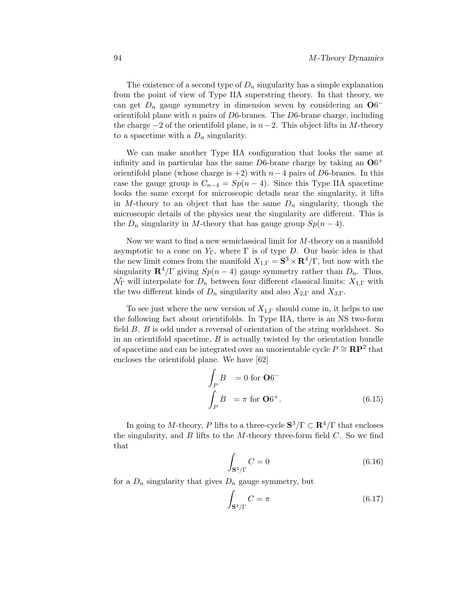The existence of a second type of  $D_n$  singularity has a simple explanation from the point of view of Type IIA superstring theory. In that theory, we can get  $D_n$  gauge symmetry in dimension seven by considering an  $O6$ orientifold plane with  $n$  pairs of  $D6$ -branes. The  $D6$ -brane charge, including the charge  $-2$  of the orientifold plane, is  $n-2$ . This object lifts in M-theory to a spacetime with a  $D_n$  singularity.

We can make another Type IIA configuration that looks the same at infinity and in particular has the same  $D6$ -brane charge by taking an  $O6^+$ orientifold plane (whose charge is  $+2$ ) with  $n-4$  pairs of D6-branes. In this case the gauge group is  $C_{n-4} = Sp(n-4)$ . Since this Type IIA spacetime looks the same except for microscopic details near the singularity, it lifts in M-theory to an object that has the same  $D_n$  singularity, though the microscopic details of the physics near the singularity are different. This is the  $D_n$  singularity in M-theory that has gauge group  $Sp(n-4)$ .

Now we want to find a new semiclassical limit for M-theory on a manifold asymptotic to a cone on  $Y_{\Gamma}$ , where  $\Gamma$  is of type D. Our basic idea is that the new limit comes from the manifold  $X_{1,\Gamma} = \mathbf{S}^3 \times \mathbf{R}^4/\Gamma$ , but now with the singularity  $\mathbf{R}^4/\Gamma$  giving  $Sp(n-4)$  gauge symmetry rather than  $D_n$ . Thus,  $\mathcal{N}_{\Gamma}$  will interpolate for  $D_n$  between four different classical limits:  $X_{1,\Gamma}$  with the two different kinds of  $D_n$  singularity and also  $X_{2,\Gamma}$  and  $X_{3,\Gamma}$ .

To see just where the new version of  $X_{1,\Gamma}$  should come in, it helps to use the following fact about orientifolds. In Type IIA, there is an NS two-form field  $B$ .  $B$  is odd under a reversal of orientation of the string worldsheet. So in an orientifold spacetime,  $B$  is actually twisted by the orientation bundle of spacetime and can be integrated over an unorientable cycle  $P \cong \mathbf{RP}^2$  that encloses the orientifold plane. We have [62]

$$
\int_{P} B = 0 \text{ for } \mathbf{O}6^{-}
$$
\n
$$
\int_{P} B = \pi \text{ for } \mathbf{O}6^{+}.
$$
\n(6.15)

In going to M-theory, P lifts to a three-cycle  $S^3/\Gamma \subset \mathbb{R}^4/\Gamma$  that encloses the singularity, and  $B$  lifts to the  $M$ -theory three-form field  $C$ . So we find that

$$
\int_{\mathbf{S}^3/\Gamma} C = 0 \tag{6.16}
$$

for a  $D_n$  singularity that gives  $D_n$  gauge symmetry, but

$$
\int_{\mathbf{S}^3/\Gamma} C = \pi \tag{6.17}
$$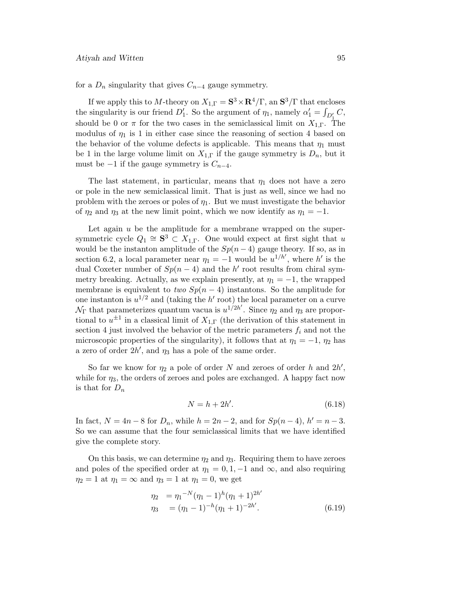for a  $D_n$  singularity that gives  $C_{n-4}$  gauge symmetry.

If we apply this to M-theory on  $X_{1,\Gamma} = \mathbf{S}^3 \times \mathbf{R}^4/\Gamma$ , an  $\mathbf{S}^3/\Gamma$  that encloses the singularity is our friend  $D'_1$ . So the argument of  $\eta_1$ , namely  $\alpha'_1 = \int_{D'_1} C$ , should be 0 or  $\pi$  for the two cases in the semiclassical limit on  $X_{1,\Gamma}$ . The modulus of  $\eta_1$  is 1 in either case since the reasoning of section 4 based on the behavior of the volume defects is applicable. This means that  $\eta_1$  must be 1 in the large volume limit on  $X_{1,\Gamma}$  if the gauge symmetry is  $D_n$ , but it must be  $-1$  if the gauge symmetry is  $C_{n-4}$ .

The last statement, in particular, means that  $\eta_1$  does not have a zero or pole in the new semiclassical limit. That is just as well, since we had no problem with the zeroes or poles of  $\eta_1$ . But we must investigate the behavior of  $\eta_2$  and  $\eta_3$  at the new limit point, which we now identify as  $\eta_1 = -1$ .

Let again  $u$  be the amplitude for a membrane wrapped on the supersymmetric cycle  $Q_1 \cong S^3 \subset X_{1,\Gamma}$ . One would expect at first sight that u would be the instanton amplitude of the  $Sp(n-4)$  gauge theory. If so, as in section 6.2, a local parameter near  $\eta_1 = -1$  would be  $u^{1/h'}$ , where h' is the dual Coxeter number of  $Sp(n-4)$  and the h' root results from chiral symmetry breaking. Actually, as we explain presently, at  $\eta_1 = -1$ , the wrapped membrane is equivalent to two  $Sp(n-4)$  instantons. So the amplitude for one instanton is  $u^{1/2}$  and (taking the h' root) the local parameter on a curve  $\mathcal{N}_{\Gamma}$  that parameterizes quantum vacua is  $u^{1/2h'}$ . Since  $\eta_2$  and  $\eta_3$  are proportional to  $u^{\pm 1}$  in a classical limit of  $X_{1,\Gamma}$  (the derivation of this statement in section 4 just involved the behavior of the metric parameters  $f_i$  and not the microscopic properties of the singularity), it follows that at  $\eta_1 = -1$ ,  $\eta_2$  has a zero of order  $2h'$ , and  $\eta_3$  has a pole of the same order.

So far we know for  $\eta_2$  a pole of order N and zeroes of order h and  $2h'$ , while for  $\eta_3$ , the orders of zeroes and poles are exchanged. A happy fact now is that for  $D_n$ 

$$
N = h + 2h'.\tag{6.18}
$$

In fact,  $N = 4n - 8$  for  $D_n$ , while  $h = 2n - 2$ , and for  $Sp(n-4)$ ,  $h' = n-3$ . So we can assume that the four semiclassical limits that we have identified give the complete story.

On this basis, we can determine  $\eta_2$  and  $\eta_3$ . Requiring them to have zeroes and poles of the specified order at  $\eta_1 = 0, 1, -1$  and  $\infty$ , and also requiring  $\eta_2 = 1$  at  $\eta_1 = \infty$  and  $\eta_3 = 1$  at  $\eta_1 = 0$ , we get

$$
\eta_2 = \eta_1^{-N}(\eta_1 - 1)^h(\eta_1 + 1)^{2h'}
$$
  
\n
$$
\eta_3 = (\eta_1 - 1)^{-h}(\eta_1 + 1)^{-2h'}.
$$
\n(6.19)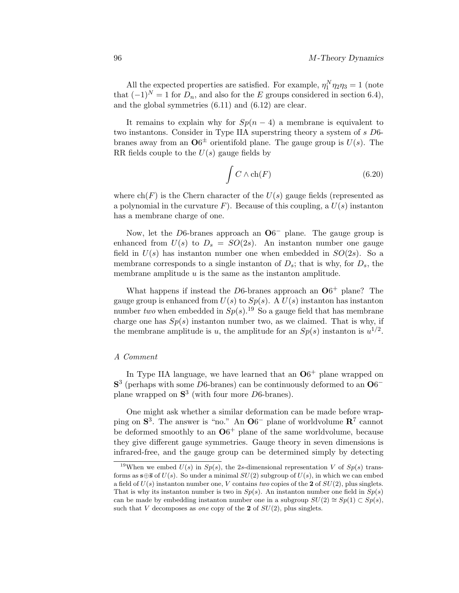All the expected properties are satisfied. For example,  $\eta_1^N \eta_2 \eta_3 = 1$  (note that  $(-1)^N = 1$  for  $D_n$ , and also for the E groups considered in section 6.4), and the global symmetries (6.11) and (6.12) are clear.

It remains to explain why for  $Sp(n-4)$  a membrane is equivalent to two instantons. Consider in Type IIA superstring theory a system of s D6 branes away from an  $\mathbf{O6}^{\pm}$  orientifold plane. The gauge group is  $U(s)$ . The RR fields couple to the  $U(s)$  gauge fields by

$$
\int C \wedge \ch(F) \tag{6.20}
$$

where  $ch(F)$  is the Chern character of the  $U(s)$  gauge fields (represented as a polynomial in the curvature  $F$ ). Because of this coupling, a  $U(s)$  instanton has a membrane charge of one.

Now, let the D6-branes approach an **O**6− plane. The gauge group is enhanced from  $U(s)$  to  $D_s = SO(2s)$ . An instanton number one gauge field in  $U(s)$  has instanton number one when embedded in  $SO(2s)$ . So a membrane corresponds to a single instanton of  $D_s$ ; that is why, for  $D_s$ , the membrane amplitude  $u$  is the same as the instanton amplitude.

What happens if instead the  $D6$ -branes approach an  $O6^+$  plane? The gauge group is enhanced from  $U(s)$  to  $Sp(s)$ . A  $U(s)$  instanton has instanton number two when embedded in  $Sp(s).^{19}$  So a gauge field that has membrane charge one has  $Sp(s)$  instanton number two, as we claimed. That is why, if the membrane amplitude is u, the amplitude for an  $Sp(s)$  instanton is  $u^{1/2}$ .

#### A Comment

In Type IIA language, we have learned that an  $O6<sup>+</sup>$  plane wrapped on **S**<sup>3</sup> (perhaps with some D6-branes) can be continuously deformed to an **O**6<sup>−</sup> plane wrapped on **S**<sup>3</sup> (with four more D6-branes).

One might ask whether a similar deformation can be made before wrapping on S<sup>3</sup>. The answer is "no." An **O**6<sup>−</sup> plane of worldvolume **R**<sup>7</sup> cannot be deformed smoothly to an  $O6^+$  plane of the same worldvolume, because they give different gauge symmetries. Gauge theory in seven dimensions is infrared-free, and the gauge group can be determined simply by detecting

<sup>&</sup>lt;sup>19</sup>When we embed  $U(s)$  in  $Sp(s)$ , the 2s-dimensional representation V of  $Sp(s)$  transforms as  $s \oplus \overline{s}$  of  $U(s)$ . So under a minimal  $SU(2)$  subgroup of  $U(s)$ , in which we can embed a field of  $U(s)$  instanton number one, V contains two copies of the **2** of  $SU(2)$ , plus singlets. That is why its instanton number is two in  $Sp(s)$ . An instanton number one field in  $Sp(s)$ can be made by embedding instanton number one in a subgroup  $SU(2) \cong Sp(1) \subset Sp(s)$ , such that V decomposes as *one* copy of the **2** of  $SU(2)$ , plus singlets.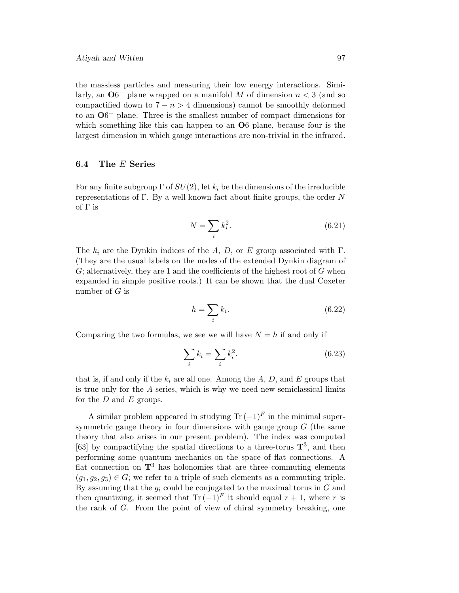the massless particles and measuring their low energy interactions. Similarly, an  $\mathbf{O6}^-$  plane wrapped on a manifold M of dimension  $n < 3$  (and so compactified down to  $7 - n > 4$  dimensions) cannot be smoothly deformed to an  $\mathbf{O6}^+$  plane. Three is the smallest number of compact dimensions for which something like this can happen to an **O**6 plane, because four is the largest dimension in which gauge interactions are non-trivial in the infrared.

## **6.4 The** E **Series**

For any finite subgroup  $\Gamma$  of  $SU(2)$ , let  $k_i$  be the dimensions of the irreducible representations of  $\Gamma$ . By a well known fact about finite groups, the order N of  $\Gamma$  is

$$
N = \sum_{i} k_i^2. \tag{6.21}
$$

The  $k_i$  are the Dynkin indices of the A, D, or E group associated with  $\Gamma$ . (They are the usual labels on the nodes of the extended Dynkin diagram of  $G$ ; alternatively, they are 1 and the coefficients of the highest root of  $G$  when expanded in simple positive roots.) It can be shown that the dual Coxeter number of  $G$  is

$$
h = \sum_{i} k_i. \tag{6.22}
$$

Comparing the two formulas, we see we will have  $N = h$  if and only if

$$
\sum_{i} k_i = \sum_{i} k_i^2. \tag{6.23}
$$

that is, if and only if the  $k_i$  are all one. Among the A, D, and E groups that is true only for the A series, which is why we need new semiclassical limits for the  $D$  and  $E$  groups.

A similar problem appeared in studying  $\text{Tr}(-1)^F$  in the minimal supersymmetric gauge theory in four dimensions with gauge group  $G$  (the same theory that also arises in our present problem). The index was computed [63] by compactifying the spatial directions to a three-torus **T**3, and then performing some quantum mechanics on the space of flat connections. A flat connection on  $\mathbf{T}^3$  has holonomies that are three commuting elements  $(g_1, g_2, g_3) \in G$ ; we refer to a triple of such elements as a commuting triple. By assuming that the  $g_i$  could be conjugated to the maximal torus in G and then quantizing, it seemed that Tr  $(-1)^F$  it should equal  $r + 1$ , where r is the rank of  $G$ . From the point of view of chiral symmetry breaking, one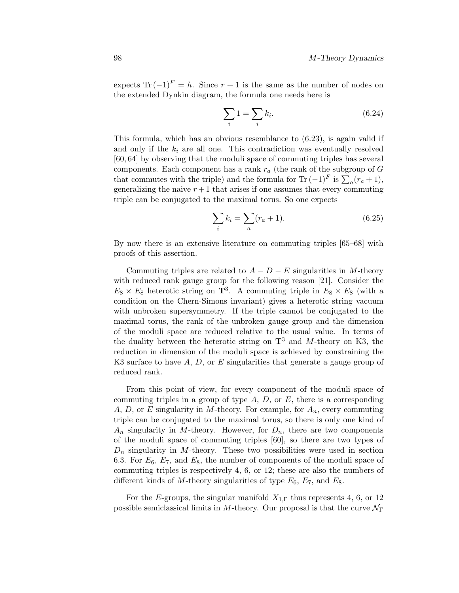expects Tr  $(-1)^F = h$ . Since  $r + 1$  is the same as the number of nodes on the extended Dynkin diagram, the formula one needs here is

$$
\sum_{i} 1 = \sum_{i} k_i. \tag{6.24}
$$

This formula, which has an obvious resemblance to (6.23), is again valid if and only if the  $k_i$  are all one. This contradiction was eventually resolved  $[60, 64]$  by observing that the moduli space of commuting triples has several components. Each component has a rank  $r_a$  (the rank of the subgroup of G that commutes with the triple) and the formula for Tr  $(-1)^F$  is  $\sum_a (r_a + 1)$ , generalizing the naive  $r + 1$  that arises if one assumes that every commuting triple can be conjugated to the maximal torus. So one expects

$$
\sum_{i} k_i = \sum_{a} (r_a + 1). \tag{6.25}
$$

By now there is an extensive literature on commuting triples [65–68] with proofs of this assertion.

Commuting triples are related to  $A - D - E$  singularities in M-theory with reduced rank gauge group for the following reason [21]. Consider the  $E_8 \times E_8$  heterotic string on **T**<sup>3</sup>. A commuting triple in  $E_8 \times E_8$  (with a condition on the Chern-Simons invariant) gives a heterotic string vacuum with unbroken supersymmetry. If the triple cannot be conjugated to the maximal torus, the rank of the unbroken gauge group and the dimension of the moduli space are reduced relative to the usual value. In terms of the duality between the heterotic string on  $\mathbf{T}^3$  and M-theory on K3, the reduction in dimension of the moduli space is achieved by constraining the K3 surface to have  $A, D$ , or  $E$  singularities that generate a gauge group of reduced rank.

From this point of view, for every component of the moduli space of commuting triples in a group of type  $A, D$ , or  $E$ , there is a corresponding A, D, or E singularity in M-theory. For example, for  $A_n$ , every commuting triple can be conjugated to the maximal torus, so there is only one kind of  $A_n$  singularity in M-theory. However, for  $D_n$ , there are two components of the moduli space of commuting triples  $[60]$ , so there are two types of  $D_n$  singularity in M-theory. These two possibilities were used in section 6.3. For  $E_6$ ,  $E_7$ , and  $E_8$ , the number of components of the moduli space of commuting triples is respectively 4, 6, or 12; these are also the numbers of different kinds of M-theory singularities of type  $E_6$ ,  $E_7$ , and  $E_8$ .

For the E-groups, the singular manifold  $X_{1,\Gamma}$  thus represents 4, 6, or 12 possible semiclassical limits in M-theory. Our proposal is that the curve  $\mathcal{N}_{\Gamma}$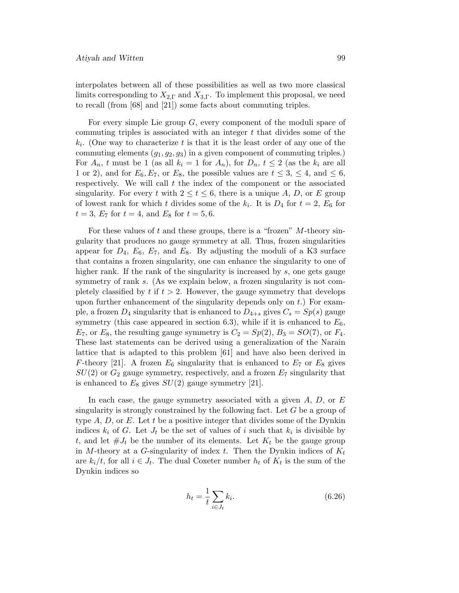interpolates between all of these possibilities as well as two more classical limits corresponding to  $X_{2,\Gamma}$  and  $X_{3,\Gamma}$ . To implement this proposal, we need to recall (from [68] and [21]) some facts about commuting triples.

For every simple Lie group  $G$ , every component of the moduli space of commuting triples is associated with an integer  $t$  that divides some of the  $k_i$ . (One way to characterize t is that it is the least order of any one of the commuting elements  $(g_1, g_2, g_3)$  in a given component of commuting triples.) For  $A_n$ , t must be 1 (as all  $k_i = 1$  for  $A_n$ ), for  $D_n$ ,  $t \le 2$  (as the  $k_i$  are all 1 or 2), and for  $E_6, E_7$ , or  $E_8$ , the possible values are  $t \leq 3, \leq 4$ , and  $\leq 6$ , respectively. We will call  $t$  the index of the component or the associated singularity. For every t with  $2 \le t \le 6$ , there is a unique A, D, or E group of lowest rank for which t divides some of the  $k_i$ . It is  $D_4$  for  $t = 2$ ,  $E_6$  for  $t = 3, E_7$  for  $t = 4$ , and  $E_8$  for  $t = 5, 6$ .

For these values of t and these groups, there is a "frozen"  $M$ -theory singularity that produces no gauge symmetry at all. Thus, frozen singularities appear for  $D_4$ ,  $E_6$ ,  $E_7$ , and  $E_8$ . By adjusting the moduli of a K3 surface that contains a frozen singularity, one can enhance the singularity to one of higher rank. If the rank of the singularity is increased by  $s$ , one gets gauge symmetry of rank  $s$ . (As we explain below, a frozen singularity is not completely classified by  $t$  if  $t > 2$ . However, the gauge symmetry that develops upon further enhancement of the singularity depends only on  $t$ . For example, a frozen  $D_4$  singularity that is enhanced to  $D_{4+s}$  gives  $C_s = Sp(s)$  gauge symmetry (this case appeared in section 6.3), while if it is enhanced to  $E_6$ ,  $E_7$ , or  $E_8$ , the resulting gauge symmetry is  $C_2 = Sp(2)$ ,  $B_3 = SO(7)$ , or  $F_4$ . These last statements can be derived using a generalization of the Narain lattice that is adapted to this problem [61] and have also been derived in F-theory [21]. A frozen  $E_6$  singularity that is enhanced to  $E_7$  or  $E_8$  gives  $SU(2)$  or  $G_2$  gauge symmetry, respectively, and a frozen  $E_7$  singularity that is enhanced to  $E_8$  gives  $SU(2)$  gauge symmetry [21].

In each case, the gauge symmetry associated with a given  $A, D$ , or  $E$ singularity is strongly constrained by the following fact. Let G be a group of type  $A, D$ , or E. Let t be a positive integer that divides some of the Dynkin indices  $k_i$  of G. Let  $J_t$  be the set of values of i such that  $k_i$  is divisible by t, and let  $\#J_t$  be the number of its elements. Let  $K_t$  be the gauge group in M-theory at a G-singularity of index t. Then the Dynkin indices of  $K_t$ are  $k_i/t$ , for all  $i \in J_t$ . The dual Coxeter number  $h_t$  of  $K_t$  is the sum of the Dynkin indices so

$$
h_t = \frac{1}{t} \sum_{i \in J_t} k_i. \tag{6.26}
$$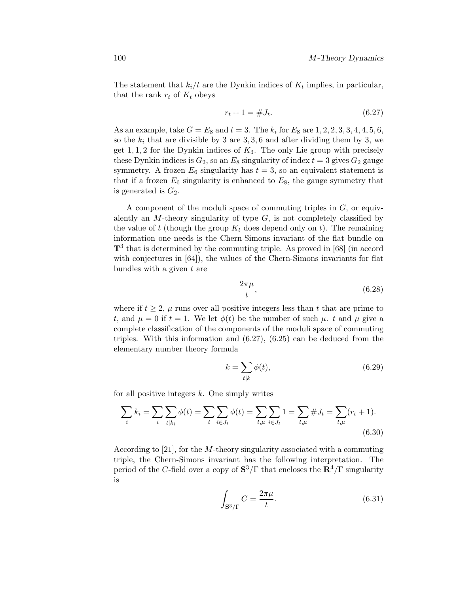The statement that  $k_i/t$  are the Dynkin indices of  $K_t$  implies, in particular, that the rank  $r_t$  of  $K_t$  obeys

$$
r_t + 1 = \#J_t. \tag{6.27}
$$

As an example, take  $G = E_8$  and  $t = 3$ . The  $k_i$  for  $E_8$  are  $1, 2, 2, 3, 3, 4, 4, 5, 6$ , so the  $k_i$  that are divisible by 3 are 3, 3, 6 and after dividing them by 3, we get  $1, 1, 2$  for the Dynkin indices of  $K_3$ . The only Lie group with precisely these Dynkin indices is  $G_2$ , so an  $E_8$  singularity of index  $t = 3$  gives  $G_2$  gauge symmetry. A frozen  $E_6$  singularity has  $t = 3$ , so an equivalent statement is that if a frozen  $E_6$  singularity is enhanced to  $E_8$ , the gauge symmetry that is generated is  $G_2$ .

A component of the moduli space of commuting triples in  $G$ , or equivalently an  $M$ -theory singularity of type  $G$ , is not completely classified by the value of t (though the group  $K_t$  does depend only on t). The remaining information one needs is the Chern-Simons invariant of the flat bundle on **T**<sup>3</sup> that is determined by the commuting triple. As proved in [68] (in accord with conjectures in  $[64]$ ), the values of the Chern-Simons invariants for flat bundles with a given  $t$  are

$$
\frac{2\pi\mu}{t},\tag{6.28}
$$

where if  $t \geq 2$ ,  $\mu$  runs over all positive integers less than t that are prime to t, and  $\mu = 0$  if  $t = 1$ . We let  $\phi(t)$  be the number of such  $\mu$ . t and  $\mu$  give a complete classification of the components of the moduli space of commuting triples. With this information and (6.27), (6.25) can be deduced from the elementary number theory formula

$$
k = \sum_{t|k} \phi(t),\tag{6.29}
$$

for all positive integers  $k$ . One simply writes

$$
\sum_{i} k_{i} = \sum_{i} \sum_{t|k_{i}} \phi(t) = \sum_{t} \sum_{i \in J_{t}} \phi(t) = \sum_{t,\mu} \sum_{i \in J_{t}} 1 = \sum_{t,\mu} \# J_{t} = \sum_{t,\mu} (r_{t} + 1).
$$
\n(6.30)

According to [21], for the M-theory singularity associated with a commuting triple, the Chern-Simons invariant has the following interpretation. The period of the C-field over a copy of  $S^3/\Gamma$  that encloses the  $\mathbb{R}^4/\Gamma$  singularity is

$$
\int_{\mathbf{S}^3/\Gamma} C = \frac{2\pi\mu}{t}.\tag{6.31}
$$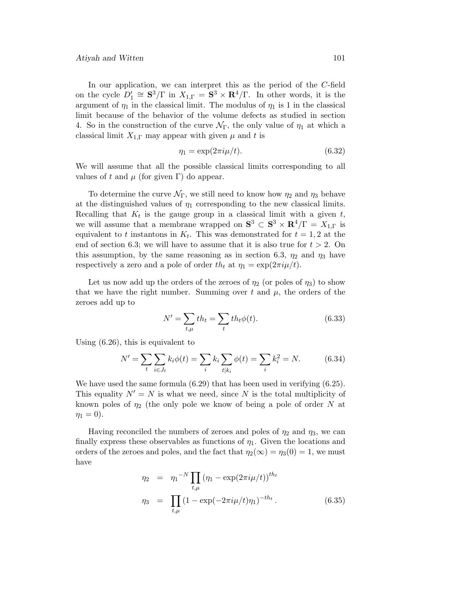#### Atiyah and Witten 101

In our application, we can interpret this as the period of the  $C$ -field on the cycle  $D'_1 \cong \mathbf{S}^3/\Gamma$  in  $X_{1,\Gamma} = \mathbf{S}^3 \times \mathbf{R}^4/\Gamma$ . In other words, it is the argument of  $\eta_1$  in the classical limit. The modulus of  $\eta_1$  is 1 in the classical limit because of the behavior of the volume defects as studied in section 4. So in the construction of the curve  $\mathcal{N}_{\Gamma}$ , the only value of  $\eta_1$  at which a classical limit  $X_{1,\Gamma}$  may appear with given  $\mu$  and t is

$$
\eta_1 = \exp(2\pi i \mu/t). \tag{6.32}
$$

We will assume that all the possible classical limits corresponding to all values of t and  $\mu$  (for given Γ) do appear.

To determine the curve  $\mathcal{N}_{\Gamma}$ , we still need to know how  $\eta_2$  and  $\eta_3$  behave at the distinguished values of  $\eta_1$  corresponding to the new classical limits. Recalling that  $K_t$  is the gauge group in a classical limit with a given t, we will assume that a membrane wrapped on  $S^3 \subset S^3 \times \mathbb{R}^4/\Gamma = X_{1,\Gamma}$  is equivalent to t instantons in  $K_t$ . This was demonstrated for  $t = 1, 2$  at the end of section 6.3; we will have to assume that it is also true for  $t > 2$ . On this assumption, by the same reasoning as in section 6.3,  $\eta_2$  and  $\eta_3$  have respectively a zero and a pole of order th<sub>t</sub> at  $\eta_1 = \exp(2\pi i \mu/t)$ .

Let us now add up the orders of the zeroes of  $\eta_2$  (or poles of  $\eta_3$ ) to show that we have the right number. Summing over t and  $\mu$ , the orders of the zeroes add up to

$$
N' = \sum_{t,\mu} th_t = \sum_t th_t \phi(t).
$$
 (6.33)

Using (6.26), this is equivalent to

$$
N' = \sum_{t} \sum_{i \in J_t} k_i \phi(t) = \sum_{i} k_i \sum_{t|k_i} \phi(t) = \sum_{i} k_i^2 = N.
$$
 (6.34)

We have used the same formula  $(6.29)$  that has been used in verifying  $(6.25)$ . This equality  $N' = N$  is what we need, since N is the total multiplicity of known poles of  $\eta_2$  (the only pole we know of being a pole of order N at  $\eta_1 = 0$ ).

Having reconciled the numbers of zeroes and poles of  $\eta_2$  and  $\eta_3$ , we can finally express these observables as functions of  $\eta_1$ . Given the locations and orders of the zeroes and poles, and the fact that  $\eta_2(\infty) = \eta_3(0) = 1$ , we must have

$$
\eta_2 = \eta_1^{-N} \prod_{t,\mu} (\eta_1 - \exp(2\pi i \mu/t))^{th_t}
$$
  

$$
\eta_3 = \prod_{t,\mu} (1 - \exp(-2\pi i \mu/t)\eta_1)^{-th_t}.
$$
 (6.35)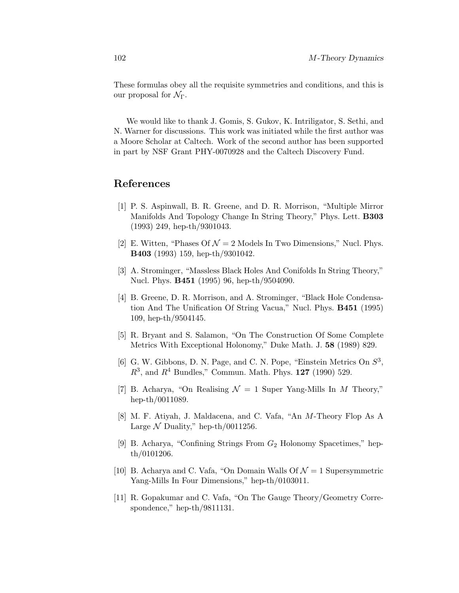These formulas obey all the requisite symmetries and conditions, and this is our proposal for  $\mathcal{N}_{\Gamma}$ .

We would like to thank J. Gomis, S. Gukov, K. Intriligator, S. Sethi, and N. Warner for discussions. This work was initiated while the first author was a Moore Scholar at Caltech. Work of the second author has been supported in part by NSF Grant PHY-0070928 and the Caltech Discovery Fund.

# **References**

- [1] P. S. Aspinwall, B. R. Greene, and D. R. Morrison, "Multiple Mirror Manifolds And Topology Change In String Theory," Phys. Lett. **B303** (1993) 249, hep-th/9301043.
- [2] E. Witten, "Phases Of  $\mathcal{N} = 2$  Models In Two Dimensions," Nucl. Phys. **B403** (1993) 159, hep-th/9301042.
- [3] A. Strominger, "Massless Black Holes And Conifolds In String Theory," Nucl. Phys. **B451** (1995) 96, hep-th/9504090.
- [4] B. Greene, D. R. Morrison, and A. Strominger, "Black Hole Condensation And The Unification Of String Vacua," Nucl. Phys. **B451** (1995) 109, hep-th/9504145.
- [5] R. Bryant and S. Salamon, "On The Construction Of Some Complete Metrics With Exceptional Holonomy," Duke Math. J. **58** (1989) 829.
- [6] G. W. Gibbons, D. N. Page, and C. N. Pope, "Einstein Metrics On  $S^3$ ,  $R^3$ , and  $R^4$  Bundles," Commun. Math. Phys. **127** (1990) 529.
- [7] B. Acharya, "On Realising  $\mathcal{N} = 1$  Super Yang-Mills In M Theory," hep-th/0011089.
- [8] M. F. Atiyah, J. Maldacena, and C. Vafa, "An M-Theory Flop As A Large  $\mathcal N$  Duality," hep-th/0011256.
- [9] B. Acharya, "Confining Strings From  $G_2$  Holonomy Spacetimes," hepth/0101206.
- [10] B. Acharya and C. Vafa, "On Domain Walls Of  $\mathcal{N}=1$  Supersymmetric Yang-Mills In Four Dimensions," hep-th/0103011.
- [11] R. Gopakumar and C. Vafa, "On The Gauge Theory/Geometry Correspondence," hep-th/9811131.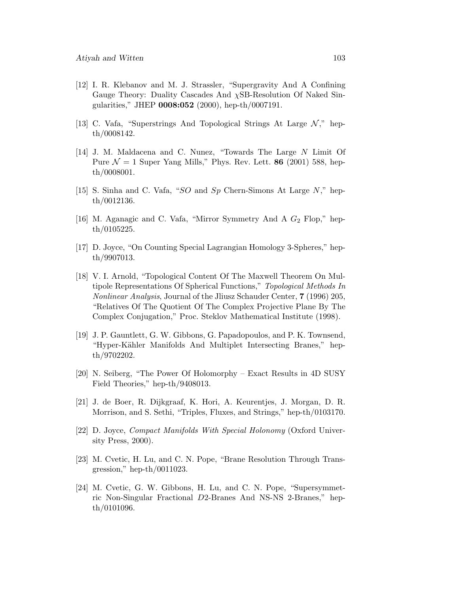- [12] I. R. Klebanov and M. J. Strassler, "Supergravity And A Confining Gauge Theory: Duality Cascades And  $\chi$ SB-Resolution Of Naked Singularities," JHEP **0008:052** (2000), hep-th/0007191.
- [13] C. Vafa, "Superstrings And Topological Strings At Large  $\mathcal{N},$ " hepth/0008142.
- [14] J. M. Maldacena and C. Nunez, "Towards The Large N Limit Of Pure  $\mathcal{N} = 1$  Super Yang Mills," Phys. Rev. Lett. **86** (2001) 588, hepth/0008001.
- [15] S. Sinha and C. Vafa, "SO and Sp Chern-Simons At Large  $N$ ," hepth/0012136.
- [16] M. Aganagic and C. Vafa, "Mirror Symmetry And A  $G_2$  Flop," hepth/0105225.
- [17] D. Joyce, "On Counting Special Lagrangian Homology 3-Spheres," hepth/9907013.
- [18] V. I. Arnold, "Topological Content Of The Maxwell Theorem On Multipole Representations Of Spherical Functions," Topological Methods In Nonlinear Analysis, Journal of the Jliusz Schauder Center, **7** (1996) 205, "Relatives Of The Quotient Of The Complex Projective Plane By The Complex Conjugation," Proc. Steklov Mathematical Institute (1998).
- [19] J. P. Gauntlett, G. W. Gibbons, G. Papadopoulos, and P. K. Townsend, "Hyper-Kähler Manifolds And Multiplet Intersecting Branes," hepth/9702202.
- [20] N. Seiberg, "The Power Of Holomorphy Exact Results in 4D SUSY Field Theories," hep-th/9408013.
- [21] J. de Boer, R. Dijkgraaf, K. Hori, A. Keurentjes, J. Morgan, D. R. Morrison, and S. Sethi, "Triples, Fluxes, and Strings," hep-th/0103170.
- [22] D. Joyce, Compact Manifolds With Special Holonomy (Oxford University Press, 2000).
- [23] M. Cvetic, H. Lu, and C. N. Pope, "Brane Resolution Through Transgression," hep-th/0011023.
- [24] M. Cvetic, G. W. Gibbons, H. Lu, and C. N. Pope, "Supersymmetric Non-Singular Fractional D2-Branes And NS-NS 2-Branes," hepth/0101096.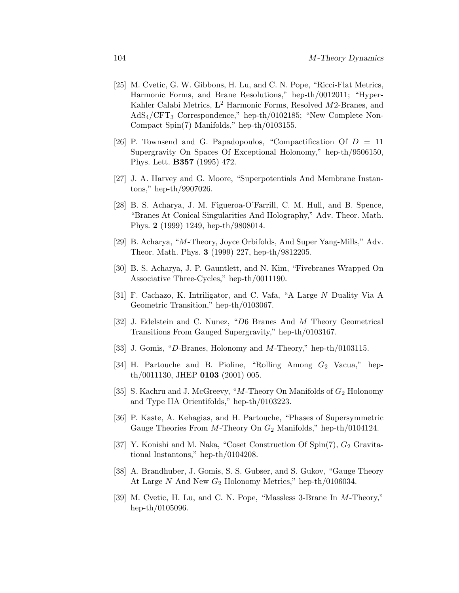- [25] M. Cvetic, G. W. Gibbons, H. Lu, and C. N. Pope, "Ricci-Flat Metrics, Harmonic Forms, and Brane Resolutions," hep-th/0012011; "Hyper-Kahler Calabi Metrics, **L**<sup>2</sup> Harmonic Forms, Resolved M2-Branes, and AdS4/CFT<sup>3</sup> Correspondence," hep-th/0102185; "New Complete Non-Compact Spin(7) Manifolds," hep-th/0103155.
- [26] P. Townsend and G. Papadopoulos, "Compactification Of  $D = 11$ Supergravity On Spaces Of Exceptional Holonomy," hep-th/9506150, Phys. Lett. **B357** (1995) 472.
- [27] J. A. Harvey and G. Moore, "Superpotentials And Membrane Instantons," hep-th/9907026.
- [28] B. S. Acharya, J. M. Figueroa-O'Farrill, C. M. Hull, and B. Spence, "Branes At Conical Singularities And Holography," Adv. Theor. Math. Phys. **2** (1999) 1249, hep-th/9808014.
- [29] B. Acharya, "M-Theory, Joyce Orbifolds, And Super Yang-Mills," Adv. Theor. Math. Phys. **3** (1999) 227, hep-th/9812205.
- [30] B. S. Acharya, J. P. Gauntlett, and N. Kim, "Fivebranes Wrapped On Associative Three-Cycles," hep-th/0011190.
- [31] F. Cachazo, K. Intriligator, and C. Vafa, "A Large N Duality Via A Geometric Transition," hep-th/0103067.
- [32] J. Edelstein and C. Nunez, "D6 Branes And M Theory Geometrical Transitions From Gauged Supergravity," hep-th/0103167.
- [33] J. Gomis, "D-Branes, Holonomy and M-Theory," hep-th/0103115.
- [34] H. Partouche and B. Pioline, "Rolling Among  $G_2$  Vacua," hepth/0011130, JHEP **0103** (2001) 005.
- [35] S. Kachru and J. McGreevy, "M-Theory On Manifolds of  $G_2$  Holonomy and Type IIA Orientifolds," hep-th/0103223.
- [36] P. Kaste, A. Kehagias, and H. Partouche, "Phases of Supersymmetric Gauge Theories From M-Theory On  $G_2$  Manifolds," hep-th/0104124.
- [37] Y. Konishi and M. Naka, "Coset Construction Of Spin $(7)$ ,  $G_2$  Gravitational Instantons," hep-th/0104208.
- [38] A. Brandhuber, J. Gomis, S. S. Gubser, and S. Gukov, "Gauge Theory At Large  $N$  And New  $G_2$  Holonomy Metrics," hep-th/0106034.
- [39] M. Cvetic, H. Lu, and C. N. Pope, "Massless 3-Brane In M-Theory," hep-th/0105096.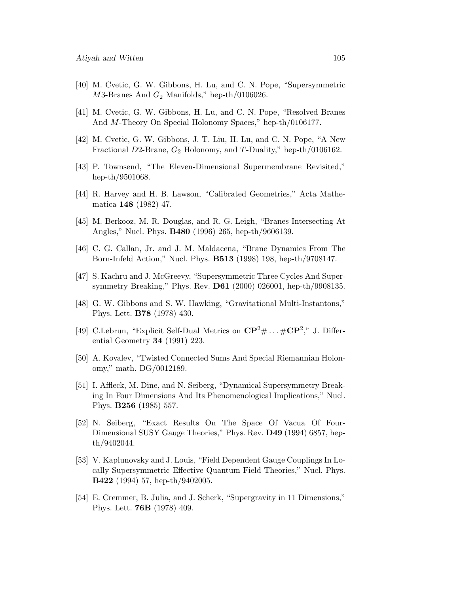- [40] M. Cvetic, G. W. Gibbons, H. Lu, and C. N. Pope, "Supersymmetric  $M3$ -Branes And  $G_2$  Manifolds," hep-th/0106026.
- [41] M. Cvetic, G. W. Gibbons, H. Lu, and C. N. Pope, "Resolved Branes And M-Theory On Special Holonomy Spaces," hep-th/0106177.
- [42] M. Cvetic, G. W. Gibbons, J. T. Liu, H. Lu, and C. N. Pope, "A New Fractional D2-Brane,  $G_2$  Holonomy, and T-Duality," hep-th/0106162.
- [43] P. Townsend, "The Eleven-Dimensional Supermembrane Revisited," hep-th/9501068.
- [44] R. Harvey and H. B. Lawson, "Calibrated Geometries," Acta Mathematica **148** (1982) 47.
- [45] M. Berkooz, M. R. Douglas, and R. G. Leigh, "Branes Intersecting At Angles," Nucl. Phys. **B480** (1996) 265, hep-th/9606139.
- [46] C. G. Callan, Jr. and J. M. Maldacena, "Brane Dynamics From The Born-Infeld Action," Nucl. Phys. **B513** (1998) 198, hep-th/9708147.
- [47] S. Kachru and J. McGreevy, "Supersymmetric Three Cycles And Supersymmetry Breaking," Phys. Rev. **D61** (2000) 026001, hep-th/9908135.
- [48] G. W. Gibbons and S. W. Hawking, "Gravitational Multi-Instantons," Phys. Lett. **B78** (1978) 430.
- [49] C.Lebrun, "Explicit Self-Dual Metrics on  $\mathbb{CP}^2 \# \dots \# \mathbb{CP}^2$ ," J. Differential Geometry **34** (1991) 223.
- [50] A. Kovalev, "Twisted Connected Sums And Special Riemannian Holonomy," math. DG/0012189.
- [51] I. Affleck, M. Dine, and N. Seiberg, "Dynamical Supersymmetry Breaking In Four Dimensions And Its Phenomenological Implications," Nucl. Phys. **B256** (1985) 557.
- [52] N. Seiberg, "Exact Results On The Space Of Vacua Of Four-Dimensional SUSY Gauge Theories," Phys. Rev. **D49** (1994) 6857, hepth/9402044.
- [53] V. Kaplunovsky and J. Louis, "Field Dependent Gauge Couplings In Locally Supersymmetric Effective Quantum Field Theories," Nucl. Phys. **B422** (1994) 57, hep-th/9402005.
- [54] E. Cremmer, B. Julia, and J. Scherk, "Supergravity in 11 Dimensions," Phys. Lett. **76B** (1978) 409.